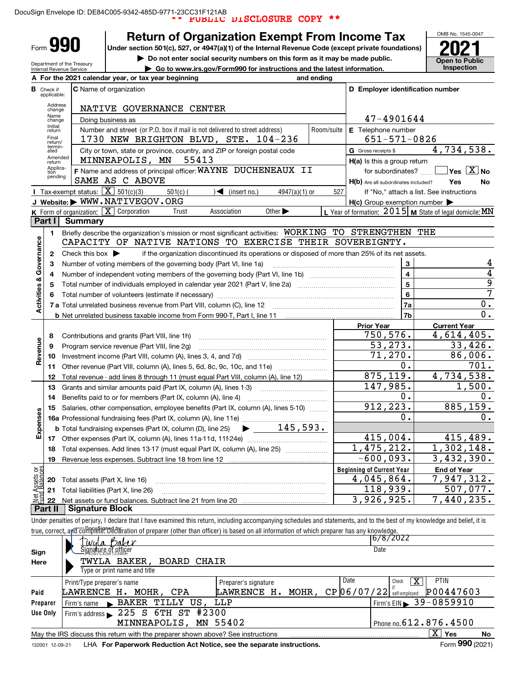| DocuSign Envelope ID: DE84C005-9342-485D-9771-23CC31F121AB |
|------------------------------------------------------------|
|                                                            |

DocuSign Envelope ID: DE84C005-9342-485D-9771-23CC31F121AB<br>\*\* PUBLIC DISCLOSURE COPY \*\*

|                                                        |                                  |                                                      | <b>Return of Organization Exempt From Income Tax</b>                                                                                                                              |                                                     | OMB No. 1545-0047                                         |
|--------------------------------------------------------|----------------------------------|------------------------------------------------------|-----------------------------------------------------------------------------------------------------------------------------------------------------------------------------------|-----------------------------------------------------|-----------------------------------------------------------|
| Form <b>990</b>                                        |                                  |                                                      | Under section 501(c), 527, or 4947(a)(1) of the Internal Revenue Code (except private foundations)<br>Do not enter social security numbers on this form as it may be made public. |                                                     | <b>Open to Public</b>                                     |
| Department of the Treasury<br>Internal Revenue Service |                                  |                                                      | Go to www.irs.gov/Form990 for instructions and the latest information.                                                                                                            |                                                     | <b>Inspection</b>                                         |
|                                                        |                                  |                                                      | A For the 2021 calendar year, or tax year beginning<br>and ending                                                                                                                 |                                                     |                                                           |
|                                                        | <b>B</b> Check if<br>applicable: |                                                      | <b>C</b> Name of organization                                                                                                                                                     | D Employer identification number                    |                                                           |
|                                                        | Address<br>change                |                                                      | NATIVE GOVERNANCE CENTER                                                                                                                                                          |                                                     |                                                           |
|                                                        | Name<br>change                   |                                                      | Doing business as                                                                                                                                                                 | 47-4901644                                          |                                                           |
|                                                        | Initial<br>return                |                                                      | Number and street (or P.O. box if mail is not delivered to street address)<br>Room/suite                                                                                          | E Telephone number                                  |                                                           |
|                                                        | Final<br>return/<br>termin-      |                                                      | 1730 NEW BRIGHTON BLVD, STE. 104-236                                                                                                                                              | 651-571-0826                                        |                                                           |
|                                                        | ated<br>Amended                  |                                                      | City or town, state or province, country, and ZIP or foreign postal code                                                                                                          | G Gross receipts \$                                 | 4,734,538.                                                |
|                                                        | return<br>Applica-               |                                                      | 55413<br>MINNEAPOLIS, MN                                                                                                                                                          | H(a) Is this a group return                         |                                                           |
|                                                        | tion<br>pending                  |                                                      | F Name and address of principal officer: WAYNE DUCHENEAUX II<br>SAME AS C ABOVE                                                                                                   | for subordinates?                                   | $\overline{\ }$ Yes $\overline{\phantom{a}X}$ No          |
|                                                        |                                  | <b>I</b> Tax-exempt status: $\overline{X}$ 501(c)(3) | $\blacktriangleleft$ (insert no.)<br>$501(c)$ (<br>$4947(a)(1)$ or                                                                                                                | H(b) Are all subordinates included?<br>527          | Yes<br>No<br>If "No," attach a list. See instructions     |
|                                                        |                                  |                                                      | J Website: WWW.NATIVEGOV.ORG                                                                                                                                                      | $H(c)$ Group exemption number $\blacktriangleright$ |                                                           |
|                                                        |                                  |                                                      | K Form of organization: X Corporation<br>Association<br>Other $\blacktriangleright$<br>Trust                                                                                      |                                                     | L Year of formation: $2015$ M State of legal domicile: MN |
|                                                        | Part I                           | <b>Summary</b>                                       |                                                                                                                                                                                   |                                                     |                                                           |
|                                                        | 1                                |                                                      | Briefly describe the organization's mission or most significant activities: WORKING TO STRENGTHEN THE                                                                             |                                                     |                                                           |
|                                                        |                                  |                                                      | CAPACITY OF NATIVE NATIONS TO EXERCISE THEIR SOVEREIGNTY.                                                                                                                         |                                                     |                                                           |
| Governance                                             | 2                                | Check this box $\blacktriangleright$                 | if the organization discontinued its operations or disposed of more than 25% of its net assets.                                                                                   |                                                     |                                                           |
|                                                        | 3                                |                                                      | Number of voting members of the governing body (Part VI, line 1a)                                                                                                                 | $\mathbf{3}$                                        | 4                                                         |
|                                                        | 4                                |                                                      |                                                                                                                                                                                   | $\overline{\mathbf{4}}$                             | 4                                                         |
| <b>Activities &amp;</b>                                | 5                                |                                                      |                                                                                                                                                                                   | $\overline{5}$                                      | $\overline{9}$<br>7                                       |
|                                                        | 6                                |                                                      |                                                                                                                                                                                   | $6\phantom{a}$<br>7a                                | $\overline{0}$ .                                          |
|                                                        |                                  |                                                      |                                                                                                                                                                                   | 7b                                                  | $\overline{0}$ .                                          |
|                                                        |                                  |                                                      |                                                                                                                                                                                   | <b>Prior Year</b>                                   | <b>Current Year</b>                                       |
|                                                        | 8                                |                                                      |                                                                                                                                                                                   | 750,576.                                            | 4,614,405.                                                |
| Revenue                                                | 9                                |                                                      | Program service revenue (Part VIII, line 2g)                                                                                                                                      | 53,273.                                             | 33,426.                                                   |
|                                                        | 10                               |                                                      |                                                                                                                                                                                   | $\overline{7}1, 270.$                               | 86,006.                                                   |
|                                                        | 11                               |                                                      | Other revenue (Part VIII, column (A), lines 5, 6d, 8c, 9c, 10c, and 11e)                                                                                                          | 0.                                                  | 701.                                                      |
|                                                        | 12                               |                                                      | Total revenue - add lines 8 through 11 (must equal Part VIII, column (A), line 12)                                                                                                | 875, 119.                                           | $\overline{4}$ , 734, 538.                                |
|                                                        | 13                               |                                                      | Grants and similar amounts paid (Part IX, column (A), lines 1-3)                                                                                                                  | 147,985.                                            | 1,500.                                                    |
|                                                        | 14                               |                                                      |                                                                                                                                                                                   | 0.                                                  | $0$ .                                                     |
|                                                        | 15 ا م                           |                                                      | Salaries, other compensation, employee benefits (Part IX, column (A), lines 5-10)                                                                                                 | 912, 223.                                           | 885,159.                                                  |
| Expenses                                               |                                  |                                                      | 16a Professional fundraising fees (Part IX, column (A), line 11e)<br>145,593.                                                                                                     | 0.                                                  | $\overline{0}$ .                                          |
|                                                        |                                  |                                                      | <b>b</b> Total fundraising expenses (Part IX, column (D), line 25)                                                                                                                | 415,004.                                            | 415,489.                                                  |
|                                                        | 18                               |                                                      | Total expenses. Add lines 13-17 (must equal Part IX, column (A), line 25)                                                                                                         | 1,475,212.                                          | 1,302,148.                                                |
|                                                        | 19                               |                                                      |                                                                                                                                                                                   | $-600,093.$                                         | 3,432,390.                                                |
|                                                        |                                  |                                                      |                                                                                                                                                                                   | <b>Beginning of Current Year</b>                    | <b>End of Year</b>                                        |
| t Assets or<br>d Balances                              | 20                               | Total assets (Part X, line 16)                       |                                                                                                                                                                                   | 4,045,864.                                          | 7,947,312.                                                |
|                                                        | 21                               |                                                      | Total liabilities (Part X, line 26)                                                                                                                                               | 118,939.                                            | $\overline{5}07,077$ .                                    |
| 혏                                                      | 22                               |                                                      |                                                                                                                                                                                   | $\overline{3}$ , 926, 925.                          | $\overline{7}$ , 440, 235.                                |
|                                                        | Part II                          | <b>Signature Block</b>                               |                                                                                                                                                                                   |                                                     |                                                           |
|                                                        |                                  |                                                      | Under penalties of perjury, I declare that I have examined this return, including accompanying schedules and statements, and to the best of my knowledge and belief, it is        |                                                     |                                                           |
|                                                        |                                  |                                                      | true, correct, and computely be claration of preparer (other than officer) is based on all information of which preparer has any knowledge.                                       | 6/8/2022                                            |                                                           |
|                                                        |                                  |                                                      | Wyla <i>B</i> aker<br>Signature of officer                                                                                                                                        | Date                                                |                                                           |
| Sign<br>Here                                           |                                  |                                                      | TWYLA BAKER,<br><b>CHAIR</b><br>BOARD                                                                                                                                             |                                                     |                                                           |
|                                                        |                                  |                                                      | Type or print name and title                                                                                                                                                      |                                                     |                                                           |
|                                                        |                                  | Print/Type preparer's name                           | Preparer's signature                                                                                                                                                              | Date<br>Check                                       | PTIN<br>$\overline{\mathbf{X}}$                           |
| Paid                                                   |                                  |                                                      | LAWRENCE H. MOHR,<br>LAWRENCE H. MOHR, CPA                                                                                                                                        | if<br>CP 06/07/22 self-employed                     | P00447603                                                 |
|                                                        | Preparer                         | Firm's name                                          | BAKER TILLY US,<br>LLP                                                                                                                                                            | Firm's EIN                                          | 39-0859910                                                |
|                                                        | Use Only                         |                                                      | Firm's address 225 S 6TH ST #2300                                                                                                                                                 |                                                     |                                                           |
|                                                        |                                  |                                                      | MINNEAPOLIS,<br>MN 55402                                                                                                                                                          |                                                     | Phone no. 612.876.4500                                    |
|                                                        |                                  |                                                      | May the IRS discuss this return with the preparer shown above? See instructions                                                                                                   |                                                     | $\overline{X}$ Yes<br>No                                  |

| 132001 12-09-21 LHA For Paperwork Reduction Act Notice, see the separate instructions. | Form 990 (2021) |
|----------------------------------------------------------------------------------------|-----------------|
|                                                                                        |                 |

**Yes No 990**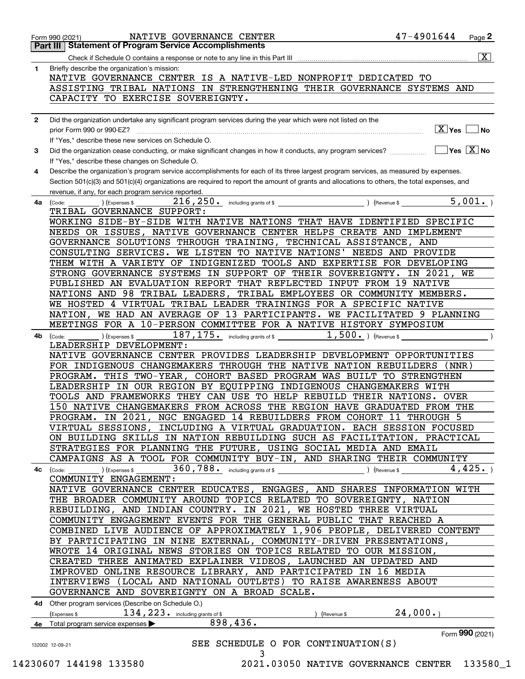| 1.           | Briefly describe the organization's mission:                                                                                                 |               |                   | $\overline{\mathbf{x}}$ |
|--------------|----------------------------------------------------------------------------------------------------------------------------------------------|---------------|-------------------|-------------------------|
|              | NATIVE GOVERNANCE CENTER IS A NATIVE-LED NONPROFIT DEDICATED TO                                                                              |               |                   |                         |
|              | ASSISTING TRIBAL NATIONS IN STRENGTHENING THEIR GOVERNANCE SYSTEMS AND                                                                       |               |                   |                         |
|              | CAPACITY TO EXERCISE SOVEREIGNTY.                                                                                                            |               |                   |                         |
|              |                                                                                                                                              |               |                   |                         |
| $\mathbf{2}$ | Did the organization undertake any significant program services during the year which were not listed on the                                 |               |                   |                         |
|              |                                                                                                                                              |               | $X$ Yes $\Box$ No |                         |
|              | If "Yes." describe these new services on Schedule O.                                                                                         |               |                   |                         |
| З            | Did the organization cease conducting, or make significant changes in how it conducts, any program services?                                 |               | $ Yes X $ No      |                         |
|              | If "Yes," describe these changes on Schedule O.                                                                                              |               |                   |                         |
| 4            | Describe the organization's program service accomplishments for each of its three largest program services, as measured by expenses.         |               |                   |                         |
|              | Section 501(c)(3) and 501(c)(4) organizations are required to report the amount of grants and allocations to others, the total expenses, and |               |                   |                         |
|              | revenue, if any, for each program service reported.                                                                                          |               |                   |                         |
| 4a           | $\overline{216}$ , $250$ . including grants of \$<br>(Code:<br>(Expenses \$                                                                  | ) (Revenue \$ | 5,001.            |                         |
|              | TRIBAL GOVERNANCE SUPPORT:                                                                                                                   |               |                   |                         |
|              | WORKING SIDE-BY-SIDE WITH NATIVE NATIONS THAT HAVE IDENTIFIED SPECIFIC                                                                       |               |                   |                         |
|              | NEEDS OR ISSUES, NATIVE GOVERNANCE CENTER HELPS CREATE AND IMPLEMENT                                                                         |               |                   |                         |
|              | GOVERNANCE SOLUTIONS THROUGH TRAINING, TECHNICAL ASSISTANCE, AND                                                                             |               |                   |                         |
|              | CONSULTING SERVICES. WE LISTEN TO NATIVE NATIONS' NEEDS AND PROVIDE                                                                          |               |                   |                         |
|              | THEM WITH A VARIETY OF INDIGENIZED TOOLS AND EXPERTISE FOR DEVELOPING                                                                        |               |                   |                         |
|              | STRONG GOVERNANCE SYSTEMS IN SUPPORT OF THEIR SOVEREIGNTY. IN 2021, WE                                                                       |               |                   |                         |
|              | PUBLISHED AN EVALUATION REPORT THAT REFLECTED INPUT FROM 19 NATIVE                                                                           |               |                   |                         |
|              | NATIONS AND 98 TRIBAL LEADERS, TRIBAL EMPLOYEES OR COMMUNITY MEMBERS.                                                                        |               |                   |                         |
|              | WE HOSTED 4 VIRTUAL TRIBAL LEADER TRAININGS FOR A SPECIFIC NATIVE                                                                            |               |                   |                         |
|              | NATION, WE HAD AN AVERAGE OF 13 PARTICIPANTS. WE FACILITATED 9 PLANNING                                                                      |               |                   |                         |
|              | MEETINGS FOR A 10-PERSON COMMITTEE FOR A NATIVE HISTORY SYMPOSIUM                                                                            |               |                   |                         |
| 4b           | $\overline{1}$ , $500 \underline{\bullet}$ ) (Revenue \$<br>$187$ , $175$ $\cdot$ including grants of \$<br>(Code:<br>(Expenses \$           |               |                   |                         |
|              | LEADERSHIP DEVELOPMENT:                                                                                                                      |               |                   |                         |
|              | NATIVE GOVERNANCE CENTER PROVIDES LEADERSHIP DEVELOPMENT OPPORTUNITIES                                                                       |               |                   |                         |
|              | FOR INDIGENOUS CHANGEMAKERS THROUGH THE NATIVE NATION REBUILDERS (NNR)                                                                       |               |                   |                         |
|              | PROGRAM. THIS TWO-YEAR, COHORT BASED PROGRAM WAS BUILT TO STRENGTHEN                                                                         |               |                   |                         |
|              | LEADERSHIP IN OUR REGION BY EQUIPPING INDIGENOUS CHANGEMAKERS WITH                                                                           |               |                   |                         |
|              | TOOLS AND FRAMEWORKS THEY CAN USE TO HELP REBUILD THEIR NATIONS. OVER                                                                        |               |                   |                         |
|              | 150 NATIVE CHANGEMAKERS FROM ACROSS THE REGION HAVE GRADUATED FROM THE                                                                       |               |                   |                         |
|              | PROGRAM. IN 2021, NGC ENGAGED 14 REBUILDERS FROM COHORT 11 THROUGH 5                                                                         |               |                   |                         |
|              | VIRTUAL SESSIONS, INCLUDING A VIRTUAL GRADUATION. EACH SESSION FOCUSED                                                                       |               |                   |                         |
|              | ON BUILDING SKILLS IN NATION REBUILDING SUCH AS FACILITATION, PRACTICAL                                                                      |               |                   |                         |
|              | STRATEGIES FOR PLANNING THE FUTURE, USING SOCIAL MEDIA AND EMAIL                                                                             |               |                   |                         |
|              | CAMPAIGNS AS A TOOL FOR COMMUNITY BUY-IN, AND SHARING THEIR COMMUNITY                                                                        |               |                   |                         |
|              | (Expenses \$<br>$4c$ (Code:                                                                                                                  |               | 4,425.            |                         |
|              | COMMUNITY ENGAGEMENT:                                                                                                                        |               |                   |                         |
|              | NATIVE GOVERNANCE CENTER EDUCATES, ENGAGES, AND SHARES INFORMATION WITH                                                                      |               |                   |                         |
|              | THE BROADER COMMUNITY AROUND TOPICS RELATED TO SOVEREIGNTY, NATION                                                                           |               |                   |                         |
|              | REBUILDING, AND INDIAN COUNTRY. IN 2021, WE HOSTED THREE VIRTUAL                                                                             |               |                   |                         |
|              | COMMUNITY ENGAGEMENT EVENTS FOR THE GENERAL PUBLIC THAT REACHED A                                                                            |               |                   |                         |
|              | COMBINED LIVE AUDIENCE OF APPROXIMATELY 1,906 PEOPLE, DELIVERED CONTENT                                                                      |               |                   |                         |
|              | BY PARTICIPATING IN NINE EXTERNAL, COMMUNITY-DRIVEN PRESENTATIONS,                                                                           |               |                   |                         |
|              | WROTE 14 ORIGINAL NEWS STORIES ON TOPICS RELATED TO OUR MISSION,                                                                             |               |                   |                         |
|              | CREATED THREE ANIMATED EXPLAINER VIDEOS, LAUNCHED AN UPDATED AND                                                                             |               |                   |                         |
|              | IMPROVED ONLINE RESOURCE LIBRARY, AND PARTICIPATED IN 16 MEDIA<br>INTERVIEWS (LOCAL AND NATIONAL OUTLETS) TO RAISE AWARENESS ABOUT           |               |                   |                         |
|              |                                                                                                                                              |               |                   |                         |
|              | GOVERNANCE AND SOVEREIGNTY ON A BROAD SCALE.                                                                                                 |               |                   |                         |
|              | 4d Other program services (Describe on Schedule O.)                                                                                          |               |                   |                         |
|              | $134$ , $223$ or including grants of \$<br>(Revenue \$<br>(Expenses \$                                                                       | 24,000.       |                   |                         |
|              |                                                                                                                                              |               |                   |                         |
|              | 898,436.<br>4e Total program service expenses                                                                                                |               | Form 990 (2021)   |                         |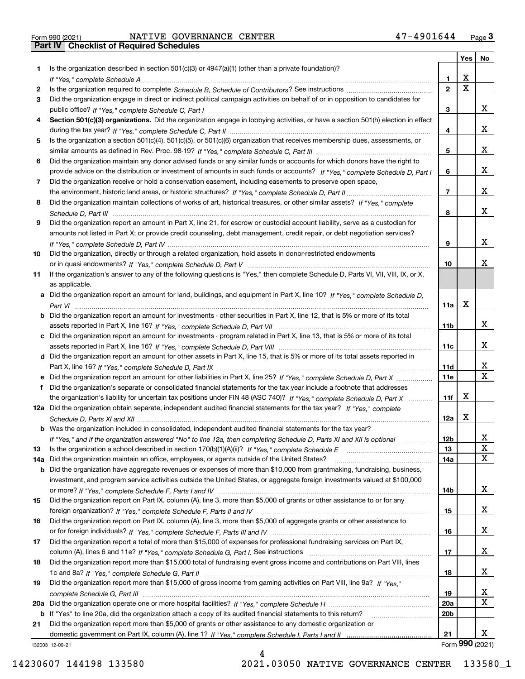|  | Form 990 (2021) |
|--|-----------------|

|     |                                                                                                                                       |                 |             | Yes   No        |
|-----|---------------------------------------------------------------------------------------------------------------------------------------|-----------------|-------------|-----------------|
| 1.  | Is the organization described in section $501(c)(3)$ or $4947(a)(1)$ (other than a private foundation)?                               |                 |             |                 |
|     |                                                                                                                                       | 1               | X           |                 |
| 2   |                                                                                                                                       | $\overline{2}$  | $\mathbf X$ |                 |
| 3   | Did the organization engage in direct or indirect political campaign activities on behalf of or in opposition to candidates for       |                 |             |                 |
|     |                                                                                                                                       | 3               |             | x               |
| 4   | Section 501(c)(3) organizations. Did the organization engage in lobbying activities, or have a section 501(h) election in effect      |                 |             |                 |
|     |                                                                                                                                       | 4               |             | x               |
| 5   | Is the organization a section 501(c)(4), 501(c)(5), or 501(c)(6) organization that receives membership dues, assessments, or          |                 |             |                 |
|     |                                                                                                                                       | 5               |             | x               |
| 6   | Did the organization maintain any donor advised funds or any similar funds or accounts for which donors have the right to             |                 |             |                 |
|     | provide advice on the distribution or investment of amounts in such funds or accounts? If "Yes," complete Schedule D, Part I          | 6               |             | x               |
| 7   | Did the organization receive or hold a conservation easement, including easements to preserve open space,                             |                 |             |                 |
|     |                                                                                                                                       | $\overline{7}$  |             | x               |
| 8   | Did the organization maintain collections of works of art, historical treasures, or other similar assets? If "Yes," complete          |                 |             |                 |
|     |                                                                                                                                       | 8               |             | x               |
| 9   | Did the organization report an amount in Part X, line 21, for escrow or custodial account liability, serve as a custodian for         |                 |             |                 |
|     | amounts not listed in Part X; or provide credit counseling, debt management, credit repair, or debt negotiation services?             |                 |             |                 |
|     |                                                                                                                                       | 9               |             | x               |
| 10  | Did the organization, directly or through a related organization, hold assets in donor-restricted endowments                          |                 |             |                 |
|     |                                                                                                                                       | 10              |             | x               |
| 11  | If the organization's answer to any of the following questions is "Yes," then complete Schedule D, Parts VI, VII, VIII, IX, or X,     |                 |             |                 |
|     | as applicable.                                                                                                                        |                 |             |                 |
|     | a Did the organization report an amount for land, buildings, and equipment in Part X, line 10? If "Yes," complete Schedule D.         |                 |             |                 |
|     |                                                                                                                                       | 11a             | X           |                 |
|     | <b>b</b> Did the organization report an amount for investments - other securities in Part X, line 12, that is 5% or more of its total |                 |             |                 |
|     |                                                                                                                                       | 11b             |             | x               |
|     | Did the organization report an amount for investments - program related in Part X, line 13, that is 5% or more of its total           |                 |             |                 |
|     |                                                                                                                                       | 11c             |             | x               |
|     | d Did the organization report an amount for other assets in Part X, line 15, that is 5% or more of its total assets reported in       |                 |             |                 |
|     |                                                                                                                                       | 11d             |             | X               |
|     | e Did the organization report an amount for other liabilities in Part X, line 25? If "Yes," complete Schedule D, Part X               | 11e             |             | $\mathbf{x}$    |
| f   | Did the organization's separate or consolidated financial statements for the tax year include a footnote that addresses               |                 |             |                 |
|     | the organization's liability for uncertain tax positions under FIN 48 (ASC 740)? If "Yes," complete Schedule D, Part X                | 11f             | x           |                 |
|     | 12a Did the organization obtain separate, independent audited financial statements for the tax year? If "Yes," complete               |                 |             |                 |
|     |                                                                                                                                       | 12a             | х           |                 |
|     | <b>b</b> Was the organization included in consolidated, independent audited financial statements for the tax year?                    |                 |             |                 |
|     | If "Yes," and if the organization answered "No" to line 12a, then completing Schedule D, Parts XI and XII is optional                 | סצו             |             | ▵               |
| 13  | Is the organization a school described in section 170(b)(1)(A)(ii)? If "Yes," complete Schedule E                                     | 13              |             | X               |
| 14a | Did the organization maintain an office, employees, or agents outside of the United States?                                           | 14a             |             | X               |
|     | <b>b</b> Did the organization have aggregate revenues or expenses of more than \$10,000 from grantmaking, fundraising, business,      |                 |             |                 |
|     | investment, and program service activities outside the United States, or aggregate foreign investments valued at \$100,000            |                 |             |                 |
|     |                                                                                                                                       | 14b             |             | x               |
| 15  | Did the organization report on Part IX, column (A), line 3, more than \$5,000 of grants or other assistance to or for any             |                 |             |                 |
|     |                                                                                                                                       | 15              |             | x               |
| 16  | Did the organization report on Part IX, column (A), line 3, more than \$5,000 of aggregate grants or other assistance to              |                 |             |                 |
|     |                                                                                                                                       | 16              |             | x               |
| 17  | Did the organization report a total of more than \$15,000 of expenses for professional fundraising services on Part IX,               |                 |             |                 |
|     |                                                                                                                                       | 17              |             | x               |
| 18  | Did the organization report more than \$15,000 total of fundraising event gross income and contributions on Part VIII, lines          |                 |             |                 |
|     |                                                                                                                                       | 18              |             | x               |
| 19  | Did the organization report more than \$15,000 of gross income from gaming activities on Part VIII, line 9a? If "Yes."                |                 |             |                 |
|     |                                                                                                                                       | 19              |             | х               |
|     |                                                                                                                                       | 20a             |             | х               |
|     | b If "Yes" to line 20a, did the organization attach a copy of its audited financial statements to this return?                        | 20 <sub>b</sub> |             |                 |
| 21  | Did the organization report more than \$5,000 of grants or other assistance to any domestic organization or                           |                 |             |                 |
|     |                                                                                                                                       | 21              |             | х               |
|     | 132003 12-09-21                                                                                                                       |                 |             | Form 990 (2021) |

4

132003 12-09-21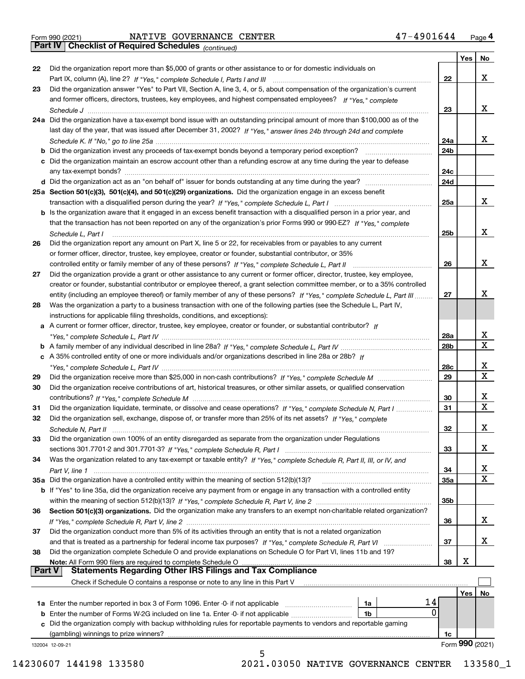|  | Form 990 (2021) |
|--|-----------------|

*(continued)*

|               |                                                                                                                                                                                 |                 | Yes | No              |
|---------------|---------------------------------------------------------------------------------------------------------------------------------------------------------------------------------|-----------------|-----|-----------------|
| 22            | Did the organization report more than \$5,000 of grants or other assistance to or for domestic individuals on                                                                   |                 |     |                 |
|               |                                                                                                                                                                                 | 22              |     | x               |
| 23            | Did the organization answer "Yes" to Part VII, Section A, line 3, 4, or 5, about compensation of the organization's current                                                     |                 |     |                 |
|               | and former officers, directors, trustees, key employees, and highest compensated employees? If "Yes," complete                                                                  |                 |     |                 |
|               |                                                                                                                                                                                 | 23              |     | x               |
|               | 24a Did the organization have a tax-exempt bond issue with an outstanding principal amount of more than \$100,000 as of the                                                     |                 |     |                 |
|               | last day of the year, that was issued after December 31, 2002? If "Yes," answer lines 24b through 24d and complete                                                              |                 |     |                 |
|               |                                                                                                                                                                                 | 24a             |     | x               |
|               | b Did the organization invest any proceeds of tax-exempt bonds beyond a temporary period exception?                                                                             | 24b             |     |                 |
|               | c Did the organization maintain an escrow account other than a refunding escrow at any time during the year to defease                                                          |                 |     |                 |
|               | any tax-exempt bonds?                                                                                                                                                           | 24c             |     |                 |
|               |                                                                                                                                                                                 | 24d             |     |                 |
|               | 25a Section 501(c)(3), 501(c)(4), and 501(c)(29) organizations. Did the organization engage in an excess benefit                                                                |                 |     |                 |
|               |                                                                                                                                                                                 | 25a             |     | x               |
|               |                                                                                                                                                                                 |                 |     |                 |
|               | b Is the organization aware that it engaged in an excess benefit transaction with a disqualified person in a prior year, and                                                    |                 |     |                 |
|               | that the transaction has not been reported on any of the organization's prior Forms 990 or 990-EZ? If "Yes," complete                                                           |                 |     | x               |
|               | Schedule L. Part I                                                                                                                                                              | 25b             |     |                 |
| 26            | Did the organization report any amount on Part X, line 5 or 22, for receivables from or payables to any current                                                                 |                 |     |                 |
|               | or former officer, director, trustee, key employee, creator or founder, substantial contributor, or 35%                                                                         |                 |     |                 |
|               |                                                                                                                                                                                 | 26              |     | x               |
| 27            | Did the organization provide a grant or other assistance to any current or former officer, director, trustee, key employee,                                                     |                 |     |                 |
|               | creator or founder, substantial contributor or employee thereof, a grant selection committee member, or to a 35% controlled                                                     |                 |     | x               |
|               | entity (including an employee thereof) or family member of any of these persons? If "Yes," complete Schedule L, Part III                                                        | 27              |     |                 |
| 28            | Was the organization a party to a business transaction with one of the following parties (see the Schedule L, Part IV,                                                          |                 |     |                 |
|               | instructions for applicable filing thresholds, conditions, and exceptions):                                                                                                     |                 |     |                 |
|               | a A current or former officer, director, trustee, key employee, creator or founder, or substantial contributor? If                                                              |                 |     |                 |
|               |                                                                                                                                                                                 | 28a             |     | х<br>Χ          |
|               |                                                                                                                                                                                 | 28 <sub>b</sub> |     |                 |
|               | c A 35% controlled entity of one or more individuals and/or organizations described in line 28a or 28b? If                                                                      |                 |     | x               |
|               |                                                                                                                                                                                 | 28c<br>29       |     | $\mathbf X$     |
| 29            |                                                                                                                                                                                 |                 |     |                 |
| 30            | Did the organization receive contributions of art, historical treasures, or other similar assets, or qualified conservation                                                     |                 |     | x               |
|               |                                                                                                                                                                                 | 30              |     | $\mathbf X$     |
| 31            | Did the organization liquidate, terminate, or dissolve and cease operations? If "Yes," complete Schedule N, Part I                                                              | 31              |     |                 |
| 32            | Did the organization sell, exchange, dispose of, or transfer more than 25% of its net assets? If "Yes," complete                                                                |                 |     | х               |
|               |                                                                                                                                                                                 | 32              |     |                 |
| 33            | Did the organization own 100% of an entity disregarded as separate from the organization under Regulations                                                                      |                 |     | х               |
|               |                                                                                                                                                                                 | 33              |     |                 |
| 34            | Was the organization related to any tax-exempt or taxable entity? If "Yes," complete Schedule R, Part II, III, or IV, and                                                       |                 |     | X               |
|               |                                                                                                                                                                                 | 34              |     | х               |
|               | 35a Did the organization have a controlled entity within the meaning of section 512(b)(13)?                                                                                     | 35a             |     |                 |
|               | b If "Yes" to line 35a, did the organization receive any payment from or engage in any transaction with a controlled entity                                                     |                 |     |                 |
|               |                                                                                                                                                                                 | 35 <sub>b</sub> |     |                 |
| 36            | Section 501(c)(3) organizations. Did the organization make any transfers to an exempt non-charitable related organization?                                                      |                 |     | x               |
|               | Did the organization conduct more than 5% of its activities through an entity that is not a related organization                                                                | 36              |     |                 |
| 37            |                                                                                                                                                                                 |                 |     | x               |
|               |                                                                                                                                                                                 | 37              |     |                 |
| 38            | Did the organization complete Schedule O and provide explanations on Schedule O for Part VI, lines 11b and 19?<br>Note: All Form 990 filers are required to complete Schedule O | 38              | X   |                 |
| <b>Part V</b> | <b>Statements Regarding Other IRS Filings and Tax Compliance</b>                                                                                                                |                 |     |                 |
|               | Check if Schedule O contains a response or note to any line in this Part V                                                                                                      |                 |     |                 |
|               |                                                                                                                                                                                 |                 | Yes | No              |
|               | 14<br><b>1a</b> Enter the number reported in box 3 of Form 1096. Enter 0 if not applicable <i>mummumumum</i><br>1a                                                              |                 |     |                 |
|               | 0<br><b>b</b> Enter the number of Forms W-2G included on line 1a. Enter -0- if not applicable <i>manumumumum</i><br>1b                                                          |                 |     |                 |
|               | c Did the organization comply with backup withholding rules for reportable payments to vendors and reportable gaming                                                            |                 |     |                 |
|               | (gambling) winnings to prize winners?                                                                                                                                           | 1c              |     |                 |
|               | 132004 12-09-21                                                                                                                                                                 |                 |     | Form 990 (2021) |
|               | 5                                                                                                                                                                               |                 |     |                 |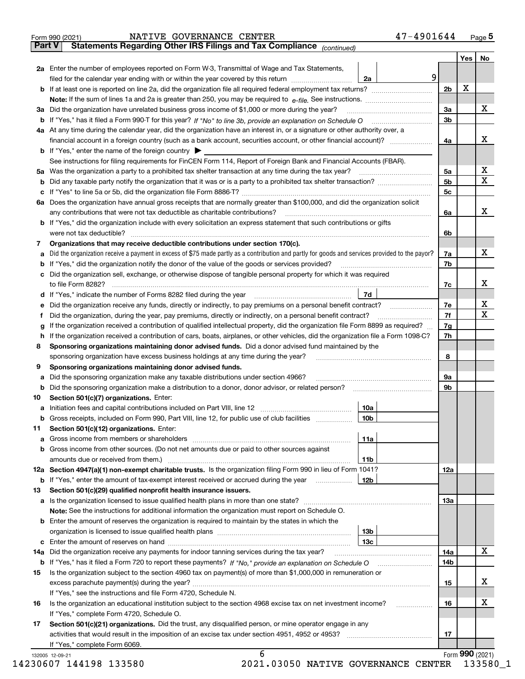|         | Statements Regarding Other IRS Filings and Tax Compliance (continued)                                                                                    |                 |                | Yes | No                      |
|---------|----------------------------------------------------------------------------------------------------------------------------------------------------------|-----------------|----------------|-----|-------------------------|
|         | 2a Enter the number of employees reported on Form W-3, Transmittal of Wage and Tax Statements,                                                           |                 |                |     |                         |
|         | filed for the calendar year ending with or within the year covered by this return                                                                        | 9<br>2a         |                |     |                         |
|         |                                                                                                                                                          |                 | 2 <sub>b</sub> | x   |                         |
|         |                                                                                                                                                          |                 |                |     |                         |
|         | 3a Did the organization have unrelated business gross income of \$1,000 or more during the year?                                                         |                 | 3a             |     | X                       |
|         |                                                                                                                                                          |                 | 3 <sub>b</sub> |     |                         |
|         | 4a At any time during the calendar year, did the organization have an interest in, or a signature or other authority over, a                             |                 |                |     |                         |
|         | financial account in a foreign country (such as a bank account, securities account, or other financial account)?                                         |                 | 4a             |     | х                       |
|         | <b>b</b> If "Yes," enter the name of the foreign country $\blacktriangleright$                                                                           |                 |                |     |                         |
|         | See instructions for filing requirements for FinCEN Form 114, Report of Foreign Bank and Financial Accounts (FBAR).                                      |                 |                |     |                         |
|         |                                                                                                                                                          |                 | 5a             |     | х                       |
| b       |                                                                                                                                                          |                 | 5b             |     | $\overline{\mathbf{X}}$ |
|         |                                                                                                                                                          |                 | 5с             |     |                         |
|         | 6a Does the organization have annual gross receipts that are normally greater than \$100,000, and did the organization solicit                           |                 |                |     |                         |
|         | any contributions that were not tax deductible as charitable contributions?                                                                              |                 | 6a             |     | X                       |
|         | <b>b</b> If "Yes," did the organization include with every solicitation an express statement that such contributions or gifts                            |                 |                |     |                         |
|         |                                                                                                                                                          |                 | 6b             |     |                         |
| 7       | Organizations that may receive deductible contributions under section 170(c).                                                                            |                 |                |     |                         |
| а       | Did the organization receive a payment in excess of \$75 made partly as a contribution and partly for goods and services provided to the payor?          |                 | 7a             |     | х                       |
|         | If "Yes," did the organization notify the donor of the value of the goods or services provided?                                                          |                 | 7b             |     |                         |
| b       | c Did the organization sell, exchange, or otherwise dispose of tangible personal property for which it was required                                      |                 |                |     |                         |
|         |                                                                                                                                                          |                 | 7c             |     | X                       |
|         | d If "Yes," indicate the number of Forms 8282 filed during the year [11] [11] No. 2010 [12] Henry Manuscones (                                           | 7d              |                |     |                         |
|         | Did the organization receive any funds, directly or indirectly, to pay premiums on a personal benefit contract?                                          |                 | 7e             |     | х                       |
| е       |                                                                                                                                                          |                 | 7f             |     | $\mathbf X$             |
| f       | Did the organization, during the year, pay premiums, directly or indirectly, on a personal benefit contract?                                             |                 |                |     |                         |
| g       | If the organization received a contribution of qualified intellectual property, did the organization file Form 8899 as required?                         |                 | 7g<br>7h       |     |                         |
| h       | If the organization received a contribution of cars, boats, airplanes, or other vehicles, did the organization file a Form 1098-C?                       |                 |                |     |                         |
| 8       | Sponsoring organizations maintaining donor advised funds. Did a donor advised fund maintained by the                                                     |                 | 8              |     |                         |
|         | sponsoring organization have excess business holdings at any time during the year?                                                                       |                 |                |     |                         |
| 9       | Sponsoring organizations maintaining donor advised funds.                                                                                                |                 |                |     |                         |
| а       | Did the sponsoring organization make any taxable distributions under section 4966?                                                                       |                 | 9a<br>9b       |     |                         |
| b<br>10 | Did the sponsoring organization make a distribution to a donor, donor advisor, or related person? [[[[[[[[[[[<br>Section 501(c)(7) organizations. Enter: |                 |                |     |                         |
|         |                                                                                                                                                          | 10a             |                |     |                         |
|         | Gross receipts, included on Form 990, Part VIII, line 12, for public use of club facilities                                                              | 10b             |                |     |                         |
| 11      | Section 501(c)(12) organizations. Enter:                                                                                                                 |                 |                |     |                         |
|         |                                                                                                                                                          | 11a             |                |     |                         |
|         | b Gross income from other sources. (Do not net amounts due or paid to other sources against                                                              |                 |                |     |                         |
|         |                                                                                                                                                          | 11b             |                |     |                         |
|         | 12a Section 4947(a)(1) non-exempt charitable trusts. Is the organization filing Form 990 in lieu of Form 1041?                                           |                 | 12a            |     |                         |
|         | <b>b</b> If "Yes," enter the amount of tax-exempt interest received or accrued during the year <i>manument</i>                                           | 12b             |                |     |                         |
| 13      | Section 501(c)(29) qualified nonprofit health insurance issuers.                                                                                         |                 |                |     |                         |
|         | <b>a</b> Is the organization licensed to issue qualified health plans in more than one state?                                                            |                 | 13а            |     |                         |
|         | Note: See the instructions for additional information the organization must report on Schedule O.                                                        |                 |                |     |                         |
|         | <b>b</b> Enter the amount of reserves the organization is required to maintain by the states in which the                                                |                 |                |     |                         |
|         |                                                                                                                                                          | 13 <sub>b</sub> |                |     |                         |
|         |                                                                                                                                                          | 13с             |                |     |                         |
|         | 14a Did the organization receive any payments for indoor tanning services during the tax year?                                                           |                 | 14a            |     | X                       |
|         |                                                                                                                                                          |                 | 14b            |     |                         |
| 15      | Is the organization subject to the section 4960 tax on payment(s) of more than \$1,000,000 in remuneration or                                            |                 |                |     |                         |
|         |                                                                                                                                                          |                 | 15             |     | x                       |
|         |                                                                                                                                                          |                 |                |     |                         |
|         | If "Yes," see the instructions and file Form 4720, Schedule N.                                                                                           |                 |                |     | х                       |
| 16      | Is the organization an educational institution subject to the section 4968 excise tax on net investment income?                                          |                 | 16             |     |                         |
|         | If "Yes," complete Form 4720, Schedule O.                                                                                                                |                 |                |     |                         |
| 17      | Section 501(c)(21) organizations. Did the trust, any disqualified person, or mine operator engage in any                                                 |                 |                |     |                         |
|         | If "Yes," complete Form 6069.                                                                                                                            |                 | 17             |     |                         |
|         |                                                                                                                                                          |                 |                |     | Form 990 (2021)         |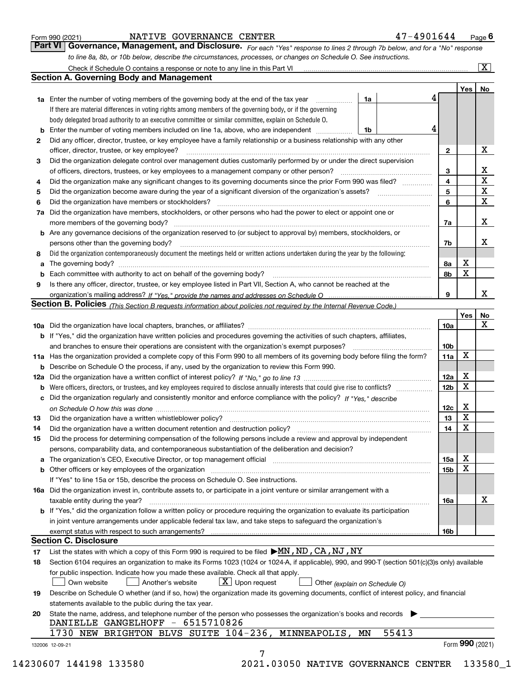|  | Form 990 (2021) |
|--|-----------------|
|  |                 |

| Form 990 (2021) | NATIVE GOVERNANCE CENTER | 47-4901644                                                                                                                   | $P_{\text{aqe}}$ 6 |
|-----------------|--------------------------|------------------------------------------------------------------------------------------------------------------------------|--------------------|
|                 |                          | Part VI Governance, Management, and Disclosure. For each "Yes" response to lines 2 through 7b below, and for a "No" response |                    |
|                 |                          | to line 8a, 8b, or 10b below, describe the circumstances, processes, or changes on Schedule O. See instructions.             |                    |

|                                                                                             | Check if Schedule O contains a response or note to any line in this Part VI                                                                                           |    |       |                 |     | X               |
|---------------------------------------------------------------------------------------------|-----------------------------------------------------------------------------------------------------------------------------------------------------------------------|----|-------|-----------------|-----|-----------------|
|                                                                                             | <b>Section A. Governing Body and Management</b>                                                                                                                       |    |       |                 |     |                 |
|                                                                                             |                                                                                                                                                                       |    |       |                 | Yes | No              |
|                                                                                             | <b>1a</b> Enter the number of voting members of the governing body at the end of the tax year                                                                         | 1a | 4     |                 |     |                 |
|                                                                                             | If there are material differences in voting rights among members of the governing body, or if the governing                                                           |    |       |                 |     |                 |
|                                                                                             | body delegated broad authority to an executive committee or similar committee, explain on Schedule O.                                                                 |    |       |                 |     |                 |
| b                                                                                           | Enter the number of voting members included on line 1a, above, who are independent                                                                                    | 1b |       |                 |     |                 |
| 2                                                                                           | Did any officer, director, trustee, or key employee have a family relationship or a business relationship with any other                                              |    |       |                 |     |                 |
|                                                                                             | officer, director, trustee, or key employee?                                                                                                                          |    |       | $\mathbf{2}$    |     | X               |
| 3                                                                                           | Did the organization delegate control over management duties customarily performed by or under the direct supervision                                                 |    |       |                 |     |                 |
| of officers, directors, trustees, or key employees to a management company or other person? |                                                                                                                                                                       |    |       |                 |     |                 |
| 4                                                                                           | Did the organization make any significant changes to its governing documents since the prior Form 990 was filed?                                                      |    |       | 4               |     | $\mathbf X$     |
| 5                                                                                           | Did the organization become aware during the year of a significant diversion of the organization's assets?                                                            |    |       | 5               |     | $\mathbf X$     |
| 6                                                                                           | Did the organization have members or stockholders?                                                                                                                    |    |       | 6               |     | X               |
| 7a                                                                                          | Did the organization have members, stockholders, or other persons who had the power to elect or appoint one or                                                        |    |       |                 |     |                 |
|                                                                                             | more members of the governing body?                                                                                                                                   |    |       | 7a              |     | х               |
| b                                                                                           | Are any governance decisions of the organization reserved to (or subject to approval by) members, stockholders, or                                                    |    |       |                 |     |                 |
|                                                                                             | persons other than the governing body?                                                                                                                                |    |       | 7b              |     | x               |
| 8                                                                                           | Did the organization contemporaneously document the meetings held or written actions undertaken during the year by the following:                                     |    |       |                 |     |                 |
| a                                                                                           |                                                                                                                                                                       |    |       | 8a              | X   |                 |
| b                                                                                           | Each committee with authority to act on behalf of the governing body?                                                                                                 |    |       | 8b              | X   |                 |
| 9                                                                                           | Is there any officer, director, trustee, or key employee listed in Part VII, Section A, who cannot be reached at the                                                  |    |       |                 |     |                 |
|                                                                                             |                                                                                                                                                                       |    |       | 9               |     | x               |
|                                                                                             | Section B. Policies <sub>(This Section B requests information about policies not required by the Internal Revenue Code.)</sub>                                        |    |       |                 |     |                 |
|                                                                                             |                                                                                                                                                                       |    |       |                 | Yes | <u>No</u>       |
|                                                                                             |                                                                                                                                                                       |    |       | 10a             |     | x               |
|                                                                                             | <b>b</b> If "Yes," did the organization have written policies and procedures governing the activities of such chapters, affiliates,                                   |    |       |                 |     |                 |
|                                                                                             | and branches to ensure their operations are consistent with the organization's exempt purposes?                                                                       |    |       | 10 <sub>b</sub> |     |                 |
|                                                                                             | 11a Has the organization provided a complete copy of this Form 990 to all members of its governing body before filing the form?                                       |    |       | 11a             | X   |                 |
| b                                                                                           | Describe on Schedule O the process, if any, used by the organization to review this Form 990.                                                                         |    |       |                 |     |                 |
| 12a                                                                                         |                                                                                                                                                                       |    |       | 12a             | X   |                 |
| b                                                                                           | Were officers, directors, or trustees, and key employees required to disclose annually interests that could give rise to conflicts?                                   |    |       | 12b             | X   |                 |
| с                                                                                           | Did the organization regularly and consistently monitor and enforce compliance with the policy? If "Yes." describe                                                    |    |       |                 |     |                 |
|                                                                                             |                                                                                                                                                                       |    |       | 12c             | X   |                 |
| 13                                                                                          | Did the organization have a written whistleblower policy?                                                                                                             |    |       | 13              | X   |                 |
| 14                                                                                          | Did the organization have a written document retention and destruction policy?                                                                                        |    |       | 14              | X   |                 |
| 15                                                                                          | Did the process for determining compensation of the following persons include a review and approval by independent                                                    |    |       |                 |     |                 |
|                                                                                             | persons, comparability data, and contemporaneous substantiation of the deliberation and decision?                                                                     |    |       |                 |     |                 |
| а                                                                                           | The organization's CEO, Executive Director, or top management official manufactured content of the organization's CEO, Executive Director, or top management official |    |       | 15a             | X   |                 |
| b                                                                                           | Other officers or key employees of the organization                                                                                                                   |    |       | 15 <sub>b</sub> | X   |                 |
|                                                                                             | If "Yes" to line 15a or 15b, describe the process on Schedule O. See instructions.                                                                                    |    |       |                 |     |                 |
|                                                                                             | 16a Did the organization invest in, contribute assets to, or participate in a joint venture or similar arrangement with a                                             |    |       |                 |     |                 |
|                                                                                             | taxable entity during the year?                                                                                                                                       |    |       | 16a             |     | х               |
|                                                                                             | b If "Yes," did the organization follow a written policy or procedure requiring the organization to evaluate its participation                                        |    |       |                 |     |                 |
|                                                                                             | in joint venture arrangements under applicable federal tax law, and take steps to safequard the organization's                                                        |    |       |                 |     |                 |
|                                                                                             | exempt status with respect to such arrangements?                                                                                                                      |    |       | 16b             |     |                 |
|                                                                                             | <b>Section C. Disclosure</b>                                                                                                                                          |    |       |                 |     |                 |
| 17                                                                                          | List the states with which a copy of this Form 990 is required to be filed $\blacktriangleright$ MN, ND, CA, NJ, NY                                                   |    |       |                 |     |                 |
| 18                                                                                          | Section 6104 requires an organization to make its Forms 1023 (1024 or 1024-A, if applicable), 990, and 990-T (section 501(c)(3)s only) available                      |    |       |                 |     |                 |
|                                                                                             | for public inspection. Indicate how you made these available. Check all that apply.                                                                                   |    |       |                 |     |                 |
|                                                                                             | $X$ Upon request<br>Own website<br>Another's website<br>Other (explain on Schedule O)                                                                                 |    |       |                 |     |                 |
| 19                                                                                          | Describe on Schedule O whether (and if so, how) the organization made its governing documents, conflict of interest policy, and financial                             |    |       |                 |     |                 |
|                                                                                             | statements available to the public during the tax year.                                                                                                               |    |       |                 |     |                 |
| 20                                                                                          | State the name, address, and telephone number of the person who possesses the organization's books and records                                                        |    |       |                 |     |                 |
|                                                                                             | DANIELLE GANGELHOFF - 6515710826                                                                                                                                      |    |       |                 |     |                 |
|                                                                                             | 1730 NEW BRIGHTON BLVS SUITE 104-236, MINNEAPOLIS,                                                                                                                    | MΝ | 55413 |                 |     |                 |
|                                                                                             | 132006 12-09-21                                                                                                                                                       |    |       |                 |     | Form 990 (2021) |
|                                                                                             | 7                                                                                                                                                                     |    |       |                 |     |                 |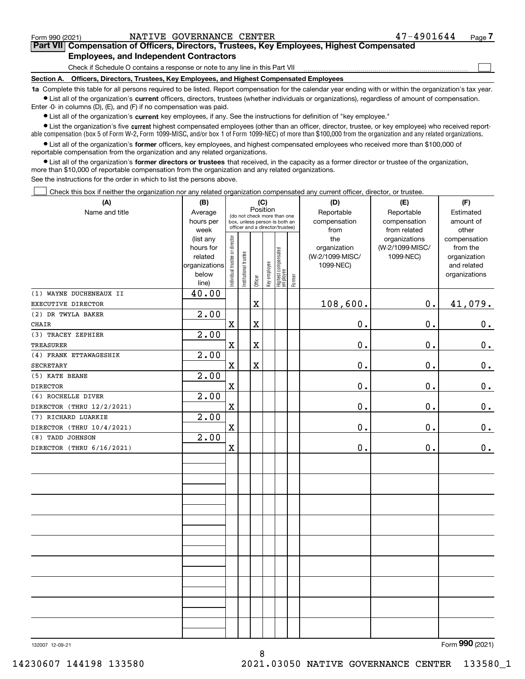$\mathcal{L}^{\text{max}}$ 

## **7Part VII Compensation of Officers, Directors, Trustees, Key Employees, Highest Compensated Employees, and Independent Contractors**

Check if Schedule O contains a response or note to any line in this Part VII

**Section A. Officers, Directors, Trustees, Key Employees, and Highest Compensated Employees**

**1a**  Complete this table for all persons required to be listed. Report compensation for the calendar year ending with or within the organization's tax year. **•** List all of the organization's current officers, directors, trustees (whether individuals or organizations), regardless of amount of compensation.

Enter -0- in columns (D), (E), and (F) if no compensation was paid.

 $\bullet$  List all of the organization's  $\sf current$  key employees, if any. See the instructions for definition of "key employee."

**•** List the organization's five current highest compensated employees (other than an officer, director, trustee, or key employee) who received reportable compensation (box 5 of Form W-2, Form 1099-MISC, and/or box 1 of Form 1099-NEC) of more than \$100,000 from the organization and any related organizations.

**•** List all of the organization's former officers, key employees, and highest compensated employees who received more than \$100,000 of reportable compensation from the organization and any related organizations.

**former directors or trustees**  ¥ List all of the organization's that received, in the capacity as a former director or trustee of the organization, more than \$10,000 of reportable compensation from the organization and any related organizations.

See the instructions for the order in which to list the persons above.

Check this box if neither the organization nor any related organization compensated any current officer, director, or trustee.  $\mathcal{L}^{\text{max}}$ 

| (A)                       | (B)                    |                               |                                                                  |             | (C)          |                                   |           | (D)             | (E)             | (F)           |
|---------------------------|------------------------|-------------------------------|------------------------------------------------------------------|-------------|--------------|-----------------------------------|-----------|-----------------|-----------------|---------------|
| Name and title            | Average                |                               | Position<br>(do not check more than one                          |             | Reportable   | Reportable                        | Estimated |                 |                 |               |
|                           | hours per              |                               | box, unless person is both an<br>officer and a director/trustee) |             | compensation | compensation                      | amount of |                 |                 |               |
|                           | week                   |                               |                                                                  |             |              |                                   |           | from            | from related    | other         |
|                           | (list any              |                               |                                                                  |             |              |                                   |           | the             | organizations   | compensation  |
|                           | hours for              |                               |                                                                  |             |              |                                   |           | organization    | (W-2/1099-MISC/ | from the      |
|                           | related                |                               |                                                                  |             |              |                                   |           | (W-2/1099-MISC/ | 1099-NEC)       | organization  |
|                           | organizations<br>below |                               |                                                                  |             |              |                                   |           | 1099-NEC)       |                 | and related   |
|                           | line)                  | ndividual trustee or director | nstitutional trustee                                             | Officer     | Key employee | Highest compensated<br>  employee | Former    |                 |                 | organizations |
| (1) WAYNE DUCHENEAUX II   | 40.00                  |                               |                                                                  |             |              |                                   |           |                 |                 |               |
| EXECUTIVE DIRECTOR        |                        |                               |                                                                  | X           |              |                                   |           | 108,600.        | $0$ .           | 41,079.       |
| (2) DR TWYLA BAKER        | 2.00                   |                               |                                                                  |             |              |                                   |           |                 |                 |               |
| <b>CHAIR</b>              |                        | $\mathbf x$                   |                                                                  | X           |              |                                   |           | 0.              | 0.              | $0_{.}$       |
| (3) TRACEY ZEPHIER        | 2.00                   |                               |                                                                  |             |              |                                   |           |                 |                 |               |
| <b>TREASURER</b>          |                        | $\mathbf x$                   |                                                                  | $\mathbf X$ |              |                                   |           | 0.              | 0.              | $\mathbf 0$ . |
| (4) FRANK ETTAWAGESHIK    | 2.00                   |                               |                                                                  |             |              |                                   |           |                 |                 |               |
| <b>SECRETARY</b>          |                        | $\mathbf X$                   |                                                                  | $\mathbf X$ |              |                                   |           | 0.              | 0.              | $0_{.}$       |
| (5) KATE BEANE            | 2.00                   |                               |                                                                  |             |              |                                   |           |                 |                 |               |
| <b>DIRECTOR</b>           |                        | $\mathbf x$                   |                                                                  |             |              |                                   |           | 0.              | 0.              | $\mathbf 0$ . |
| (6) ROCHELLE DIVER        | 2.00                   |                               |                                                                  |             |              |                                   |           |                 |                 |               |
| DIRECTOR (THRU 12/2/2021) |                        | $\mathbf X$                   |                                                                  |             |              |                                   |           | $0$ .           | 0.              | $0_{.}$       |
| (7) RICHARD LUARKIE       | 2.00                   |                               |                                                                  |             |              |                                   |           |                 |                 |               |
| DIRECTOR (THRU 10/4/2021) |                        | $\mathbf X$                   |                                                                  |             |              |                                   |           | $\mathbf 0$ .   | 0.              | $\mathbf 0$ . |
| (8) TADD JOHNSON          | $\overline{2.00}$      |                               |                                                                  |             |              |                                   |           |                 |                 |               |
| DIRECTOR (THRU 6/16/2021) |                        | $\mathbf X$                   |                                                                  |             |              |                                   |           | 0.              | 0.              | 0.            |
|                           |                        |                               |                                                                  |             |              |                                   |           |                 |                 |               |
|                           |                        |                               |                                                                  |             |              |                                   |           |                 |                 |               |
|                           |                        |                               |                                                                  |             |              |                                   |           |                 |                 |               |
|                           |                        |                               |                                                                  |             |              |                                   |           |                 |                 |               |
|                           |                        |                               |                                                                  |             |              |                                   |           |                 |                 |               |
|                           |                        |                               |                                                                  |             |              |                                   |           |                 |                 |               |
|                           |                        |                               |                                                                  |             |              |                                   |           |                 |                 |               |
|                           |                        |                               |                                                                  |             |              |                                   |           |                 |                 |               |
|                           |                        |                               |                                                                  |             |              |                                   |           |                 |                 |               |
|                           |                        |                               |                                                                  |             |              |                                   |           |                 |                 |               |
|                           |                        |                               |                                                                  |             |              |                                   |           |                 |                 |               |
|                           |                        |                               |                                                                  |             |              |                                   |           |                 |                 |               |
|                           |                        |                               |                                                                  |             |              |                                   |           |                 |                 |               |
|                           |                        |                               |                                                                  |             |              |                                   |           |                 |                 |               |
|                           |                        |                               |                                                                  |             |              |                                   |           |                 |                 |               |

8

132007 12-09-21

Form (2021) **990**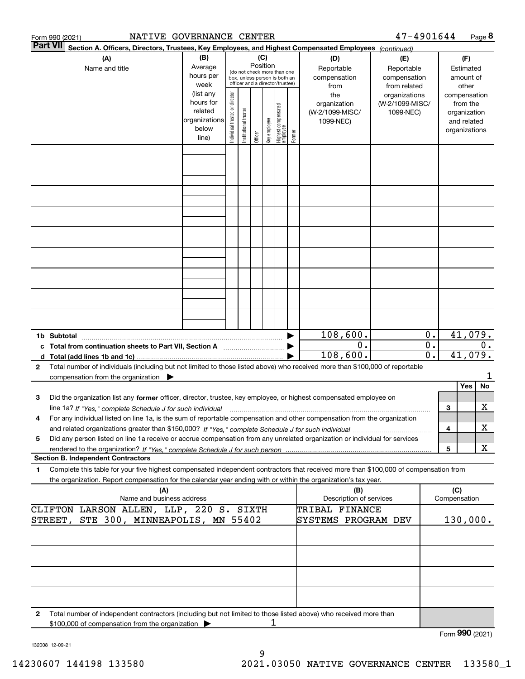|                                                                                                                           | 47-4901644<br>NATIVE GOVERNANCE CENTER<br>Page 8<br>Form 990 (2021)                                                                                                                                                                                          |                                                                                                               |                                     |                                                                                                                    |  |  |                                               |                                                   |  |                                                                                                                                                                                                                                                                              |                                        |                                                 |                 |          |        |
|---------------------------------------------------------------------------------------------------------------------------|--------------------------------------------------------------------------------------------------------------------------------------------------------------------------------------------------------------------------------------------------------------|---------------------------------------------------------------------------------------------------------------|-------------------------------------|--------------------------------------------------------------------------------------------------------------------|--|--|-----------------------------------------------|---------------------------------------------------|--|------------------------------------------------------------------------------------------------------------------------------------------------------------------------------------------------------------------------------------------------------------------------------|----------------------------------------|-------------------------------------------------|-----------------|----------|--------|
| <b>Part VII</b><br>Section A. Officers, Directors, Trustees, Key Employees, and Highest Compensated Employees (continued) |                                                                                                                                                                                                                                                              |                                                                                                               |                                     |                                                                                                                    |  |  |                                               |                                                   |  |                                                                                                                                                                                                                                                                              |                                        |                                                 |                 |          |        |
| (A)<br>Name and title                                                                                                     |                                                                                                                                                                                                                                                              |                                                                                                               | (B)<br>Average<br>hours per<br>week | (C)<br>Position<br>(do not check more than one<br>box, unless person is both an<br>officer and a director/trustee) |  |  | (D)<br>Reportable<br>compensation<br>from     | (E)<br>Reportable<br>compensation<br>from related |  |                                                                                                                                                                                                                                                                              | (F)<br>Estimated<br>amount of<br>other |                                                 |                 |          |        |
|                                                                                                                           | (list any<br>ndividual trustee or director<br>the<br>hours for<br>organization<br>Highest compensated<br>employee<br>nstitutional trustee<br>related<br>(W-2/1099-MISC/<br>organizations<br>Key employee<br>1099-NEC)<br>below<br>Former<br>Officer<br>line) |                                                                                                               |                                     |                                                                                                                    |  |  | organizations<br>(W-2/1099-MISC/<br>1099-NEC) |                                                   |  | compensation<br>from the<br>organization<br>and related<br>organizations                                                                                                                                                                                                     |                                        |                                                 |                 |          |        |
|                                                                                                                           |                                                                                                                                                                                                                                                              |                                                                                                               |                                     |                                                                                                                    |  |  |                                               |                                                   |  |                                                                                                                                                                                                                                                                              |                                        |                                                 |                 |          |        |
|                                                                                                                           |                                                                                                                                                                                                                                                              |                                                                                                               |                                     |                                                                                                                    |  |  |                                               |                                                   |  |                                                                                                                                                                                                                                                                              |                                        |                                                 |                 |          |        |
|                                                                                                                           |                                                                                                                                                                                                                                                              |                                                                                                               |                                     |                                                                                                                    |  |  |                                               |                                                   |  |                                                                                                                                                                                                                                                                              |                                        |                                                 |                 |          |        |
|                                                                                                                           |                                                                                                                                                                                                                                                              |                                                                                                               |                                     |                                                                                                                    |  |  |                                               |                                                   |  |                                                                                                                                                                                                                                                                              |                                        |                                                 |                 |          |        |
|                                                                                                                           |                                                                                                                                                                                                                                                              |                                                                                                               |                                     |                                                                                                                    |  |  |                                               |                                                   |  |                                                                                                                                                                                                                                                                              |                                        |                                                 |                 |          |        |
|                                                                                                                           |                                                                                                                                                                                                                                                              |                                                                                                               |                                     |                                                                                                                    |  |  |                                               |                                                   |  |                                                                                                                                                                                                                                                                              |                                        |                                                 |                 |          |        |
|                                                                                                                           |                                                                                                                                                                                                                                                              |                                                                                                               |                                     |                                                                                                                    |  |  |                                               |                                                   |  |                                                                                                                                                                                                                                                                              |                                        |                                                 |                 |          |        |
|                                                                                                                           | 1b Subtotal                                                                                                                                                                                                                                                  |                                                                                                               |                                     |                                                                                                                    |  |  |                                               |                                                   |  | 108,600.                                                                                                                                                                                                                                                                     |                                        | $0$ .                                           |                 | 41,079.  |        |
|                                                                                                                           |                                                                                                                                                                                                                                                              | c Total from continuation sheets to Part VII, Section A manufactor continues<br>d Total (add lines 1b and 1c) |                                     |                                                                                                                    |  |  |                                               |                                                   |  | 0.<br>108,600.                                                                                                                                                                                                                                                               |                                        | $\overline{0}$ .<br>$\overline{\mathfrak{o}}$ . |                 | 41,079.  | 0.     |
| 2                                                                                                                         |                                                                                                                                                                                                                                                              | compensation from the organization                                                                            |                                     |                                                                                                                    |  |  |                                               |                                                   |  | Total number of individuals (including but not limited to those listed above) who received more than \$100,000 of reportable                                                                                                                                                 |                                        |                                                 |                 |          | ı      |
| з                                                                                                                         |                                                                                                                                                                                                                                                              |                                                                                                               |                                     |                                                                                                                    |  |  |                                               |                                                   |  | Did the organization list any former officer, director, trustee, key employee, or highest compensated employee on                                                                                                                                                            |                                        |                                                 |                 | Yes      | No     |
| 4                                                                                                                         |                                                                                                                                                                                                                                                              |                                                                                                               |                                     |                                                                                                                    |  |  |                                               |                                                   |  | line 1a? If "Yes," complete Schedule J for such individual material content content to the 1a? If "Yes," complete Schedule J for such individual<br>For any individual listed on line 1a, is the sum of reportable compensation and other compensation from the organization |                                        |                                                 | 3<br>4          |          | x<br>x |
| 5                                                                                                                         |                                                                                                                                                                                                                                                              |                                                                                                               |                                     |                                                                                                                    |  |  |                                               |                                                   |  | Did any person listed on line 1a receive or accrue compensation from any unrelated organization or individual for services                                                                                                                                                   |                                        |                                                 | 5               |          | x      |
| 1                                                                                                                         |                                                                                                                                                                                                                                                              | <b>Section B. Independent Contractors</b>                                                                     |                                     |                                                                                                                    |  |  |                                               |                                                   |  | Complete this table for your five highest compensated independent contractors that received more than \$100,000 of compensation from                                                                                                                                         |                                        |                                                 |                 |          |        |
|                                                                                                                           |                                                                                                                                                                                                                                                              |                                                                                                               |                                     |                                                                                                                    |  |  |                                               |                                                   |  | the organization. Report compensation for the calendar year ending with or within the organization's tax year.                                                                                                                                                               |                                        |                                                 |                 |          |        |
|                                                                                                                           | (C)<br>(A)<br>(B)<br>Compensation<br>Name and business address<br>Description of services<br>CLIFTON LARSON ALLEN, LLP, 220 S. SIXTH<br>TRIBAL FINANCE                                                                                                       |                                                                                                               |                                     |                                                                                                                    |  |  |                                               |                                                   |  |                                                                                                                                                                                                                                                                              |                                        |                                                 |                 |          |        |
|                                                                                                                           |                                                                                                                                                                                                                                                              | STREET, STE 300, MINNEAPOLIS, MN 55402                                                                        |                                     |                                                                                                                    |  |  |                                               |                                                   |  | SYSTEMS PROGRAM DEV                                                                                                                                                                                                                                                          |                                        |                                                 |                 | 130,000. |        |
|                                                                                                                           |                                                                                                                                                                                                                                                              |                                                                                                               |                                     |                                                                                                                    |  |  |                                               |                                                   |  |                                                                                                                                                                                                                                                                              |                                        |                                                 |                 |          |        |
|                                                                                                                           |                                                                                                                                                                                                                                                              |                                                                                                               |                                     |                                                                                                                    |  |  |                                               |                                                   |  |                                                                                                                                                                                                                                                                              |                                        |                                                 |                 |          |        |
| 2                                                                                                                         |                                                                                                                                                                                                                                                              |                                                                                                               |                                     |                                                                                                                    |  |  |                                               |                                                   |  | Total number of independent contractors (including but not limited to those listed above) who received more than                                                                                                                                                             |                                        |                                                 |                 |          |        |
|                                                                                                                           |                                                                                                                                                                                                                                                              | \$100,000 of compensation from the organization                                                               |                                     |                                                                                                                    |  |  |                                               |                                                   |  |                                                                                                                                                                                                                                                                              |                                        |                                                 | Form 990 (2021) |          |        |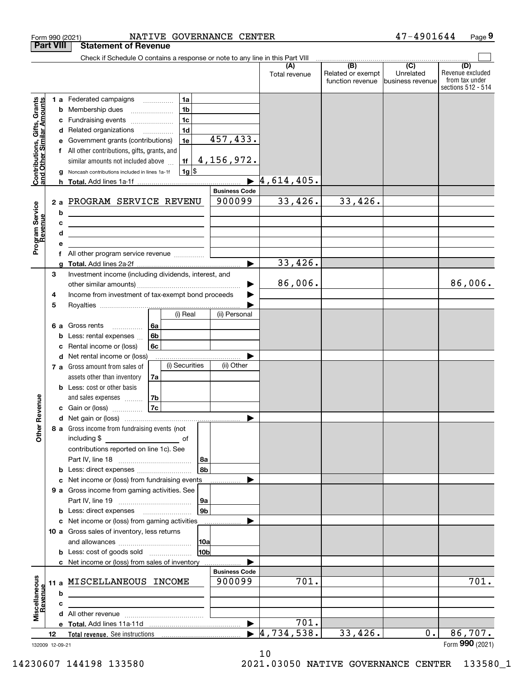| <b>Part VIII</b><br>Check if Schedule O contains a response or note to any line in this Part VIII<br>$\overline{(\mathsf{B})}$ $\overline{(\mathsf{C})}$<br>(D)<br>(A)<br>Related or exempt<br>Unrelated<br>Total revenue<br>function revenue<br>lbusiness revenue<br><b>Contributions, Gifts, Grants</b><br>and Other Similar Amounts<br>1 a Federated campaigns<br>1a<br>1 <sub>b</sub><br><b>b</b> Membership dues<br>1 <sub>c</sub><br>c Fundraising events<br>1 <sub>d</sub><br>d Related organizations<br>457,433.<br>1e<br>Government grants (contributions)<br>е<br>All other contributions, gifts, grants, and<br><u>4,156,972.</u><br>1f<br>similar amounts not included above<br>$1g$ \$<br>Noncash contributions included in lines 1a-1f<br>a<br>$\overline{4}$ , 614, 405.<br><b>Business Code</b><br>33,426.<br>33,426.<br>900099<br>2 a PROGRAM SERVICE REVENU<br>Program Service<br>Revenue<br>b<br><u> 1980 - Johann Barn, mars ann an t-Amhain Aonaich an t-Aonaich an t-Aonaich ann an t-Aonaich ann an t-Aonaich</u><br>c<br><u> 1989 - John Harry Harry Harry Harry Harry Harry Harry Harry Harry Harry Harry Harry Harry Harry Harry Harry H</u><br>d<br>the contract of the contract of the contract of the contract of the contract of<br>е<br>All other program service revenue<br>f<br>33,426.<br>g<br>3<br>Investment income (including dividends, interest, and<br>86,006.<br>▶<br>Income from investment of tax-exempt bond proceeds<br>4<br>5<br>(i) Real<br>(ii) Personal<br>6a<br>Gross rents<br>6а<br>6b<br>Less: rental expenses<br>b<br>Rental income or (loss)<br>6с<br>c<br>d Net rental income or (loss)<br>(i) Securities<br>(ii) Other<br>7 a Gross amount from sales of<br>assets other than inventory<br>7a<br><b>b</b> Less: cost or other basis<br>evenue<br>7b<br>and sales expenses<br><b>7c</b><br>c Gain or (loss)<br>œ<br>Other<br>8 a Gross income from fundraising events (not<br>contributions reported on line 1c). See<br> 8a<br>l 8b<br><b>b</b> Less: direct expenses <i></i><br>c Net income or (loss) from fundraising events<br>9 a Gross income from gaming activities. See<br>  9a<br>9 <sub>b</sub><br><b>b</b> Less: direct expenses <b>manually</b><br>c Net income or (loss) from gaming activities<br>.<br>10 a Gross sales of inventory, less returns<br> 10a<br>10 <sub>b</sub><br>c Net income or (loss) from sales of inventory<br><b>Business Code</b><br>Miscellaneous<br>701.<br>900099<br>11 a MISCELLANEOUS INCOME<br>Revenue<br>b<br><u> 1989 - Johann Barbara, martxa alemaniar arg</u><br>c<br>$\overline{7}01.$<br>$\blacktriangleright$<br>$\blacktriangleright$ 4,734,538.<br>86,707.<br>33,426.<br>$0$ .<br>12 |  | NATIVE GOVERNANCE CENTER<br>Form 990 (2021) |  | 47-4901644 | Page 9                                                   |
|--------------------------------------------------------------------------------------------------------------------------------------------------------------------------------------------------------------------------------------------------------------------------------------------------------------------------------------------------------------------------------------------------------------------------------------------------------------------------------------------------------------------------------------------------------------------------------------------------------------------------------------------------------------------------------------------------------------------------------------------------------------------------------------------------------------------------------------------------------------------------------------------------------------------------------------------------------------------------------------------------------------------------------------------------------------------------------------------------------------------------------------------------------------------------------------------------------------------------------------------------------------------------------------------------------------------------------------------------------------------------------------------------------------------------------------------------------------------------------------------------------------------------------------------------------------------------------------------------------------------------------------------------------------------------------------------------------------------------------------------------------------------------------------------------------------------------------------------------------------------------------------------------------------------------------------------------------------------------------------------------------------------------------------------------------------------------------------------------------------------------------------------------------------------------------------------------------------------------------------------------------------------------------------------------------------------------------------------------------------------------------------------------------------------------------------------------------------------------------------------------------------------------------------------------------------------------------------------------------------------------------------------------------------------------------------------------|--|---------------------------------------------|--|------------|----------------------------------------------------------|
|                                                                                                                                                                                                                                                                                                                                                                                                                                                                                                                                                                                                                                                                                                                                                                                                                                                                                                                                                                                                                                                                                                                                                                                                                                                                                                                                                                                                                                                                                                                                                                                                                                                                                                                                                                                                                                                                                                                                                                                                                                                                                                                                                                                                                                                                                                                                                                                                                                                                                                                                                                                                                                                                                                  |  | <b>Statement of Revenue</b>                 |  |            |                                                          |
|                                                                                                                                                                                                                                                                                                                                                                                                                                                                                                                                                                                                                                                                                                                                                                                                                                                                                                                                                                                                                                                                                                                                                                                                                                                                                                                                                                                                                                                                                                                                                                                                                                                                                                                                                                                                                                                                                                                                                                                                                                                                                                                                                                                                                                                                                                                                                                                                                                                                                                                                                                                                                                                                                                  |  |                                             |  |            | Revenue excluded<br>from tax under<br>sections 512 - 514 |
|                                                                                                                                                                                                                                                                                                                                                                                                                                                                                                                                                                                                                                                                                                                                                                                                                                                                                                                                                                                                                                                                                                                                                                                                                                                                                                                                                                                                                                                                                                                                                                                                                                                                                                                                                                                                                                                                                                                                                                                                                                                                                                                                                                                                                                                                                                                                                                                                                                                                                                                                                                                                                                                                                                  |  |                                             |  |            |                                                          |
|                                                                                                                                                                                                                                                                                                                                                                                                                                                                                                                                                                                                                                                                                                                                                                                                                                                                                                                                                                                                                                                                                                                                                                                                                                                                                                                                                                                                                                                                                                                                                                                                                                                                                                                                                                                                                                                                                                                                                                                                                                                                                                                                                                                                                                                                                                                                                                                                                                                                                                                                                                                                                                                                                                  |  |                                             |  |            |                                                          |
|                                                                                                                                                                                                                                                                                                                                                                                                                                                                                                                                                                                                                                                                                                                                                                                                                                                                                                                                                                                                                                                                                                                                                                                                                                                                                                                                                                                                                                                                                                                                                                                                                                                                                                                                                                                                                                                                                                                                                                                                                                                                                                                                                                                                                                                                                                                                                                                                                                                                                                                                                                                                                                                                                                  |  |                                             |  |            |                                                          |
|                                                                                                                                                                                                                                                                                                                                                                                                                                                                                                                                                                                                                                                                                                                                                                                                                                                                                                                                                                                                                                                                                                                                                                                                                                                                                                                                                                                                                                                                                                                                                                                                                                                                                                                                                                                                                                                                                                                                                                                                                                                                                                                                                                                                                                                                                                                                                                                                                                                                                                                                                                                                                                                                                                  |  |                                             |  |            |                                                          |
|                                                                                                                                                                                                                                                                                                                                                                                                                                                                                                                                                                                                                                                                                                                                                                                                                                                                                                                                                                                                                                                                                                                                                                                                                                                                                                                                                                                                                                                                                                                                                                                                                                                                                                                                                                                                                                                                                                                                                                                                                                                                                                                                                                                                                                                                                                                                                                                                                                                                                                                                                                                                                                                                                                  |  |                                             |  |            | 86,006.                                                  |
|                                                                                                                                                                                                                                                                                                                                                                                                                                                                                                                                                                                                                                                                                                                                                                                                                                                                                                                                                                                                                                                                                                                                                                                                                                                                                                                                                                                                                                                                                                                                                                                                                                                                                                                                                                                                                                                                                                                                                                                                                                                                                                                                                                                                                                                                                                                                                                                                                                                                                                                                                                                                                                                                                                  |  |                                             |  |            |                                                          |
|                                                                                                                                                                                                                                                                                                                                                                                                                                                                                                                                                                                                                                                                                                                                                                                                                                                                                                                                                                                                                                                                                                                                                                                                                                                                                                                                                                                                                                                                                                                                                                                                                                                                                                                                                                                                                                                                                                                                                                                                                                                                                                                                                                                                                                                                                                                                                                                                                                                                                                                                                                                                                                                                                                  |  |                                             |  |            |                                                          |
|                                                                                                                                                                                                                                                                                                                                                                                                                                                                                                                                                                                                                                                                                                                                                                                                                                                                                                                                                                                                                                                                                                                                                                                                                                                                                                                                                                                                                                                                                                                                                                                                                                                                                                                                                                                                                                                                                                                                                                                                                                                                                                                                                                                                                                                                                                                                                                                                                                                                                                                                                                                                                                                                                                  |  |                                             |  |            |                                                          |
|                                                                                                                                                                                                                                                                                                                                                                                                                                                                                                                                                                                                                                                                                                                                                                                                                                                                                                                                                                                                                                                                                                                                                                                                                                                                                                                                                                                                                                                                                                                                                                                                                                                                                                                                                                                                                                                                                                                                                                                                                                                                                                                                                                                                                                                                                                                                                                                                                                                                                                                                                                                                                                                                                                  |  |                                             |  |            |                                                          |
|                                                                                                                                                                                                                                                                                                                                                                                                                                                                                                                                                                                                                                                                                                                                                                                                                                                                                                                                                                                                                                                                                                                                                                                                                                                                                                                                                                                                                                                                                                                                                                                                                                                                                                                                                                                                                                                                                                                                                                                                                                                                                                                                                                                                                                                                                                                                                                                                                                                                                                                                                                                                                                                                                                  |  |                                             |  |            |                                                          |
|                                                                                                                                                                                                                                                                                                                                                                                                                                                                                                                                                                                                                                                                                                                                                                                                                                                                                                                                                                                                                                                                                                                                                                                                                                                                                                                                                                                                                                                                                                                                                                                                                                                                                                                                                                                                                                                                                                                                                                                                                                                                                                                                                                                                                                                                                                                                                                                                                                                                                                                                                                                                                                                                                                  |  |                                             |  |            |                                                          |
|                                                                                                                                                                                                                                                                                                                                                                                                                                                                                                                                                                                                                                                                                                                                                                                                                                                                                                                                                                                                                                                                                                                                                                                                                                                                                                                                                                                                                                                                                                                                                                                                                                                                                                                                                                                                                                                                                                                                                                                                                                                                                                                                                                                                                                                                                                                                                                                                                                                                                                                                                                                                                                                                                                  |  |                                             |  |            |                                                          |
|                                                                                                                                                                                                                                                                                                                                                                                                                                                                                                                                                                                                                                                                                                                                                                                                                                                                                                                                                                                                                                                                                                                                                                                                                                                                                                                                                                                                                                                                                                                                                                                                                                                                                                                                                                                                                                                                                                                                                                                                                                                                                                                                                                                                                                                                                                                                                                                                                                                                                                                                                                                                                                                                                                  |  |                                             |  |            |                                                          |
|                                                                                                                                                                                                                                                                                                                                                                                                                                                                                                                                                                                                                                                                                                                                                                                                                                                                                                                                                                                                                                                                                                                                                                                                                                                                                                                                                                                                                                                                                                                                                                                                                                                                                                                                                                                                                                                                                                                                                                                                                                                                                                                                                                                                                                                                                                                                                                                                                                                                                                                                                                                                                                                                                                  |  |                                             |  |            |                                                          |
|                                                                                                                                                                                                                                                                                                                                                                                                                                                                                                                                                                                                                                                                                                                                                                                                                                                                                                                                                                                                                                                                                                                                                                                                                                                                                                                                                                                                                                                                                                                                                                                                                                                                                                                                                                                                                                                                                                                                                                                                                                                                                                                                                                                                                                                                                                                                                                                                                                                                                                                                                                                                                                                                                                  |  |                                             |  |            |                                                          |
|                                                                                                                                                                                                                                                                                                                                                                                                                                                                                                                                                                                                                                                                                                                                                                                                                                                                                                                                                                                                                                                                                                                                                                                                                                                                                                                                                                                                                                                                                                                                                                                                                                                                                                                                                                                                                                                                                                                                                                                                                                                                                                                                                                                                                                                                                                                                                                                                                                                                                                                                                                                                                                                                                                  |  |                                             |  |            | 701.                                                     |
|                                                                                                                                                                                                                                                                                                                                                                                                                                                                                                                                                                                                                                                                                                                                                                                                                                                                                                                                                                                                                                                                                                                                                                                                                                                                                                                                                                                                                                                                                                                                                                                                                                                                                                                                                                                                                                                                                                                                                                                                                                                                                                                                                                                                                                                                                                                                                                                                                                                                                                                                                                                                                                                                                                  |  |                                             |  |            |                                                          |
|                                                                                                                                                                                                                                                                                                                                                                                                                                                                                                                                                                                                                                                                                                                                                                                                                                                                                                                                                                                                                                                                                                                                                                                                                                                                                                                                                                                                                                                                                                                                                                                                                                                                                                                                                                                                                                                                                                                                                                                                                                                                                                                                                                                                                                                                                                                                                                                                                                                                                                                                                                                                                                                                                                  |  |                                             |  |            |                                                          |
|                                                                                                                                                                                                                                                                                                                                                                                                                                                                                                                                                                                                                                                                                                                                                                                                                                                                                                                                                                                                                                                                                                                                                                                                                                                                                                                                                                                                                                                                                                                                                                                                                                                                                                                                                                                                                                                                                                                                                                                                                                                                                                                                                                                                                                                                                                                                                                                                                                                                                                                                                                                                                                                                                                  |  |                                             |  |            |                                                          |
| 132009 12-09-21                                                                                                                                                                                                                                                                                                                                                                                                                                                                                                                                                                                                                                                                                                                                                                                                                                                                                                                                                                                                                                                                                                                                                                                                                                                                                                                                                                                                                                                                                                                                                                                                                                                                                                                                                                                                                                                                                                                                                                                                                                                                                                                                                                                                                                                                                                                                                                                                                                                                                                                                                                                                                                                                                  |  |                                             |  |            | Form 990 (2021)                                          |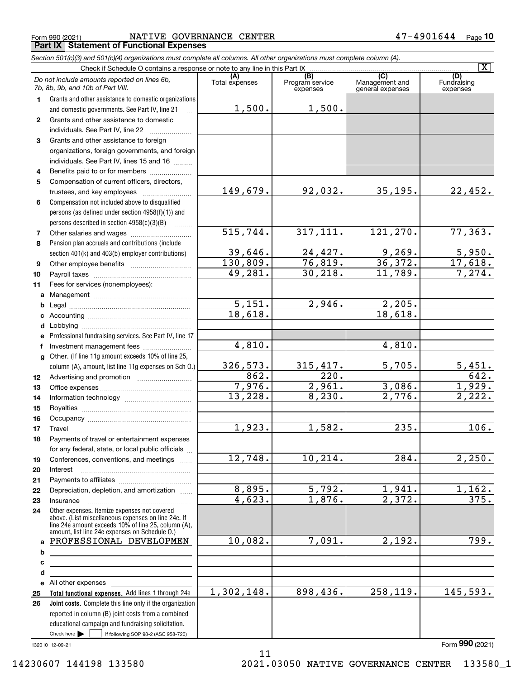Form 990 (2021) NATIVE GOVERNANCE CENTER 4 7 – 4 9 0 1 6 4 4  $\,$  Page **Part IX Statement of Functional Expenses**

|              | Section 501(c)(3) and 501(c)(4) organizations must complete all columns. All other organizations must complete column (A).<br>Check if Schedule O contains a response or note to any line in this Part IX    |                |                             |                                    | $\overline{\mathtt{x}}$ |
|--------------|--------------------------------------------------------------------------------------------------------------------------------------------------------------------------------------------------------------|----------------|-----------------------------|------------------------------------|-------------------------|
|              |                                                                                                                                                                                                              | (A)            | (B)                         | $\overline{C}$                     | (D)                     |
|              | Do not include amounts reported on lines 6b,<br>7b, 8b, 9b, and 10b of Part VIII.                                                                                                                            | Total expenses | Program service<br>expenses | Management and<br>general expenses | Fundraising<br>expenses |
| 1.           | Grants and other assistance to domestic organizations                                                                                                                                                        |                |                             |                                    |                         |
|              | and domestic governments. See Part IV, line 21                                                                                                                                                               | 1,500.         | 1,500.                      |                                    |                         |
| $\mathbf{2}$ | Grants and other assistance to domestic                                                                                                                                                                      |                |                             |                                    |                         |
|              | individuals. See Part IV, line 22                                                                                                                                                                            |                |                             |                                    |                         |
| 3            | Grants and other assistance to foreign                                                                                                                                                                       |                |                             |                                    |                         |
|              | organizations, foreign governments, and foreign                                                                                                                                                              |                |                             |                                    |                         |
|              | individuals. See Part IV, lines 15 and 16                                                                                                                                                                    |                |                             |                                    |                         |
| 4            | Benefits paid to or for members                                                                                                                                                                              |                |                             |                                    |                         |
| 5            | Compensation of current officers, directors,                                                                                                                                                                 |                |                             |                                    |                         |
|              | trustees, and key employees                                                                                                                                                                                  | 149,679.       | 92,032.                     | 35, 195.                           | 22,452.                 |
| 6            | Compensation not included above to disqualified                                                                                                                                                              |                |                             |                                    |                         |
|              | persons (as defined under section 4958(f)(1)) and                                                                                                                                                            |                |                             |                                    |                         |
|              | persons described in section 4958(c)(3)(B)                                                                                                                                                                   |                |                             |                                    |                         |
| 7            | Other salaries and wages                                                                                                                                                                                     | 515,744.       | 317, 111.                   | 121, 270.                          | 77,363.                 |
| 8            | Pension plan accruals and contributions (include                                                                                                                                                             |                |                             |                                    |                         |
|              | section 401(k) and 403(b) employer contributions)                                                                                                                                                            | 39,646.        | $\frac{24,427.}{76,819.}$   | 9,269.                             | $\frac{5,950}{17,618}$  |
| 9            |                                                                                                                                                                                                              | 130,809.       |                             | 36,372.                            |                         |
| 10           |                                                                                                                                                                                                              | 49,281.        | 30, 218.                    | 11,789.                            | 7,274.                  |
| 11           | Fees for services (nonemployees):                                                                                                                                                                            |                |                             |                                    |                         |
| a            |                                                                                                                                                                                                              |                |                             |                                    |                         |
|              |                                                                                                                                                                                                              | 5,151.         | 2,946.                      | 2,205.                             |                         |
|              |                                                                                                                                                                                                              | 18,618.        |                             | 18,618.                            |                         |
|              |                                                                                                                                                                                                              |                |                             |                                    |                         |
|              | e Professional fundraising services. See Part IV, line 17                                                                                                                                                    |                |                             |                                    |                         |
| f            | Investment management fees                                                                                                                                                                                   | 4,810.         |                             | 4,810.                             |                         |
|              | g Other. (If line 11g amount exceeds 10% of line 25,                                                                                                                                                         |                |                             |                                    |                         |
|              | column (A), amount, list line 11g expenses on Sch O.)                                                                                                                                                        | 326,573.       | 315,417.                    | 5,705.                             | $\frac{5,451.}{642.}$   |
| 12           |                                                                                                                                                                                                              | 862.           | 220.                        |                                    |                         |
| 13           |                                                                                                                                                                                                              | 7,976.         | 2,961.                      | 3,086.                             | 1,929.                  |
| 14           |                                                                                                                                                                                                              | 13,228.        | 8,230.                      | 2,776.                             | $\overline{2,222}$ .    |
| 15           |                                                                                                                                                                                                              |                |                             |                                    |                         |
| 16           |                                                                                                                                                                                                              |                |                             |                                    |                         |
| 17           |                                                                                                                                                                                                              | 1,923.         | 1,582.                      | 235.                               | 106.                    |
| 18           | Payments of travel or entertainment expenses                                                                                                                                                                 |                |                             |                                    |                         |
|              | for any federal, state, or local public officials                                                                                                                                                            |                |                             |                                    |                         |
| 19           | Conferences, conventions, and meetings                                                                                                                                                                       | 12,748.        | 10, 214.                    | 284.                               | 2,250.                  |
| 20           | Interest                                                                                                                                                                                                     |                |                             |                                    |                         |
| 21           |                                                                                                                                                                                                              |                |                             |                                    |                         |
| 22           | Depreciation, depletion, and amortization                                                                                                                                                                    | 8,895.         | $\overline{5,792}$ .        | 1,941.                             | 1,162.                  |
| 23           | Insurance                                                                                                                                                                                                    | 4,623.         | 1,876.                      | 2,372.                             | 375.                    |
| 24           | Other expenses. Itemize expenses not covered<br>above. (List miscellaneous expenses on line 24e. If<br>line 24e amount exceeds 10% of line 25, column (A),<br>amount, list line 24e expenses on Schedule O.) |                |                             |                                    |                         |
| a            | PROFESSIONAL DEVELOPMEN                                                                                                                                                                                      | 10,082.        | 7,091.                      | 2,192.                             | 799.                    |
| b            | <u> 1989 - Johann Stein, mars an deus Amerikaansk kommunister (</u>                                                                                                                                          |                |                             |                                    |                         |
| с            |                                                                                                                                                                                                              |                |                             |                                    |                         |
| d            |                                                                                                                                                                                                              |                |                             |                                    |                         |
|              | e All other expenses                                                                                                                                                                                         |                |                             |                                    |                         |
| 25           | Total functional expenses. Add lines 1 through 24e                                                                                                                                                           | 1,302,148.     | 898,436.                    | 258, 119.                          | 145,593.                |
| 26           | <b>Joint costs.</b> Complete this line only if the organization                                                                                                                                              |                |                             |                                    |                         |
|              | reported in column (B) joint costs from a combined                                                                                                                                                           |                |                             |                                    |                         |
|              | educational campaign and fundraising solicitation.                                                                                                                                                           |                |                             |                                    |                         |
|              | Check here $\blacktriangleright$<br>if following SOP 98-2 (ASC 958-720)                                                                                                                                      |                |                             |                                    |                         |
|              |                                                                                                                                                                                                              |                |                             |                                    |                         |

11

132010 12-09-21

Form (2021) **990**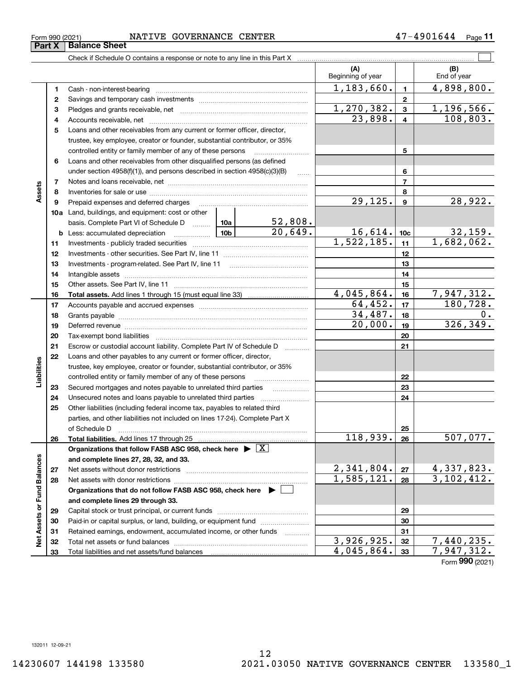#### Form 990 (2021) NATIVE GOVERNANCE CENTER 4 7 – 4 9 0 1 6 4 4  $\,$  Page

|                             |    |                                                                                    |                                                                  |                       |                   | (A)<br>Beginning of year     |                                 | (B)<br>End of year          |
|-----------------------------|----|------------------------------------------------------------------------------------|------------------------------------------------------------------|-----------------------|-------------------|------------------------------|---------------------------------|-----------------------------|
|                             | 1  | Cash - non-interest-bearing                                                        |                                                                  |                       |                   | 1,183,660.                   | $\mathbf{1}$                    | 4,898,800.                  |
|                             | 2  |                                                                                    |                                                                  |                       |                   |                              | $\mathbf 2$                     |                             |
|                             | з  |                                                                                    |                                                                  |                       |                   | <u>1,270,382.</u>            | 3                               | 1, 196, 566.                |
|                             | 4  |                                                                                    |                                                                  |                       |                   | 23,898.                      | 4                               | 108, 803.                   |
|                             | 5  | Loans and other receivables from any current or former officer, director,          |                                                                  |                       |                   |                              |                                 |                             |
|                             |    | trustee, key employee, creator or founder, substantial contributor, or 35%         |                                                                  |                       |                   |                              |                                 |                             |
|                             |    | controlled entity or family member of any of these persons                         |                                                                  |                       | 5                 |                              |                                 |                             |
|                             | 6  | Loans and other receivables from other disqualified persons (as defined            |                                                                  |                       |                   |                              |                                 |                             |
|                             |    | under section $4958(f)(1)$ , and persons described in section $4958(c)(3)(B)$      |                                                                  | .                     |                   |                              | 6                               |                             |
|                             | 7  |                                                                                    |                                                                  |                       |                   |                              | $\overline{7}$                  |                             |
| Assets                      | 8  |                                                                                    |                                                                  |                       |                   |                              | 8                               |                             |
|                             | 9  | Prepaid expenses and deferred charges                                              |                                                                  |                       |                   | $\overline{29,125}$ .        | 9                               | 28,922.                     |
|                             |    | 10a Land, buildings, and equipment: cost or other                                  |                                                                  |                       |                   |                              |                                 |                             |
|                             |    | basis. Complete Part VI of Schedule D  10a   52,808.                               |                                                                  |                       |                   |                              |                                 |                             |
|                             |    | $\frac{10b}{2}$<br><b>b</b> Less: accumulated depreciation                         |                                                                  | $\overline{20,649}$ . |                   |                              | 10 <sub>c</sub>                 |                             |
|                             | 11 |                                                                                    |                                                                  |                       |                   | $\frac{16,614.}{1,522,185.}$ | 11                              | $\frac{32,159}{1,682,062.}$ |
|                             | 12 |                                                                                    |                                                                  |                       | 12                |                              |                                 |                             |
|                             | 13 | Investments - program-related. See Part IV, line 11                                |                                                                  |                       | 13                |                              |                                 |                             |
|                             | 14 |                                                                                    |                                                                  |                       |                   |                              | 14                              |                             |
|                             | 15 |                                                                                    |                                                                  |                       |                   |                              | 15                              |                             |
|                             | 16 |                                                                                    |                                                                  |                       |                   | 4,045,864.                   | 16                              | 7,947,312.                  |
|                             | 17 |                                                                                    |                                                                  |                       |                   | 64, 452.                     | 17                              | 180,728.                    |
|                             | 18 |                                                                                    |                                                                  | 34,487.               | 18                | 0.                           |                                 |                             |
|                             | 19 |                                                                                    |                                                                  | $\overline{20}$ ,000. | 19                | 326,349.                     |                                 |                             |
|                             | 20 |                                                                                    |                                                                  |                       |                   |                              | 20                              |                             |
|                             | 21 | Escrow or custodial account liability. Complete Part IV of Schedule D              |                                                                  | .                     |                   |                              | 21                              |                             |
|                             | 22 | Loans and other payables to any current or former officer, director,               |                                                                  |                       |                   |                              |                                 |                             |
| Liabilities                 |    | trustee, key employee, creator or founder, substantial contributor, or 35%         |                                                                  |                       |                   |                              |                                 |                             |
|                             |    | controlled entity or family member of any of these persons                         |                                                                  |                       |                   |                              | 22                              |                             |
|                             | 23 | Secured mortgages and notes payable to unrelated third parties                     |                                                                  | .                     |                   |                              | 23                              |                             |
|                             | 24 |                                                                                    |                                                                  |                       |                   |                              | 24                              |                             |
|                             | 25 | Other liabilities (including federal income tax, payables to related third         |                                                                  |                       |                   |                              |                                 |                             |
|                             |    | parties, and other liabilities not included on lines 17-24). Complete Part X       |                                                                  |                       |                   |                              |                                 |                             |
|                             |    | of Schedule D                                                                      |                                                                  |                       |                   |                              | 25                              |                             |
|                             | 26 |                                                                                    |                                                                  |                       |                   | 118,939.                     | 26                              | 507,077.                    |
|                             |    | Organizations that follow FASB ASC 958, check here $\blacktriangleright \boxed{X}$ |                                                                  |                       |                   |                              |                                 |                             |
|                             |    | and complete lines 27, 28, 32, and 33.                                             |                                                                  |                       |                   |                              |                                 |                             |
|                             | 27 | Net assets without donor restrictions                                              |                                                                  |                       | <u>2,341,804.</u> | ${\bf 27}$                   | $\frac{4,337,823.}{3,102,412.}$ |                             |
|                             | 28 |                                                                                    |                                                                  | 1,585,121.            | 28                |                              |                                 |                             |
|                             |    | Organizations that do not follow FASB ASC 958, check here $\blacktriangleright$    |                                                                  |                       |                   |                              |                                 |                             |
| Net Assets or Fund Balances |    | and complete lines 29 through 33.                                                  |                                                                  |                       |                   |                              |                                 |                             |
|                             | 29 |                                                                                    |                                                                  |                       | 29<br>30          |                              |                                 |                             |
|                             | 30 |                                                                                    | Paid-in or capital surplus, or land, building, or equipment fund |                       |                   |                              |                                 |                             |
|                             | 31 | Retained earnings, endowment, accumulated income, or other funds                   |                                                                  | .                     |                   |                              | 31                              |                             |
|                             | 32 |                                                                                    |                                                                  |                       |                   | 3,926,925.                   | 32                              | 7,440,235.                  |
|                             | 33 |                                                                                    |                                                                  |                       |                   | 4,045,864.                   | 33                              | 7,947,312.                  |

**11**

 $\mathcal{L}^{\text{max}}$ 

Form (2021) **990**

Check if Schedule O contains a response or note to any line in this Part X

**Part X Balance Sheet**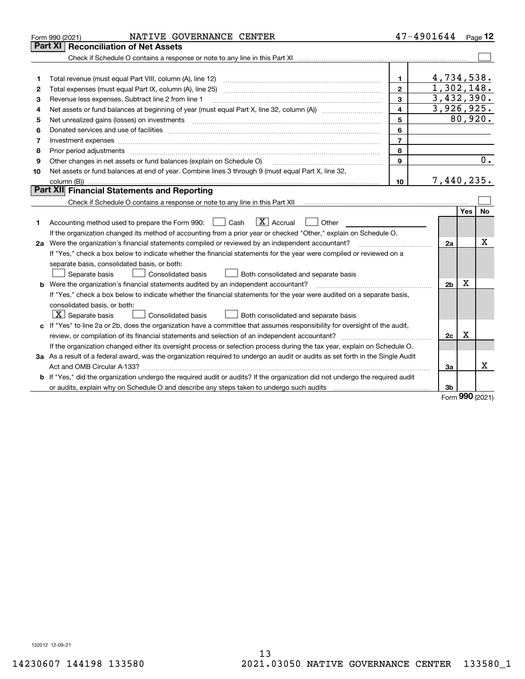| Part XI<br><b>Reconciliation of Net Assets</b><br>4,734,538.<br>1<br>1<br>1,302,148.<br>$\mathbf{2}$<br>2                                                                                                                                | 80,920.    |    |
|------------------------------------------------------------------------------------------------------------------------------------------------------------------------------------------------------------------------------------------|------------|----|
|                                                                                                                                                                                                                                          |            |    |
|                                                                                                                                                                                                                                          |            |    |
|                                                                                                                                                                                                                                          |            |    |
|                                                                                                                                                                                                                                          |            |    |
|                                                                                                                                                                                                                                          |            |    |
| 3,432,390.<br>Revenue less expenses. Subtract line 2 from line 1<br>3<br>з                                                                                                                                                               |            |    |
| 3,926,925.<br>$\overline{\mathbf{4}}$<br>4                                                                                                                                                                                               |            |    |
| 5<br>Net unrealized gains (losses) on investments [11] matter contracts and the state of the state of the state of the state of the state of the state of the state of the state of the state of the state of the state of the stat<br>5 |            |    |
| 6<br>Donated services and use of facilities [111] matter contracts and the facilities in the matter of facilities [11] matter contracts and use of facilities [11] matter contracts and the service of the service of the service o<br>6 |            |    |
| $\overline{7}$<br>Investment expenses www.communication.com/www.communication.com/www.communication.com/www.com<br>7                                                                                                                     |            |    |
| 8<br>Prior period adjustments material contents and content of the content of the content of the content of the content of the content of the content of the content of the content of the content of the content of the content of<br>8 |            |    |
| 9<br>Other changes in net assets or fund balances (explain on Schedule O)<br>9                                                                                                                                                           |            | 0. |
| Net assets or fund balances at end of year. Combine lines 3 through 9 (must equal Part X, line 32,<br>10                                                                                                                                 |            |    |
| 7,440,235.<br>10                                                                                                                                                                                                                         |            |    |
| Part XII Financial Statements and Reporting                                                                                                                                                                                              |            |    |
| Check if Schedule O contains a response or note to any line in this Part XII [11] [12] Check if Schedule O contains a response or note to any line in this Part XII                                                                      |            |    |
|                                                                                                                                                                                                                                          | <b>Yes</b> | No |
| $\overline{X}$ Accrual<br>Accounting method used to prepare the Form 990: <u>[</u> Cash<br>Other<br>$\pm$ $\pm$<br>1                                                                                                                     |            |    |
| If the organization changed its method of accounting from a prior year or checked "Other," explain on Schedule O.                                                                                                                        |            |    |
| 2a                                                                                                                                                                                                                                       |            | х  |
| If "Yes," check a box below to indicate whether the financial statements for the year were compiled or reviewed on a                                                                                                                     |            |    |
| separate basis, consolidated basis, or both:                                                                                                                                                                                             |            |    |
| Separate basis<br>Consolidated basis<br>Both consolidated and separate basis                                                                                                                                                             |            |    |
| b Were the organization's financial statements audited by an independent accountant?<br>2 <sub>b</sub>                                                                                                                                   | X          |    |
| If "Yes," check a box below to indicate whether the financial statements for the year were audited on a separate basis,                                                                                                                  |            |    |
| consolidated basis, or both:                                                                                                                                                                                                             |            |    |
| $ \mathbf{X} $ Separate basis<br><b>Consolidated basis</b><br>Both consolidated and separate basis                                                                                                                                       |            |    |
| c If "Yes" to line 2a or 2b, does the organization have a committee that assumes responsibility for oversight of the audit,                                                                                                              |            |    |
| 2c                                                                                                                                                                                                                                       | х          |    |
| If the organization changed either its oversight process or selection process during the tax year, explain on Schedule O.                                                                                                                |            |    |
| 3a As a result of a federal award, was the organization required to undergo an audit or audits as set forth in the Single Audit                                                                                                          |            |    |
| За                                                                                                                                                                                                                                       |            | Χ  |
| <b>b</b> If "Yes," did the organization undergo the required audit or audits? If the organization did not undergo the required audit                                                                                                     |            |    |
| 3b                                                                                                                                                                                                                                       | <b>200</b> |    |

Form (2021) **990**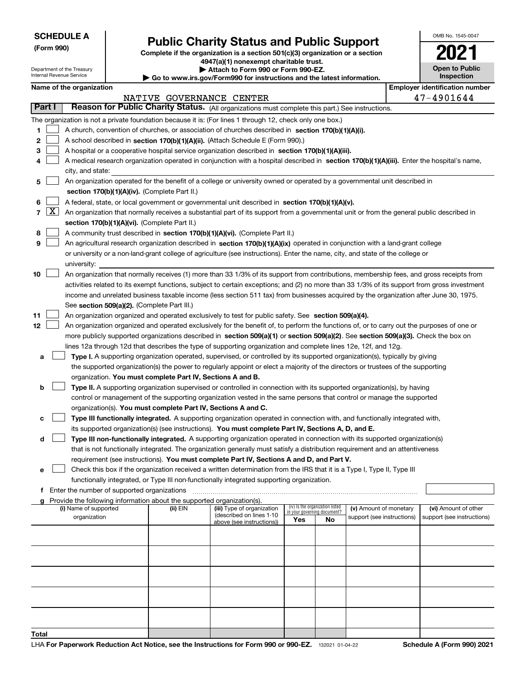Department of the Treasury Internal Revenue Service

**(Form 990)**

**Total**

## **Public Charity Status and Public Support**

**Complete if the organization is a section 501(c)(3) organization or a section 4947(a)(1) nonexempt charitable trust.**

**| Attach to Form 990 or Form 990-EZ.** 

**| Go to www.irs.gov/Form990 for instructions and the latest information.**

| OMB No 1545-0047      |
|-----------------------|
| 202                   |
| <b>Open to Public</b> |

**InspectionEmployer identification numb** 

|        |                                                                                                                                                                                                                 | Name or the organization                                                                                                                                |                          |                                                        |     |                                 |                                                      |  | Employer identification number                     |
|--------|-----------------------------------------------------------------------------------------------------------------------------------------------------------------------------------------------------------------|---------------------------------------------------------------------------------------------------------------------------------------------------------|--------------------------|--------------------------------------------------------|-----|---------------------------------|------------------------------------------------------|--|----------------------------------------------------|
| Part I |                                                                                                                                                                                                                 | Reason for Public Charity Status. (All organizations must complete this part.) See instructions.                                                        | NATIVE GOVERNANCE CENTER |                                                        |     |                                 |                                                      |  | 47-4901644                                         |
|        |                                                                                                                                                                                                                 |                                                                                                                                                         |                          |                                                        |     |                                 |                                                      |  |                                                    |
|        | The organization is not a private foundation because it is: (For lines 1 through 12, check only one box.)<br>A church, convention of churches, or association of churches described in section 170(b)(1)(A)(i). |                                                                                                                                                         |                          |                                                        |     |                                 |                                                      |  |                                                    |
| 1      |                                                                                                                                                                                                                 |                                                                                                                                                         |                          |                                                        |     |                                 |                                                      |  |                                                    |
| 2      | A school described in section 170(b)(1)(A)(ii). (Attach Schedule E (Form 990).)                                                                                                                                 |                                                                                                                                                         |                          |                                                        |     |                                 |                                                      |  |                                                    |
| 3      | A hospital or a cooperative hospital service organization described in section $170(b)(1)(A)(iii)$ .                                                                                                            |                                                                                                                                                         |                          |                                                        |     |                                 |                                                      |  |                                                    |
| 4      | A medical research organization operated in conjunction with a hospital described in section 170(b)(1)(A)(iii). Enter the hospital's name,                                                                      |                                                                                                                                                         |                          |                                                        |     |                                 |                                                      |  |                                                    |
|        | city, and state:<br>An organization operated for the benefit of a college or university owned or operated by a governmental unit described in                                                                   |                                                                                                                                                         |                          |                                                        |     |                                 |                                                      |  |                                                    |
| 5      |                                                                                                                                                                                                                 | section 170(b)(1)(A)(iv). (Complete Part II.)                                                                                                           |                          |                                                        |     |                                 |                                                      |  |                                                    |
|        |                                                                                                                                                                                                                 |                                                                                                                                                         |                          |                                                        |     |                                 |                                                      |  |                                                    |
| 6      | $\vert$ X $\vert$                                                                                                                                                                                               | A federal, state, or local government or governmental unit described in section 170(b)(1)(A)(v).                                                        |                          |                                                        |     |                                 |                                                      |  |                                                    |
| 7      |                                                                                                                                                                                                                 | An organization that normally receives a substantial part of its support from a governmental unit or from the general public described in               |                          |                                                        |     |                                 |                                                      |  |                                                    |
|        |                                                                                                                                                                                                                 | section 170(b)(1)(A)(vi). (Complete Part II.)                                                                                                           |                          |                                                        |     |                                 |                                                      |  |                                                    |
| 8      |                                                                                                                                                                                                                 | A community trust described in section 170(b)(1)(A)(vi). (Complete Part II.)                                                                            |                          |                                                        |     |                                 |                                                      |  |                                                    |
| 9      |                                                                                                                                                                                                                 | An agricultural research organization described in section 170(b)(1)(A)(ix) operated in conjunction with a land-grant college                           |                          |                                                        |     |                                 |                                                      |  |                                                    |
|        |                                                                                                                                                                                                                 | or university or a non-land-grant college of agriculture (see instructions). Enter the name, city, and state of the college or                          |                          |                                                        |     |                                 |                                                      |  |                                                    |
| 10     |                                                                                                                                                                                                                 | university:<br>An organization that normally receives (1) more than 33 1/3% of its support from contributions, membership fees, and gross receipts from |                          |                                                        |     |                                 |                                                      |  |                                                    |
|        |                                                                                                                                                                                                                 | activities related to its exempt functions, subject to certain exceptions; and (2) no more than 33 1/3% of its support from gross investment            |                          |                                                        |     |                                 |                                                      |  |                                                    |
|        |                                                                                                                                                                                                                 | income and unrelated business taxable income (less section 511 tax) from businesses acquired by the organization after June 30, 1975.                   |                          |                                                        |     |                                 |                                                      |  |                                                    |
|        |                                                                                                                                                                                                                 | See section 509(a)(2). (Complete Part III.)                                                                                                             |                          |                                                        |     |                                 |                                                      |  |                                                    |
| 11     |                                                                                                                                                                                                                 | An organization organized and operated exclusively to test for public safety. See section 509(a)(4).                                                    |                          |                                                        |     |                                 |                                                      |  |                                                    |
| 12     |                                                                                                                                                                                                                 | An organization organized and operated exclusively for the benefit of, to perform the functions of, or to carry out the purposes of one or              |                          |                                                        |     |                                 |                                                      |  |                                                    |
|        |                                                                                                                                                                                                                 | more publicly supported organizations described in section 509(a)(1) or section 509(a)(2). See section 509(a)(3). Check the box on                      |                          |                                                        |     |                                 |                                                      |  |                                                    |
|        |                                                                                                                                                                                                                 | lines 12a through 12d that describes the type of supporting organization and complete lines 12e, 12f, and 12g.                                          |                          |                                                        |     |                                 |                                                      |  |                                                    |
| а      |                                                                                                                                                                                                                 | Type I. A supporting organization operated, supervised, or controlled by its supported organization(s), typically by giving                             |                          |                                                        |     |                                 |                                                      |  |                                                    |
|        |                                                                                                                                                                                                                 | the supported organization(s) the power to regularly appoint or elect a majority of the directors or trustees of the supporting                         |                          |                                                        |     |                                 |                                                      |  |                                                    |
|        |                                                                                                                                                                                                                 | organization. You must complete Part IV, Sections A and B.                                                                                              |                          |                                                        |     |                                 |                                                      |  |                                                    |
| b      |                                                                                                                                                                                                                 | Type II. A supporting organization supervised or controlled in connection with its supported organization(s), by having                                 |                          |                                                        |     |                                 |                                                      |  |                                                    |
|        |                                                                                                                                                                                                                 | control or management of the supporting organization vested in the same persons that control or manage the supported                                    |                          |                                                        |     |                                 |                                                      |  |                                                    |
|        |                                                                                                                                                                                                                 | organization(s). You must complete Part IV, Sections A and C.                                                                                           |                          |                                                        |     |                                 |                                                      |  |                                                    |
| с      |                                                                                                                                                                                                                 | Type III functionally integrated. A supporting organization operated in connection with, and functionally integrated with,                              |                          |                                                        |     |                                 |                                                      |  |                                                    |
|        |                                                                                                                                                                                                                 | its supported organization(s) (see instructions). You must complete Part IV, Sections A, D, and E.                                                      |                          |                                                        |     |                                 |                                                      |  |                                                    |
| d      |                                                                                                                                                                                                                 | Type III non-functionally integrated. A supporting organization operated in connection with its supported organization(s)                               |                          |                                                        |     |                                 |                                                      |  |                                                    |
|        |                                                                                                                                                                                                                 | that is not functionally integrated. The organization generally must satisfy a distribution requirement and an attentiveness                            |                          |                                                        |     |                                 |                                                      |  |                                                    |
|        |                                                                                                                                                                                                                 | requirement (see instructions). You must complete Part IV, Sections A and D, and Part V.                                                                |                          |                                                        |     |                                 |                                                      |  |                                                    |
| е      |                                                                                                                                                                                                                 | Check this box if the organization received a written determination from the IRS that it is a Type I, Type II, Type III                                 |                          |                                                        |     |                                 |                                                      |  |                                                    |
|        |                                                                                                                                                                                                                 | functionally integrated, or Type III non-functionally integrated supporting organization.                                                               |                          |                                                        |     |                                 |                                                      |  |                                                    |
|        |                                                                                                                                                                                                                 | f Enter the number of supported organizations                                                                                                           |                          |                                                        |     |                                 |                                                      |  |                                                    |
|        |                                                                                                                                                                                                                 | Provide the following information about the supported organization(s).                                                                                  |                          |                                                        |     | (iv) Is the organization listed |                                                      |  |                                                    |
|        |                                                                                                                                                                                                                 | (i) Name of supported<br>organization                                                                                                                   | (ii) EIN                 | (iii) Type of organization<br>(described on lines 1-10 |     | in your governing document?     | (v) Amount of monetary<br>support (see instructions) |  | (vi) Amount of other<br>support (see instructions) |
|        |                                                                                                                                                                                                                 |                                                                                                                                                         |                          | above (see instructions))                              | Yes | No                              |                                                      |  |                                                    |
|        |                                                                                                                                                                                                                 |                                                                                                                                                         |                          |                                                        |     |                                 |                                                      |  |                                                    |
|        |                                                                                                                                                                                                                 |                                                                                                                                                         |                          |                                                        |     |                                 |                                                      |  |                                                    |
|        |                                                                                                                                                                                                                 |                                                                                                                                                         |                          |                                                        |     |                                 |                                                      |  |                                                    |
|        |                                                                                                                                                                                                                 |                                                                                                                                                         |                          |                                                        |     |                                 |                                                      |  |                                                    |
|        |                                                                                                                                                                                                                 |                                                                                                                                                         |                          |                                                        |     |                                 |                                                      |  |                                                    |
|        |                                                                                                                                                                                                                 |                                                                                                                                                         |                          |                                                        |     |                                 |                                                      |  |                                                    |
|        |                                                                                                                                                                                                                 |                                                                                                                                                         |                          |                                                        |     |                                 |                                                      |  |                                                    |
|        |                                                                                                                                                                                                                 |                                                                                                                                                         |                          |                                                        |     |                                 |                                                      |  |                                                    |
|        |                                                                                                                                                                                                                 |                                                                                                                                                         |                          |                                                        |     |                                 |                                                      |  |                                                    |
|        |                                                                                                                                                                                                                 |                                                                                                                                                         |                          |                                                        |     |                                 |                                                      |  |                                                    |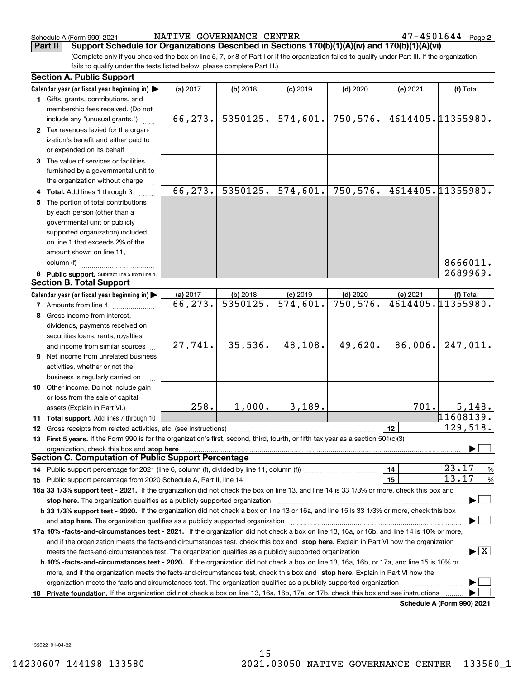(Complete only if you checked the box on line 5, 7, or 8 of Part I or if the organization failed to qualify under Part III. If the organization fails to qualify under the tests listed below, please complete Part III.) **Part II** Support Schedule for Organizations Described in Sections 170(b)(1)(A)(iv) and 170(b)(1)(A)(vi)

| <b>Section A. Public Support</b>                                                                                                               |                     |                        |                                      |                         |          |                                          |  |
|------------------------------------------------------------------------------------------------------------------------------------------------|---------------------|------------------------|--------------------------------------|-------------------------|----------|------------------------------------------|--|
| Calendar year (or fiscal year beginning in)                                                                                                    | (a) 2017            | (b) 2018               | $(c)$ 2019                           | $(d)$ 2020              | (e) 2021 | (f) Total                                |  |
| 1 Gifts, grants, contributions, and<br>membership fees received. (Do not                                                                       |                     |                        |                                      |                         |          |                                          |  |
| include any "unusual grants.")                                                                                                                 | 66, 273.            | 5350125.               | 574,601.                             | 750,576.                |          | 4614405.11355980.                        |  |
| 2 Tax revenues levied for the organ-                                                                                                           |                     |                        |                                      |                         |          |                                          |  |
| ization's benefit and either paid to                                                                                                           |                     |                        |                                      |                         |          |                                          |  |
| or expended on its behalf                                                                                                                      |                     |                        |                                      |                         |          |                                          |  |
| 3 The value of services or facilities                                                                                                          |                     |                        |                                      |                         |          |                                          |  |
| furnished by a governmental unit to                                                                                                            |                     |                        |                                      |                         |          |                                          |  |
| the organization without charge                                                                                                                |                     |                        |                                      |                         |          |                                          |  |
| 4 Total. Add lines 1 through 3                                                                                                                 | 66, 273.            | 5350125.               | 574,601.                             | 750,576.                |          | 4614405.11355980.                        |  |
| 5 The portion of total contributions                                                                                                           |                     |                        |                                      |                         |          |                                          |  |
| by each person (other than a                                                                                                                   |                     |                        |                                      |                         |          |                                          |  |
| governmental unit or publicly                                                                                                                  |                     |                        |                                      |                         |          |                                          |  |
| supported organization) included                                                                                                               |                     |                        |                                      |                         |          |                                          |  |
| on line 1 that exceeds 2% of the                                                                                                               |                     |                        |                                      |                         |          |                                          |  |
| amount shown on line 11,                                                                                                                       |                     |                        |                                      |                         |          |                                          |  |
| column (f)                                                                                                                                     |                     |                        |                                      |                         |          | 8666011.                                 |  |
| 6 Public support. Subtract line 5 from line 4.                                                                                                 |                     |                        |                                      |                         |          | 2689969.                                 |  |
| <b>Section B. Total Support</b>                                                                                                                |                     |                        |                                      |                         |          |                                          |  |
| Calendar year (or fiscal year beginning in)                                                                                                    | (a) 2017<br>66,273. | $(b)$ 2018<br>5350125. | $(c)$ 2019<br>$\overline{574,601}$ . | $(d)$ 2020<br>750, 576. | (e) 2021 | (f) Total<br>4614405.11355980.           |  |
| <b>7</b> Amounts from line 4                                                                                                                   |                     |                        |                                      |                         |          |                                          |  |
| 8 Gross income from interest,                                                                                                                  |                     |                        |                                      |                         |          |                                          |  |
| dividends, payments received on                                                                                                                |                     |                        |                                      |                         |          |                                          |  |
| securities loans, rents, royalties,                                                                                                            | 27,741.             | 35,536.                | 48,108.                              | 49,620.                 | 86,006.  | 247,011.                                 |  |
| and income from similar sources                                                                                                                |                     |                        |                                      |                         |          |                                          |  |
| 9 Net income from unrelated business                                                                                                           |                     |                        |                                      |                         |          |                                          |  |
| activities, whether or not the<br>business is regularly carried on                                                                             |                     |                        |                                      |                         |          |                                          |  |
| <b>10</b> Other income. Do not include gain                                                                                                    |                     |                        |                                      |                         |          |                                          |  |
| or loss from the sale of capital                                                                                                               |                     |                        |                                      |                         |          |                                          |  |
| assets (Explain in Part VI.)                                                                                                                   | 258.                | 1,000.                 | 3,189.                               |                         | 701.     | 5,148.                                   |  |
| 11 Total support. Add lines 7 through 10                                                                                                       |                     |                        |                                      |                         |          | 11608139.                                |  |
| <b>12</b> Gross receipts from related activities, etc. (see instructions)                                                                      |                     |                        |                                      |                         | 12       | 129,518.                                 |  |
| 13 First 5 years. If the Form 990 is for the organization's first, second, third, fourth, or fifth tax year as a section 501(c)(3)             |                     |                        |                                      |                         |          |                                          |  |
| organization, check this box and stop here                                                                                                     |                     |                        |                                      |                         |          |                                          |  |
| <b>Section C. Computation of Public Support Percentage</b>                                                                                     |                     |                        |                                      |                         |          |                                          |  |
|                                                                                                                                                |                     |                        |                                      |                         | 14       | 23.17<br>$\frac{9}{6}$                   |  |
|                                                                                                                                                |                     |                        |                                      |                         | 15       | 13.17<br>%                               |  |
| 16a 33 1/3% support test - 2021. If the organization did not check the box on line 13, and line 14 is 33 1/3% or more, check this box and      |                     |                        |                                      |                         |          |                                          |  |
| stop here. The organization qualifies as a publicly supported organization                                                                     |                     |                        |                                      |                         |          |                                          |  |
| b 33 1/3% support test - 2020. If the organization did not check a box on line 13 or 16a, and line 15 is 33 1/3% or more, check this box       |                     |                        |                                      |                         |          |                                          |  |
| and stop here. The organization qualifies as a publicly supported organization                                                                 |                     |                        |                                      |                         |          |                                          |  |
| 17a 10% -facts-and-circumstances test - 2021. If the organization did not check a box on line 13, 16a, or 16b, and line 14 is 10% or more,     |                     |                        |                                      |                         |          |                                          |  |
| and if the organization meets the facts-and-circumstances test, check this box and stop here. Explain in Part VI how the organization          |                     |                        |                                      |                         |          |                                          |  |
| meets the facts-and-circumstances test. The organization qualifies as a publicly supported organization                                        |                     |                        |                                      |                         |          | $\blacktriangleright$ $\boxed{\text{X}}$ |  |
| <b>b 10% -facts-and-circumstances test - 2020.</b> If the organization did not check a box on line 13, 16a, 16b, or 17a, and line 15 is 10% or |                     |                        |                                      |                         |          |                                          |  |
| more, and if the organization meets the facts-and-circumstances test, check this box and stop here. Explain in Part VI how the                 |                     |                        |                                      |                         |          |                                          |  |
| organization meets the facts-and-circumstances test. The organization qualifies as a publicly supported organization                           |                     |                        |                                      |                         |          |                                          |  |
| 18 Private foundation. If the organization did not check a box on line 13, 16a, 16b, 17a, or 17b, check this box and see instructions          |                     |                        |                                      |                         |          |                                          |  |
|                                                                                                                                                |                     |                        |                                      |                         |          | Schedule A (Form 990) 2021               |  |

132022 01-04-22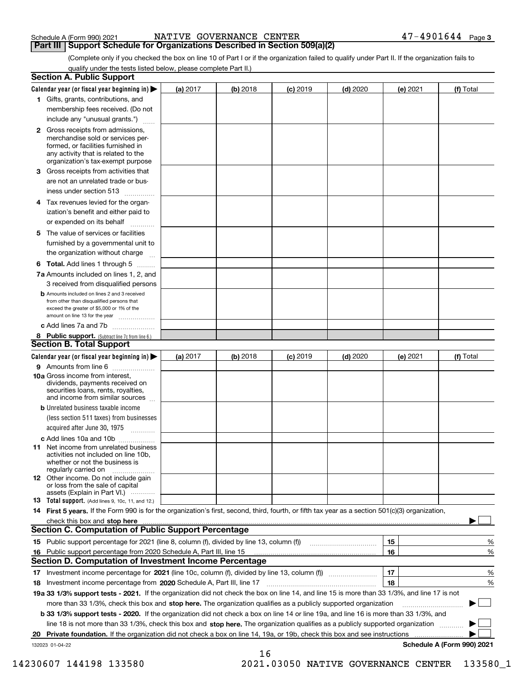| Schedule A (Form 990) 2021 |  |  |
|----------------------------|--|--|
|                            |  |  |

(Complete only if you checked the box on line 10 of Part I or if the organization failed to qualify under Part II. If the organization fails to **Part III | Support Schedule for Organizations Described in Section 509(a)(2)** 

qualify under the tests listed below, please complete Part II.)

|    | <b>Section A. Public Support</b>                                                                                                                                                                                               |          |          |            |            |          |                            |
|----|--------------------------------------------------------------------------------------------------------------------------------------------------------------------------------------------------------------------------------|----------|----------|------------|------------|----------|----------------------------|
|    | Calendar year (or fiscal year beginning in) $\blacktriangleright$                                                                                                                                                              | (a) 2017 | (b) 2018 | $(c)$ 2019 | $(d)$ 2020 | (e) 2021 | (f) Total                  |
|    | 1 Gifts, grants, contributions, and                                                                                                                                                                                            |          |          |            |            |          |                            |
|    | membership fees received. (Do not                                                                                                                                                                                              |          |          |            |            |          |                            |
|    | include any "unusual grants.")                                                                                                                                                                                                 |          |          |            |            |          |                            |
|    | <b>2</b> Gross receipts from admissions,<br>merchandise sold or services per-<br>formed, or facilities furnished in<br>any activity that is related to the<br>organization's tax-exempt purpose                                |          |          |            |            |          |                            |
| 3  | Gross receipts from activities that                                                                                                                                                                                            |          |          |            |            |          |                            |
|    | are not an unrelated trade or bus-                                                                                                                                                                                             |          |          |            |            |          |                            |
|    | iness under section 513                                                                                                                                                                                                        |          |          |            |            |          |                            |
| 4  | Tax revenues levied for the organ-                                                                                                                                                                                             |          |          |            |            |          |                            |
|    | ization's benefit and either paid to                                                                                                                                                                                           |          |          |            |            |          |                            |
|    | or expended on its behalf<br>.                                                                                                                                                                                                 |          |          |            |            |          |                            |
| 5  | The value of services or facilities<br>furnished by a governmental unit to                                                                                                                                                     |          |          |            |            |          |                            |
|    | the organization without charge                                                                                                                                                                                                |          |          |            |            |          |                            |
|    | <b>6 Total.</b> Add lines 1 through 5                                                                                                                                                                                          |          |          |            |            |          |                            |
|    | 7a Amounts included on lines 1, 2, and<br>3 received from disqualified persons                                                                                                                                                 |          |          |            |            |          |                            |
|    | <b>b</b> Amounts included on lines 2 and 3 received<br>from other than disqualified persons that<br>exceed the greater of \$5,000 or 1% of the<br>amount on line 13 for the year                                               |          |          |            |            |          |                            |
|    | c Add lines 7a and 7b                                                                                                                                                                                                          |          |          |            |            |          |                            |
|    | 8 Public support. (Subtract line 7c from line 6.)                                                                                                                                                                              |          |          |            |            |          |                            |
|    | <b>Section B. Total Support</b>                                                                                                                                                                                                |          |          |            |            |          |                            |
|    | Calendar year (or fiscal year beginning in) $\blacktriangleright$                                                                                                                                                              | (a) 2017 | (b) 2018 | $(c)$ 2019 | $(d)$ 2020 | (e) 2021 | (f) Total                  |
|    | 9 Amounts from line 6                                                                                                                                                                                                          |          |          |            |            |          |                            |
|    | <b>10a</b> Gross income from interest,<br>dividends, payments received on<br>securities loans, rents, royalties,<br>and income from similar sources                                                                            |          |          |            |            |          |                            |
|    | <b>b</b> Unrelated business taxable income                                                                                                                                                                                     |          |          |            |            |          |                            |
|    | (less section 511 taxes) from businesses                                                                                                                                                                                       |          |          |            |            |          |                            |
|    | acquired after June 30, 1975                                                                                                                                                                                                   |          |          |            |            |          |                            |
|    | c Add lines 10a and 10b                                                                                                                                                                                                        |          |          |            |            |          |                            |
|    | 11 Net income from unrelated business<br>activities not included on line 10b,<br>whether or not the business is<br>regularly carried on                                                                                        |          |          |            |            |          |                            |
|    | 12 Other income. Do not include gain<br>or loss from the sale of capital<br>assets (Explain in Part VI.)                                                                                                                       |          |          |            |            |          |                            |
|    | <b>13</b> Total support. (Add lines 9, 10c, 11, and 12.)                                                                                                                                                                       |          |          |            |            |          |                            |
|    | 14 First 5 years. If the Form 990 is for the organization's first, second, third, fourth, or fifth tax year as a section 501(c)(3) organization,                                                                               |          |          |            |            |          |                            |
|    | check this box and stop here measurements and contact the state of the state of the state of the state of the state of the state of the state of the state of the state of the state of the state of the state of the state of |          |          |            |            |          |                            |
|    | <b>Section C. Computation of Public Support Percentage</b>                                                                                                                                                                     |          |          |            |            |          |                            |
| 15 |                                                                                                                                                                                                                                |          |          |            |            | 15       | %                          |
| 16 | Public support percentage from 2020 Schedule A, Part III, line 15                                                                                                                                                              |          |          |            |            | 16       | %                          |
|    | <b>Section D. Computation of Investment Income Percentage</b>                                                                                                                                                                  |          |          |            |            |          |                            |
| 17 | Investment income percentage for 2021 (line 10c, column (f), divided by line 13, column (f))                                                                                                                                   |          |          |            |            | 17       | $\%$                       |
| 18 | Investment income percentage from 2020 Schedule A, Part III, line 17                                                                                                                                                           |          |          |            |            | 18       | %                          |
|    | 19a 33 1/3% support tests - 2021. If the organization did not check the box on line 14, and line 15 is more than 33 1/3%, and line 17 is not                                                                                   |          |          |            |            |          |                            |
|    | more than 33 1/3%, check this box and stop here. The organization qualifies as a publicly supported organization                                                                                                               |          |          |            |            |          |                            |
|    | <b>b 33 1/3% support tests - 2020.</b> If the organization did not check a box on line 14 or line 19a, and line 16 is more than 33 1/3%, and                                                                                   |          |          |            |            |          |                            |
|    | line 18 is not more than 33 1/3%, check this box and stop here. The organization qualifies as a publicly supported organization                                                                                                |          |          |            |            |          |                            |
| 20 | Private foundation. If the organization did not check a box on line 14, 19a, or 19b, check this box and see instructions                                                                                                       |          |          |            |            |          |                            |
|    | 132023 01-04-22                                                                                                                                                                                                                |          |          |            |            |          | Schedule A (Form 990) 2021 |
|    |                                                                                                                                                                                                                                |          | 16       |            |            |          |                            |

 <sup>14230607 144198 133580 2021.03050</sup> NATIVE GOVERNANCE CENTER 133580\_1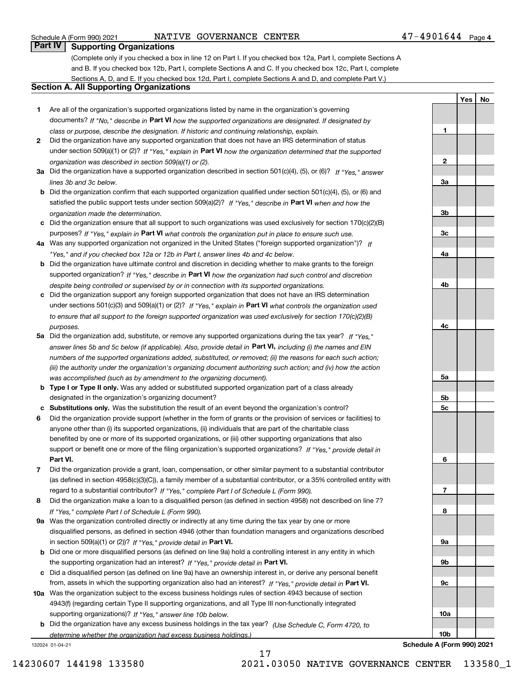**1**

**YesNo**

### **Part IV Supporting Organizations**

(Complete only if you checked a box in line 12 on Part I. If you checked box 12a, Part I, complete Sections A and B. If you checked box 12b, Part I, complete Sections A and C. If you checked box 12c, Part I, complete Sections A, D, and E. If you checked box 12d, Part I, complete Sections A and D, and complete Part V.)

#### **Section A. All Supporting Organizations**

- **1** Are all of the organization's supported organizations listed by name in the organization's governing documents? If "No," describe in **Part VI** how the supported organizations are designated. If designated by *class or purpose, describe the designation. If historic and continuing relationship, explain.*
- **2** Did the organization have any supported organization that does not have an IRS determination of status under section 509(a)(1) or (2)? If "Yes," explain in Part VI how the organization determined that the supported *organization was described in section 509(a)(1) or (2).*
- **3a** Did the organization have a supported organization described in section 501(c)(4), (5), or (6)? If "Yes," answer *lines 3b and 3c below.*
- **b** Did the organization confirm that each supported organization qualified under section 501(c)(4), (5), or (6) and satisfied the public support tests under section 509(a)(2)? If "Yes," describe in **Part VI** when and how the *organization made the determination.*
- **c**Did the organization ensure that all support to such organizations was used exclusively for section 170(c)(2)(B) purposes? If "Yes," explain in **Part VI** what controls the organization put in place to ensure such use.
- **4a***If* Was any supported organization not organized in the United States ("foreign supported organization")? *"Yes," and if you checked box 12a or 12b in Part I, answer lines 4b and 4c below.*
- **b** Did the organization have ultimate control and discretion in deciding whether to make grants to the foreign supported organization? If "Yes," describe in **Part VI** how the organization had such control and discretion *despite being controlled or supervised by or in connection with its supported organizations.*
- **c** Did the organization support any foreign supported organization that does not have an IRS determination under sections 501(c)(3) and 509(a)(1) or (2)? If "Yes," explain in **Part VI** what controls the organization used *to ensure that all support to the foreign supported organization was used exclusively for section 170(c)(2)(B) purposes.*
- **5a** Did the organization add, substitute, or remove any supported organizations during the tax year? If "Yes," answer lines 5b and 5c below (if applicable). Also, provide detail in **Part VI,** including (i) the names and EIN *numbers of the supported organizations added, substituted, or removed; (ii) the reasons for each such action; (iii) the authority under the organization's organizing document authorizing such action; and (iv) how the action was accomplished (such as by amendment to the organizing document).*
- **b** Type I or Type II only. Was any added or substituted supported organization part of a class already designated in the organization's organizing document?
- **cSubstitutions only.**  Was the substitution the result of an event beyond the organization's control?
- **6** Did the organization provide support (whether in the form of grants or the provision of services or facilities) to **Part VI.** *If "Yes," provide detail in* support or benefit one or more of the filing organization's supported organizations? anyone other than (i) its supported organizations, (ii) individuals that are part of the charitable class benefited by one or more of its supported organizations, or (iii) other supporting organizations that also
- **7**Did the organization provide a grant, loan, compensation, or other similar payment to a substantial contributor regard to a substantial contributor? If "Yes," complete Part I of Schedule L (Form 990). (as defined in section 4958(c)(3)(C)), a family member of a substantial contributor, or a 35% controlled entity with
- **8** Did the organization make a loan to a disqualified person (as defined in section 4958) not described on line 7? *If "Yes," complete Part I of Schedule L (Form 990).*
- **9a** Was the organization controlled directly or indirectly at any time during the tax year by one or more in section 509(a)(1) or (2))? If "Yes," *provide detail in* <code>Part VI.</code> disqualified persons, as defined in section 4946 (other than foundation managers and organizations described
- **b** Did one or more disqualified persons (as defined on line 9a) hold a controlling interest in any entity in which the supporting organization had an interest? If "Yes," provide detail in P**art VI**.
- **c**Did a disqualified person (as defined on line 9a) have an ownership interest in, or derive any personal benefit from, assets in which the supporting organization also had an interest? If "Yes," provide detail in P**art VI.**
- **10a** Was the organization subject to the excess business holdings rules of section 4943 because of section supporting organizations)? If "Yes," answer line 10b below. 4943(f) (regarding certain Type II supporting organizations, and all Type III non-functionally integrated
- **b** Did the organization have any excess business holdings in the tax year? (Use Schedule C, Form 4720, to *determine whether the organization had excess business holdings.)*

17

132024 01-04-21

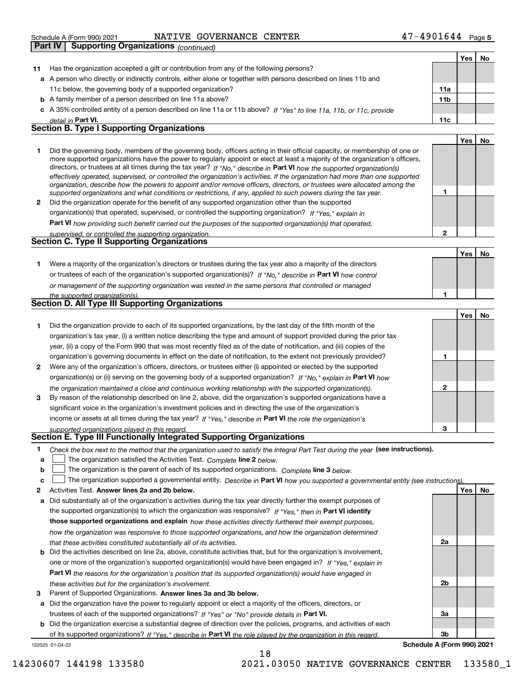|  | Schedule A (Form 990) 2021 |  | NATIVE GOVERNANCE CENTER |  | $47 - 4901644$ Page 5 |  |
|--|----------------------------|--|--------------------------|--|-----------------------|--|
|--|----------------------------|--|--------------------------|--|-----------------------|--|

|                   | Part IV<br><b>Supporting Organizations</b> (continued)                                                                                                                                                                                                                                                                                                                                                                                                                                                                                                                                                                                                                                                                                                                                                                                                                          |                 |            |           |
|-------------------|---------------------------------------------------------------------------------------------------------------------------------------------------------------------------------------------------------------------------------------------------------------------------------------------------------------------------------------------------------------------------------------------------------------------------------------------------------------------------------------------------------------------------------------------------------------------------------------------------------------------------------------------------------------------------------------------------------------------------------------------------------------------------------------------------------------------------------------------------------------------------------|-----------------|------------|-----------|
|                   |                                                                                                                                                                                                                                                                                                                                                                                                                                                                                                                                                                                                                                                                                                                                                                                                                                                                                 |                 | <b>Yes</b> | No        |
| 11                | Has the organization accepted a gift or contribution from any of the following persons?                                                                                                                                                                                                                                                                                                                                                                                                                                                                                                                                                                                                                                                                                                                                                                                         |                 |            |           |
|                   | a A person who directly or indirectly controls, either alone or together with persons described on lines 11b and                                                                                                                                                                                                                                                                                                                                                                                                                                                                                                                                                                                                                                                                                                                                                                |                 |            |           |
|                   | 11c below, the governing body of a supported organization?                                                                                                                                                                                                                                                                                                                                                                                                                                                                                                                                                                                                                                                                                                                                                                                                                      | 11a             |            |           |
|                   | <b>b</b> A family member of a person described on line 11a above?                                                                                                                                                                                                                                                                                                                                                                                                                                                                                                                                                                                                                                                                                                                                                                                                               | 11 <sub>b</sub> |            |           |
|                   | c A 35% controlled entity of a person described on line 11a or 11b above? If "Yes" to line 11a, 11b, or 11c, provide                                                                                                                                                                                                                                                                                                                                                                                                                                                                                                                                                                                                                                                                                                                                                            |                 |            |           |
|                   | detail in Part VI.                                                                                                                                                                                                                                                                                                                                                                                                                                                                                                                                                                                                                                                                                                                                                                                                                                                              | 11c             |            |           |
|                   | <b>Section B. Type I Supporting Organizations</b>                                                                                                                                                                                                                                                                                                                                                                                                                                                                                                                                                                                                                                                                                                                                                                                                                               |                 |            |           |
|                   |                                                                                                                                                                                                                                                                                                                                                                                                                                                                                                                                                                                                                                                                                                                                                                                                                                                                                 |                 | Yes        | No        |
| 1<br>$\mathbf{2}$ | Did the governing body, members of the governing body, officers acting in their official capacity, or membership of one or<br>more supported organizations have the power to regularly appoint or elect at least a majority of the organization's officers,<br>directors, or trustees at all times during the tax year? If "No," describe in Part VI how the supported organization(s)<br>effectively operated, supervised, or controlled the organization's activities. If the organization had more than one supported<br>organization, describe how the powers to appoint and/or remove officers, directors, or trustees were allocated among the<br>supported organizations and what conditions or restrictions, if any, applied to such powers during the tax year.<br>Did the organization operate for the benefit of any supported organization other than the supported | 1               |            |           |
|                   | organization(s) that operated, supervised, or controlled the supporting organization? If "Yes." explain in                                                                                                                                                                                                                                                                                                                                                                                                                                                                                                                                                                                                                                                                                                                                                                      |                 |            |           |
|                   |                                                                                                                                                                                                                                                                                                                                                                                                                                                                                                                                                                                                                                                                                                                                                                                                                                                                                 |                 |            |           |
|                   | Part VI how providing such benefit carried out the purposes of the supported organization(s) that operated,                                                                                                                                                                                                                                                                                                                                                                                                                                                                                                                                                                                                                                                                                                                                                                     | $\mathbf{2}$    |            |           |
|                   | supervised, or controlled the supporting organization.<br>Section C. Type II Supporting Organizations                                                                                                                                                                                                                                                                                                                                                                                                                                                                                                                                                                                                                                                                                                                                                                           |                 |            |           |
|                   |                                                                                                                                                                                                                                                                                                                                                                                                                                                                                                                                                                                                                                                                                                                                                                                                                                                                                 |                 | Yes        | <b>No</b> |
| 1                 | Were a majority of the organization's directors or trustees during the tax year also a majority of the directors<br>or trustees of each of the organization's supported organization(s)? If "No," describe in Part VI how control                                                                                                                                                                                                                                                                                                                                                                                                                                                                                                                                                                                                                                               |                 |            |           |
|                   | or management of the supporting organization was vested in the same persons that controlled or managed                                                                                                                                                                                                                                                                                                                                                                                                                                                                                                                                                                                                                                                                                                                                                                          |                 |            |           |
|                   | the supported organization(s).                                                                                                                                                                                                                                                                                                                                                                                                                                                                                                                                                                                                                                                                                                                                                                                                                                                  | 1               |            |           |
|                   | Section D. All Type III Supporting Organizations                                                                                                                                                                                                                                                                                                                                                                                                                                                                                                                                                                                                                                                                                                                                                                                                                                |                 |            |           |
|                   |                                                                                                                                                                                                                                                                                                                                                                                                                                                                                                                                                                                                                                                                                                                                                                                                                                                                                 |                 | <b>Yes</b> | <b>No</b> |
| 1                 | Did the organization provide to each of its supported organizations, by the last day of the fifth month of the                                                                                                                                                                                                                                                                                                                                                                                                                                                                                                                                                                                                                                                                                                                                                                  |                 |            |           |
|                   | organization's tax year, (i) a written notice describing the type and amount of support provided during the prior tax                                                                                                                                                                                                                                                                                                                                                                                                                                                                                                                                                                                                                                                                                                                                                           |                 |            |           |
|                   | year, (ii) a copy of the Form 990 that was most recently filed as of the date of notification, and (iii) copies of the                                                                                                                                                                                                                                                                                                                                                                                                                                                                                                                                                                                                                                                                                                                                                          |                 |            |           |
|                   | organization's governing documents in effect on the date of notification, to the extent not previously provided?                                                                                                                                                                                                                                                                                                                                                                                                                                                                                                                                                                                                                                                                                                                                                                | 1               |            |           |
| 2                 | Were any of the organization's officers, directors, or trustees either (i) appointed or elected by the supported                                                                                                                                                                                                                                                                                                                                                                                                                                                                                                                                                                                                                                                                                                                                                                |                 |            |           |

- **3**organization(s) or (ii) serving on the governing body of a supported organization? If "No," explain in **Part VI** how *the organization maintained a close and continuous working relationship with the supported organization(s).* By reason of the relationship described on line 2, above, did the organization's supported organizations have a significant voice in the organization's investment policies and in directing the use of the organization's
- income or assets at all times during the tax year? If "Yes," describe in **Part VI** the role the organization's *supported organizations played in this regard.*

#### **Section E. Type III Functionally Integrated Supporting Organizations**

- **1**Check the box next to the method that the organization used to satisfy the Integral Part Test during the year (see instructions).
- **alinupy** The organization satisfied the Activities Test. Complete line 2 below.
- **b**The organization is the parent of each of its supported organizations. *Complete* line 3 *below.*  $\mathcal{L}^{\text{max}}$

|  |  | c $\Box$ The organization supported a governmental entity. Describe in Part VI how you supported a governmental entity (see instructions) |  |
|--|--|-------------------------------------------------------------------------------------------------------------------------------------------|--|
|--|--|-------------------------------------------------------------------------------------------------------------------------------------------|--|

- **2Answer lines 2a and 2b below. Yes No** Activities Test.
- **a** Did substantially all of the organization's activities during the tax year directly further the exempt purposes of the supported organization(s) to which the organization was responsive? If "Yes," then in **Part VI identify those supported organizations and explain**  *how these activities directly furthered their exempt purposes, how the organization was responsive to those supported organizations, and how the organization determined that these activities constituted substantially all of its activities.*
- **b** Did the activities described on line 2a, above, constitute activities that, but for the organization's involvement, **Part VI**  *the reasons for the organization's position that its supported organization(s) would have engaged in* one or more of the organization's supported organization(s) would have been engaged in? If "Yes," e*xplain in these activities but for the organization's involvement.*
- **3**Parent of Supported Organizations. Answer lines 3a and 3b below.

**a** Did the organization have the power to regularly appoint or elect a majority of the officers, directors, or trustees of each of the supported organizations? If "Yes" or "No" provide details in **Part VI.** 

132025 01-04-22 **b** Did the organization exercise a substantial degree of direction over the policies, programs, and activities of each of its supported organizations? If "Yes," describe in Part VI the role played by the organization in this regard.

**3bSchedule A (Form 990) 2021**

**2a**

**2b**

**3a**

**2**

**3**

14230607 144198 133580 2021.03050 NATIVE GOVERNANCE CENTER 133580\_1

18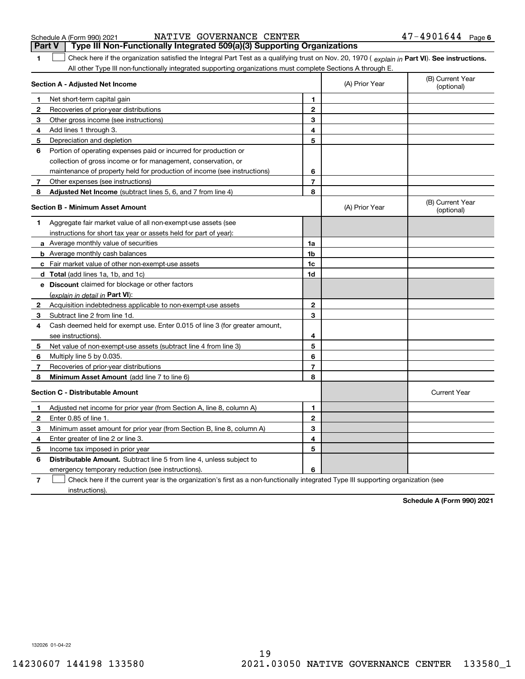| 1.           | Check here if the organization satisfied the Integral Part Test as a qualifying trust on Nov. 20, 1970 (explain in Part VI). See instructions. |                |                |                                |
|--------------|------------------------------------------------------------------------------------------------------------------------------------------------|----------------|----------------|--------------------------------|
|              | All other Type III non-functionally integrated supporting organizations must complete Sections A through E.                                    |                |                |                                |
|              | Section A - Adjusted Net Income                                                                                                                |                | (A) Prior Year | (B) Current Year<br>(optional) |
| -1           | Net short-term capital gain                                                                                                                    | 1.             |                |                                |
| 2            | Recoveries of prior-year distributions                                                                                                         | $\mathbf 2$    |                |                                |
| 3            | Other gross income (see instructions)                                                                                                          | 3              |                |                                |
| 4            | Add lines 1 through 3.                                                                                                                         | 4              |                |                                |
| 5            | Depreciation and depletion                                                                                                                     | 5              |                |                                |
| 6            | Portion of operating expenses paid or incurred for production or                                                                               |                |                |                                |
|              | collection of gross income or for management, conservation, or                                                                                 |                |                |                                |
|              | maintenance of property held for production of income (see instructions)                                                                       | 6              |                |                                |
| 7            | Other expenses (see instructions)                                                                                                              | $\overline{7}$ |                |                                |
| 8            | Adjusted Net Income (subtract lines 5, 6, and 7 from line 4)                                                                                   | 8              |                |                                |
|              | <b>Section B - Minimum Asset Amount</b>                                                                                                        |                | (A) Prior Year | (B) Current Year<br>(optional) |
| 1.           | Aggregate fair market value of all non-exempt-use assets (see                                                                                  |                |                |                                |
|              | instructions for short tax year or assets held for part of year):                                                                              |                |                |                                |
|              | a Average monthly value of securities                                                                                                          | 1a             |                |                                |
|              | <b>b</b> Average monthly cash balances                                                                                                         | 1b             |                |                                |
|              | c Fair market value of other non-exempt-use assets                                                                                             | 1c             |                |                                |
|              | d Total (add lines 1a, 1b, and 1c)                                                                                                             | 1d             |                |                                |
|              | e Discount claimed for blockage or other factors                                                                                               |                |                |                                |
|              | (explain in detail in Part VI):                                                                                                                |                |                |                                |
| $\mathbf{2}$ | Acquisition indebtedness applicable to non-exempt-use assets                                                                                   | $\mathbf{2}$   |                |                                |
| 3            | Subtract line 2 from line 1d.                                                                                                                  | 3              |                |                                |
| 4            | Cash deemed held for exempt use. Enter 0.015 of line 3 (for greater amount,                                                                    |                |                |                                |
|              | see instructions)                                                                                                                              | 4              |                |                                |
| 5            | Net value of non-exempt-use assets (subtract line 4 from line 3)                                                                               | 5              |                |                                |
| 6            | Multiply line 5 by 0.035.                                                                                                                      | 6              |                |                                |
| 7            | Recoveries of prior-year distributions                                                                                                         | $\overline{7}$ |                |                                |
| 8            | Minimum Asset Amount (add line 7 to line 6)                                                                                                    | 8              |                |                                |
|              | <b>Section C - Distributable Amount</b>                                                                                                        |                |                | <b>Current Year</b>            |
| 1            | Adjusted net income for prior year (from Section A, line 8, column A)                                                                          | 1              |                |                                |
| 2            | Enter 0.85 of line 1.                                                                                                                          | $\mathbf{2}$   |                |                                |
| 3            | Minimum asset amount for prior year (from Section B, line 8, column A)                                                                         | 3              |                |                                |
| 4            | Enter greater of line 2 or line 3.                                                                                                             | 4              |                |                                |
| 5            | Income tax imposed in prior year                                                                                                               | 5              |                |                                |
| 6            | <b>Distributable Amount.</b> Subtract line 5 from line 4, unless subject to                                                                    |                |                |                                |
|              | emergency temporary reduction (see instructions).                                                                                              | 6              |                |                                |

**Part V Type III Non-Functionally Integrated 509(a)(3) Supporting Organizations** 

**7**Check here if the current year is the organization's first as a non-functionally integrated Type III supporting organization (see instructions).

**Schedule A (Form 990) 2021**

**6**

132026 01-04-22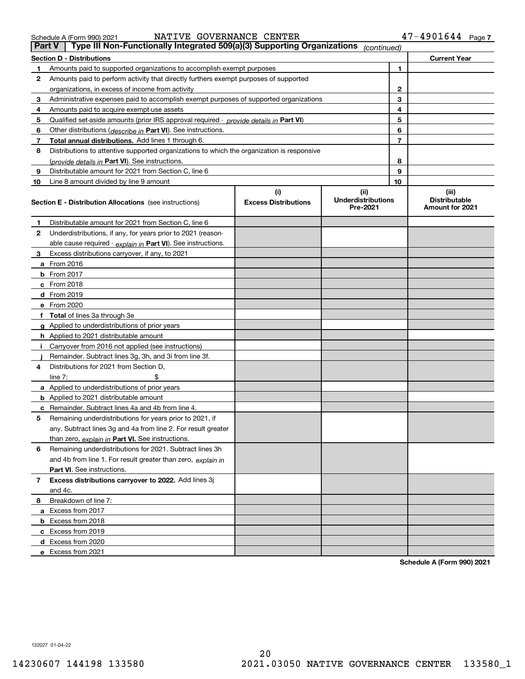Schedule A (Form 990) 2021 NATIVE\_GOVERNANCE\_CENTER 4 7 – 4 9 U L 6 4 4 Page NATIVE GOVERNANCE CENTER 47-4901644

**7**

|              | Type III Non-Functionally Integrated 509(a)(3) Supporting Organizations <sub>(continued)</sub><br>Part V |                             |                                       |    |                                                |
|--------------|----------------------------------------------------------------------------------------------------------|-----------------------------|---------------------------------------|----|------------------------------------------------|
|              | <b>Section D - Distributions</b>                                                                         |                             |                                       |    | <b>Current Year</b>                            |
| 1            | Amounts paid to supported organizations to accomplish exempt purposes                                    |                             | 1                                     |    |                                                |
| 2            | Amounts paid to perform activity that directly furthers exempt purposes of supported                     |                             |                                       |    |                                                |
|              | organizations, in excess of income from activity                                                         | 2                           |                                       |    |                                                |
| 3            | Administrative expenses paid to accomplish exempt purposes of supported organizations                    |                             | 3                                     |    |                                                |
| 4            | Amounts paid to acquire exempt-use assets                                                                |                             |                                       | 4  |                                                |
| 5            | Qualified set-aside amounts (prior IRS approval required - provide details in Part VI)                   |                             |                                       | 5  |                                                |
| 6            | Other distributions ( <i>describe in</i> Part VI). See instructions.                                     |                             |                                       | 6  |                                                |
| 7            | Total annual distributions. Add lines 1 through 6.                                                       |                             |                                       | 7  |                                                |
| 8            | Distributions to attentive supported organizations to which the organization is responsive               |                             |                                       |    |                                                |
|              | (provide details in Part VI). See instructions.                                                          |                             |                                       | 8  |                                                |
| 9            | Distributable amount for 2021 from Section C, line 6                                                     |                             |                                       | 9  |                                                |
| 10           | Line 8 amount divided by line 9 amount                                                                   |                             |                                       | 10 |                                                |
|              |                                                                                                          | (i)                         | (ii)                                  |    | (iii)                                          |
|              | Section E - Distribution Allocations (see instructions)                                                  | <b>Excess Distributions</b> | <b>Underdistributions</b><br>Pre-2021 |    | <b>Distributable</b><br><b>Amount for 2021</b> |
| 1.           | Distributable amount for 2021 from Section C, line 6                                                     |                             |                                       |    |                                                |
| 2            | Underdistributions, if any, for years prior to 2021 (reason-                                             |                             |                                       |    |                                                |
|              | able cause required - explain in Part VI). See instructions.                                             |                             |                                       |    |                                                |
| 3            | Excess distributions carryover, if any, to 2021                                                          |                             |                                       |    |                                                |
|              | a From 2016                                                                                              |                             |                                       |    |                                                |
|              | <b>b</b> From 2017                                                                                       |                             |                                       |    |                                                |
|              | $c$ From 2018                                                                                            |                             |                                       |    |                                                |
|              | d From 2019                                                                                              |                             |                                       |    |                                                |
|              | e From 2020                                                                                              |                             |                                       |    |                                                |
| f            | <b>Total</b> of lines 3a through 3e                                                                      |                             |                                       |    |                                                |
|              | g Applied to underdistributions of prior years                                                           |                             |                                       |    |                                                |
|              | <b>h</b> Applied to 2021 distributable amount                                                            |                             |                                       |    |                                                |
| $\mathbf{I}$ | Carryover from 2016 not applied (see instructions)                                                       |                             |                                       |    |                                                |
|              | Remainder. Subtract lines 3g, 3h, and 3i from line 3f.                                                   |                             |                                       |    |                                                |
| 4            | Distributions for 2021 from Section D,                                                                   |                             |                                       |    |                                                |
|              | line $7:$                                                                                                |                             |                                       |    |                                                |
|              | a Applied to underdistributions of prior years                                                           |                             |                                       |    |                                                |
|              | <b>b</b> Applied to 2021 distributable amount                                                            |                             |                                       |    |                                                |
|              | c Remainder. Subtract lines 4a and 4b from line 4.                                                       |                             |                                       |    |                                                |
| 5            | Remaining underdistributions for years prior to 2021, if                                                 |                             |                                       |    |                                                |
|              | any. Subtract lines 3g and 4a from line 2. For result greater                                            |                             |                                       |    |                                                |
|              | than zero, explain in Part VI. See instructions.                                                         |                             |                                       |    |                                                |
| 6            | Remaining underdistributions for 2021. Subtract lines 3h                                                 |                             |                                       |    |                                                |
|              | and 4b from line 1. For result greater than zero, explain in                                             |                             |                                       |    |                                                |
|              | Part VI. See instructions.                                                                               |                             |                                       |    |                                                |
| 7            | Excess distributions carryover to 2022. Add lines 3j                                                     |                             |                                       |    |                                                |
|              | and 4c.                                                                                                  |                             |                                       |    |                                                |
| 8            | Breakdown of line 7:                                                                                     |                             |                                       |    |                                                |
|              | a Excess from 2017                                                                                       |                             |                                       |    |                                                |
|              | <b>b</b> Excess from 2018                                                                                |                             |                                       |    |                                                |
|              |                                                                                                          |                             |                                       |    |                                                |
|              | c Excess from 2019                                                                                       |                             |                                       |    |                                                |
|              | d Excess from 2020                                                                                       |                             |                                       |    |                                                |
|              | e Excess from 2021                                                                                       |                             |                                       |    |                                                |

**Schedule A (Form 990) 2021**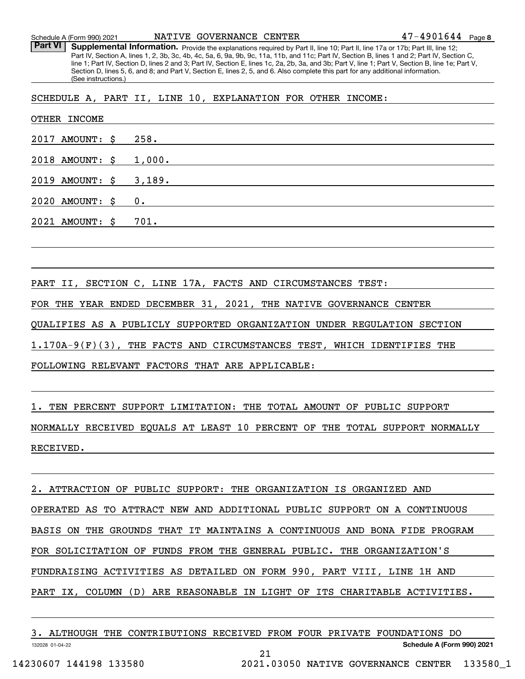Schedule A (Form 990) 2021 NATIVE GOVERNANCE CENTER 47-4901644 Page

Part VI | Supplemental Information. Provide the explanations required by Part II, line 10; Part II, line 17a or 17b; Part III, line 12; Part IV, Section A, lines 1, 2, 3b, 3c, 4b, 4c, 5a, 6, 9a, 9b, 9c, 11a, 11b, and 11c; Part IV, Section B, lines 1 and 2; Part IV, Section C, line 1; Part IV, Section D, lines 2 and 3; Part IV, Section E, lines 1c, 2a, 2b, 3a, and 3b; Part V, line 1; Part V, Section B, line 1e; Part V, Section D, lines 5, 6, and 8; and Part V, Section E, lines 2, 5, and 6. Also complete this part for any additional information. (See instructions.)

SCHEDULE A, PART II, LINE 10, EXPLANATION FOR OTHER INCOME:

PART II, SECTION C, LINE 17A, FACTS AND CIRCUMSTANCES TEST:

FOR THE YEAR ENDED DECEMBER 31, 2021, THE NATIVE GOVERNANCE CENTER

QUALIFIES AS A PUBLICLY SUPPORTED ORGANIZATION UNDER REGULATION SECTION

1.170A-9(F)(3), THE FACTS AND CIRCUMSTANCES TEST, WHICH IDENTIFIES THE

FOLLOWING RELEVANT FACTORS THAT ARE APPLICABLE:

TEN PERCENT SUPPORT LIMITATION: THE TOTAL AMOUNT OF PUBLIC SUPPORT

NORMALLY RECEIVED EQUALS AT LEAST 10 PERCENT OF THE TOTAL SUPPORT NORMALLY RECEIVED.

2. ATTRACTION OF PUBLIC SUPPORT: THE ORGANIZATION IS ORGANIZED AND OPERATED AS TO ATTRACT NEW AND ADDITIONAL PUBLIC SUPPORT ON A CONTINUOUS BASIS ON THE GROUNDS THAT IT MAINTAINS A CONTINUOUS AND BONA FIDE PROGRAM FOR SOLICITATION OF FUNDS FROM THE GENERAL PUBLIC. THE ORGANIZATION'S FUNDRAISING ACTIVITIES AS DETAILED ON FORM 990, PART VIII, LINE 1H AND PART IX, COLUMN (D) ARE REASONABLE IN LIGHT OF ITS CHARITABLE ACTIVITIES.

| ALTHOUGH        | THE | CONTRIBUTIONS RECEIVED FROM FOUR PRIVATE FOUNDATIONS |  |  | DO                         |  |
|-----------------|-----|------------------------------------------------------|--|--|----------------------------|--|
| 132028 01-04-22 |     |                                                      |  |  | Schedule A (Form 990) 2021 |  |
|                 |     |                                                      |  |  |                            |  |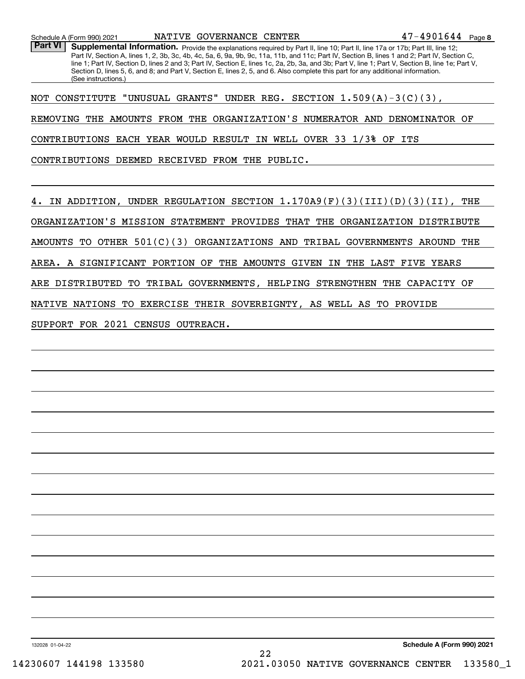Part VI | Supplemental Information. Provide the explanations required by Part II, line 10; Part II, line 17a or 17b; Part III, line 12; Part IV, Section A, lines 1, 2, 3b, 3c, 4b, 4c, 5a, 6, 9a, 9b, 9c, 11a, 11b, and 11c; Part IV, Section B, lines 1 and 2; Part IV, Section C, line 1; Part IV, Section D, lines 2 and 3; Part IV, Section E, lines 1c, 2a, 2b, 3a, and 3b; Part V, line 1; Part V, Section B, line 1e; Part V, Section D, lines 5, 6, and 8; and Part V, Section E, lines 2, 5, and 6. Also complete this part for any additional information. (See instructions.)

NOT CONSTITUTE "UNUSUAL GRANTS" UNDER REG. SECTION 1.509(A)-3(C)(3),

REMOVING THE AMOUNTS FROM THE ORGANIZATION'S NUMERATOR AND DENOMINATOR OF

CONTRIBUTIONS EACH YEAR WOULD RESULT IN WELL OVER 33 1/3% OF ITS

CONTRIBUTIONS DEEMED RECEIVED FROM THE PUBLIC.

4. IN ADDITION, UNDER REGULATION SECTION 1.170A9(F)(3)(III)(D)(3)(II), THE

ORGANIZATION'S MISSION STATEMENT PROVIDES THAT THE ORGANIZATION DISTRIBUTE

AMOUNTS TO OTHER 501(C)(3) ORGANIZATIONS AND TRIBAL GOVERNMENTS AROUND THE

AREA. A SIGNIFICANT PORTION OF THE AMOUNTS GIVEN IN THE LAST FIVE YEARS

ARE DISTRIBUTED TO TRIBAL GOVERNMENTS, HELPING STRENGTHEN THE CAPACITY OF

NATIVE NATIONS TO EXERCISE THEIR SOVEREIGNTY, AS WELL AS TO PROVIDE

SUPPORT FOR 2021 CENSUS OUTREACH.

**Schedule A (Form 990) 2021**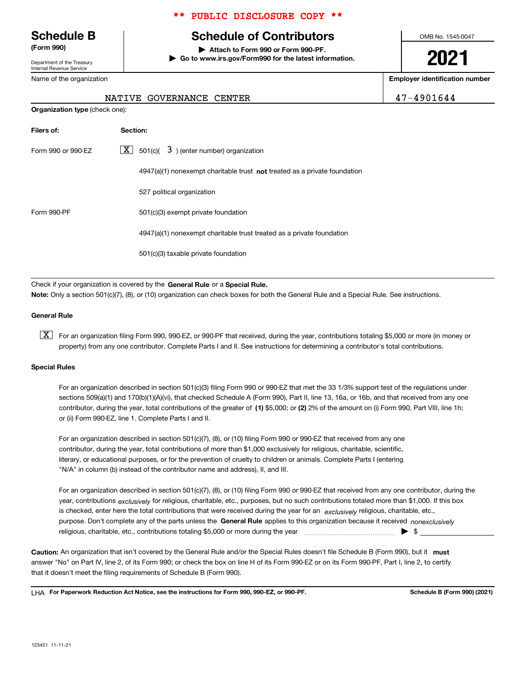Department of the Treasury Internal Revenue Service

Name of the organization

**Organization type** (check one):

### \*\* PUBLIC DISCLOSURE COPY \*\*

## **Schedule B Schedule of Contributors**

**(Form 990) | Attach to Form 990 or Form 990-PF. | Go to www.irs.gov/Form990 for the latest information.** OMB No. 1545-0047

**2021**

**Employer identification number**

NATIVE GOVERNANCE CENTER  $\vert$  47-4901644

| Filers of:         | Section:                                                                           |
|--------------------|------------------------------------------------------------------------------------|
| Form 990 or 990-EZ | $\boxed{\text{X}}$ 501(c)( 3) (enter number) organization                          |
|                    | $4947(a)(1)$ nonexempt charitable trust <b>not</b> treated as a private foundation |
|                    | 527 political organization                                                         |
| Form 990-PF        | 501(c)(3) exempt private foundation                                                |
|                    | 4947(a)(1) nonexempt charitable trust treated as a private foundation              |
|                    | 501(c)(3) taxable private foundation                                               |

Check if your organization is covered by the **General Rule** or a **Special Rule.**<br>Nota: Only a section 501(c)(7), (8), or (10) erganization can chock boxes for be **Note:**  Only a section 501(c)(7), (8), or (10) organization can check boxes for both the General Rule and a Special Rule. See instructions.

#### **General Rule**

 $\boxed{\textbf{X}}$  For an organization filing Form 990, 990-EZ, or 990-PF that received, during the year, contributions totaling \$5,000 or more (in money or property) from any one contributor. Complete Parts I and II. See instructions for determining a contributor's total contributions.

#### **Special Rules**

contributor, during the year, total contributions of the greater of (1**)** \$5,000; or (2) 2% of the amount on (i) Form 990, Part VIII, line 1h; For an organization described in section 501(c)(3) filing Form 990 or 990-EZ that met the 33 1/3% support test of the regulations under sections 509(a)(1) and 170(b)(1)(A)(vi), that checked Schedule A (Form 990), Part II, line 13, 16a, or 16b, and that received from any one or (ii) Form 990-EZ, line 1. Complete Parts I and II.

For an organization described in section 501(c)(7), (8), or (10) filing Form 990 or 990-EZ that received from any one contributor, during the year, total contributions of more than \$1,000 exclusively for religious, charitable, scientific, literary, or educational purposes, or for the prevention of cruelty to children or animals. Complete Parts I (entering "N/A" in column (b) instead of the contributor name and address), II, and III.

purpose. Don't complete any of the parts unless the **General Rule** applies to this organization because it received *nonexclusively* year, contributions <sub>exclusively</sub> for religious, charitable, etc., purposes, but no such contributions totaled more than \$1,000. If this box is checked, enter here the total contributions that were received during the year for an  $\;$ exclusively religious, charitable, etc., For an organization described in section 501(c)(7), (8), or (10) filing Form 990 or 990-EZ that received from any one contributor, during the religious, charitable, etc., contributions totaling \$5,000 or more during the year  $\Box$ — $\Box$   $\Box$ 

Caution: An organization that isn't covered by the General Rule and/or the Special Rules doesn't file Schedule B (Form 990), but it **must** answer "No" on Part IV, line 2, of its Form 990; or check the box on line H of its Form 990-EZ or on its Form 990-PF, Part I, line 2, to certify that it doesn't meet the filing requirements of Schedule B (Form 990).

LHA For Paperwork Reduction Act Notice, see the instructions for Form 990, 990-EZ, or 990-PF. **In the act and Schedule B** (Form 990) (2021)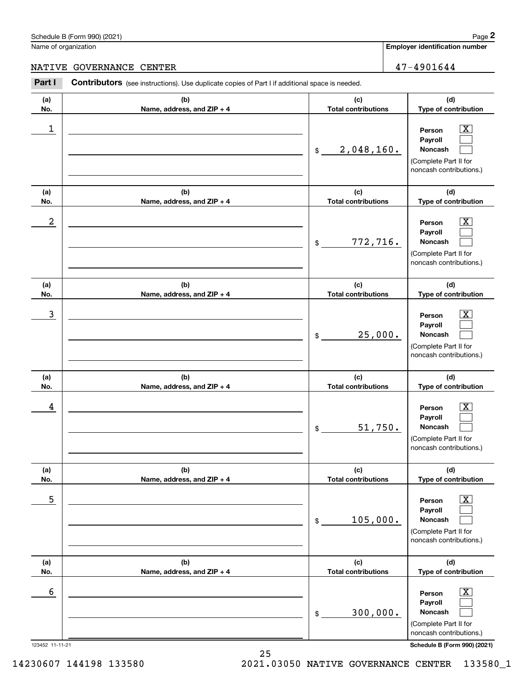### NATIVE GOVERNANCE CENTER 47-4901644

|                      | Schedule B (Form 990) (2021)                                                                   |                                   | Page 2                                                                                                    |
|----------------------|------------------------------------------------------------------------------------------------|-----------------------------------|-----------------------------------------------------------------------------------------------------------|
| Name of organization |                                                                                                |                                   | <b>Employer identification number</b>                                                                     |
| <b>NATIVE</b>        | GOVERNANCE<br><b>CENTER</b>                                                                    |                                   | 47-4901644                                                                                                |
| Part I               | Contributors (see instructions). Use duplicate copies of Part I if additional space is needed. |                                   |                                                                                                           |
| (a)<br>No.           | (b)<br>Name, address, and ZIP + 4                                                              | (c)<br><b>Total contributions</b> | (d)<br>Type of contribution                                                                               |
| 1                    |                                                                                                | 2,048,160.<br>\$                  | $\overline{\text{X}}$<br>Person<br>Payroll<br>Noncash<br>(Complete Part II for<br>noncash contributions.) |
| (a)<br>No.           | (b)<br>Name, address, and ZIP + 4                                                              | (c)<br><b>Total contributions</b> | (d)<br>Type of contribution                                                                               |
| $\boldsymbol{2}$     |                                                                                                | 772,716.<br>\$                    | $\overline{\text{X}}$<br>Person<br>Payroll<br>Noncash<br>(Complete Part II for<br>noncash contributions.) |
| (a)<br>No.           | (b)<br>Name, address, and ZIP + 4                                                              | (c)<br><b>Total contributions</b> | (d)<br>Type of contribution                                                                               |
| 3                    |                                                                                                | 25,000.<br>\$                     | $\overline{\text{X}}$<br>Person<br>Payroll<br>Noncash<br>(Complete Part II for<br>noncash contributions.) |
| (a)<br>No.           | (b)<br>Name, address, and ZIP + 4                                                              | (c)<br><b>Total contributions</b> | (d)<br>Type of contribution                                                                               |
| 4                    |                                                                                                | 51,750.<br>\$                     | $\mathbf{X}$<br>Person<br>Payroll<br><b>Noncash</b><br>(Complete Part II for<br>noncash contributions.)   |
| (a)<br>No.           | (b)<br>Name, address, and ZIP + 4                                                              | (c)<br><b>Total contributions</b> | (d)<br>Type of contribution                                                                               |
| 5                    |                                                                                                | 105,000.<br>\$                    | $\boxed{\text{X}}$<br>Person<br>Payroll<br>Noncash<br>(Complete Part II for<br>noncash contributions.)    |
| (a)<br>No.           | (b)<br>Name, address, and ZIP + 4                                                              | (c)<br><b>Total contributions</b> | (d)<br>Type of contribution                                                                               |
| 6                    |                                                                                                | 300,000.<br>\$                    | $\boxed{\text{X}}$<br>Person<br>Payroll<br>Noncash<br>(Complete Part II for<br>noncash contributions.)    |

123452 11-11-21 **Schedule B (Form 990) (2021)**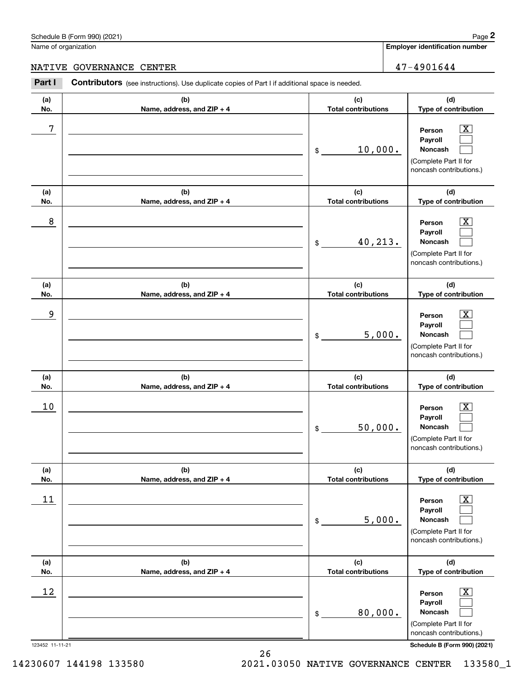|                       | Schedule B (Form 990) (2021)                                                                   |                                   |          | Page 2                                                                                                                                      |
|-----------------------|------------------------------------------------------------------------------------------------|-----------------------------------|----------|---------------------------------------------------------------------------------------------------------------------------------------------|
| Name of organization  |                                                                                                |                                   |          | <b>Employer identification number</b>                                                                                                       |
| <b>NATIVE</b>         | <b>GOVERNANCE CENTER</b>                                                                       |                                   |          | 47-4901644                                                                                                                                  |
| Part I                | Contributors (see instructions). Use duplicate copies of Part I if additional space is needed. |                                   |          |                                                                                                                                             |
| (a)<br>No.            | (b)<br>Name, address, and ZIP + 4                                                              | (c)<br><b>Total contributions</b> |          | (d)<br>Type of contribution                                                                                                                 |
| 7                     |                                                                                                | \$                                | 10,000.  | $\overline{\mathbf{X}}$<br>Person<br>Payroll<br>Noncash<br>(Complete Part II for<br>noncash contributions.)                                 |
| (a)<br>No.            | (b)<br>Name, address, and ZIP + 4                                                              | (c)<br><b>Total contributions</b> |          | (d)<br>Type of contribution                                                                                                                 |
| 8                     |                                                                                                | \$                                | 40, 213. | $\overline{\text{X}}$<br>Person<br>Payroll<br>Noncash<br>(Complete Part II for<br>noncash contributions.)                                   |
| (a)<br>No.            | (b)<br>Name, address, and ZIP + 4                                                              | (c)<br><b>Total contributions</b> |          | (d)<br>Type of contribution                                                                                                                 |
| 9                     |                                                                                                | \$                                | 5,000.   | $\overline{\text{X}}$<br>Person<br>Payroll<br>Noncash<br>(Complete Part II for<br>noncash contributions.)                                   |
| (a)<br>No.            | (b)<br>Name, address, and ZIP + 4                                                              | (c)<br><b>Total contributions</b> |          | (d)<br>Type of contribution                                                                                                                 |
| 10                    |                                                                                                | \$                                | 50,000.  | $\overline{\mathbf{X}}$<br>Person<br>Payroll<br>Noncash<br>(Complete Part II for<br>noncash contributions.)                                 |
| (a)<br>No.            | (b)<br>Name, address, and ZIP + 4                                                              | (c)<br><b>Total contributions</b> |          | (d)<br>Type of contribution                                                                                                                 |
| 11                    |                                                                                                | \$                                | 5,000.   | $\overline{\mathbf{X}}$<br>Person<br>Payroll<br>Noncash<br>(Complete Part II for<br>noncash contributions.)                                 |
| (a)<br>No.            | (b)<br>Name, address, and ZIP + 4                                                              | (c)<br><b>Total contributions</b> |          | (d)<br>Type of contribution                                                                                                                 |
| 12<br>123452 11-11-21 |                                                                                                | \$                                | 80,000.  | $\overline{\mathbf{X}}$<br>Person<br>Payroll<br>Noncash<br>(Complete Part II for<br>noncash contributions.)<br>Schedule B (Form 990) (2021) |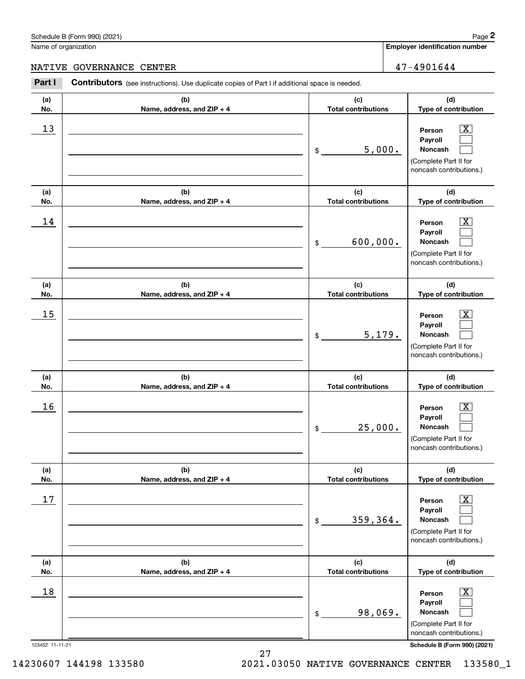### NATIVE GOVERNANCE CENTER 47-4901644

|                      | Schedule B (Form 990) (2021)                                                                   |                                   |        | Page 2                                                                                                      |
|----------------------|------------------------------------------------------------------------------------------------|-----------------------------------|--------|-------------------------------------------------------------------------------------------------------------|
| Name of organization |                                                                                                |                                   |        | <b>Employer identification number</b>                                                                       |
| <b>NATIVE</b>        | GOVERNANCE<br><b>CENTER</b>                                                                    |                                   |        | 47-4901644                                                                                                  |
| Part I               | Contributors (see instructions). Use duplicate copies of Part I if additional space is needed. |                                   |        |                                                                                                             |
| (a)<br>No.           | (b)<br>Name, address, and ZIP + 4                                                              | (c)<br><b>Total contributions</b> |        | (d)<br>Type of contribution                                                                                 |
| 13                   |                                                                                                | \$                                | 5,000. | $\overline{\text{X}}$<br>Person<br>Payroll<br>Noncash<br>(Complete Part II for<br>noncash contributions.)   |
| (a)<br>No.           | (b)<br>Name, address, and ZIP + 4                                                              | (c)<br><b>Total contributions</b> |        | (d)<br>Type of contribution                                                                                 |
| 14                   |                                                                                                | 600,000.<br>\$                    |        | $\overline{\text{X}}$<br>Person<br>Payroll<br>Noncash<br>(Complete Part II for<br>noncash contributions.)   |
| (a)<br>No.           | (b)<br>Name, address, and ZIP + 4                                                              | (c)<br><b>Total contributions</b> |        | (d)<br>Type of contribution                                                                                 |
| 15                   |                                                                                                | \$                                | 5,179. | $\overline{\text{X}}$<br>Person<br>Payroll<br>Noncash<br>(Complete Part II for<br>noncash contributions.)   |
| (a)<br>No.           | (b)<br>Name, address, and ZIP + 4                                                              | (c)<br><b>Total contributions</b> |        | (d)<br>Type of contribution                                                                                 |
| 16                   |                                                                                                | 25,000.<br>\$                     |        | $\overline{\text{X}}$<br>Person<br>Payroll<br>Noncash<br>(Complete Part II for<br>noncash contributions.)   |
| (a)<br>No.           | (b)<br>Name, address, and ZIP + 4                                                              | (c)<br><b>Total contributions</b> |        | (d)<br>Type of contribution                                                                                 |
| 17                   |                                                                                                | 359,364.<br>\$                    |        | $\boxed{\text{X}}$<br>Person<br>Payroll<br>Noncash<br>(Complete Part II for<br>noncash contributions.)      |
| (a)<br>No.           | (b)<br>Name, address, and ZIP + 4                                                              | (c)<br><b>Total contributions</b> |        | (d)<br>Type of contribution                                                                                 |
| 18                   |                                                                                                | 98,069.<br>\$                     |        | $\overline{\mathbf{X}}$<br>Person<br>Payroll<br>Noncash<br>(Complete Part II for<br>noncash contributions.) |

123452 11-11-21 **Schedule B (Form 990) (2021)**

14230607 144198 133580 2021.03050 NATIVE GOVERNANCE CENTER 133580\_1

27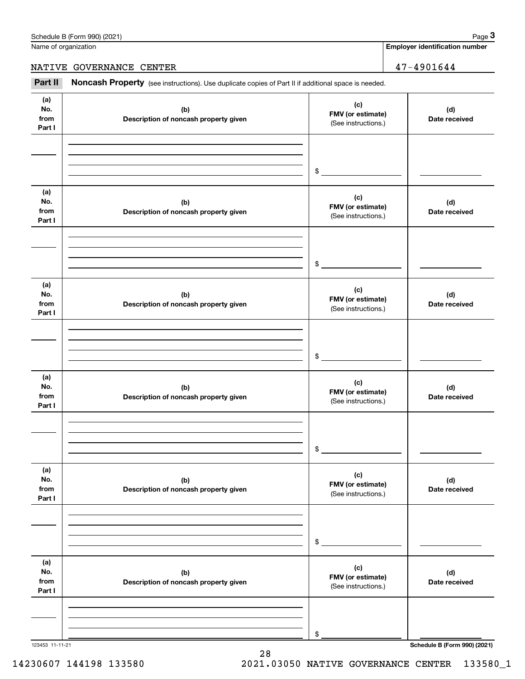| Schedule<br>(2021)<br>n 990)<br>۱۴orm د<br>יי כ | 1000<br>auu |
|-------------------------------------------------|-------------|
|                                                 |             |

**Employer identification number**

#### NATIVE GOVERNANCE CENTER 147-4901644

(see instructions). Use duplicate copies of Part II if additional space is needed.<br> **3Part II Noncash Property** (see instructions). Use duplicate copies of Part II if additional space is needed.

| (a)<br>No.<br>from<br>Part I | (b)<br>Description of noncash property given | (c)<br>FMV (or estimate)<br>(See instructions.) | (d)<br>Date received                |
|------------------------------|----------------------------------------------|-------------------------------------------------|-------------------------------------|
|                              |                                              | $\frac{1}{2}$                                   |                                     |
|                              |                                              |                                                 |                                     |
| (a)<br>No.<br>from<br>Part I | (b)<br>Description of noncash property given | (c)<br>FMV (or estimate)<br>(See instructions.) | (d)<br>Date received                |
|                              |                                              |                                                 |                                     |
|                              |                                              |                                                 |                                     |
|                              |                                              |                                                 |                                     |
|                              |                                              | $\frac{1}{2}$                                   |                                     |
|                              |                                              |                                                 |                                     |
| (a)<br>No.<br>from           | (b)<br>Description of noncash property given | (c)<br>FMV (or estimate)<br>(See instructions.) | (d)<br>Date received                |
| Part I                       |                                              |                                                 |                                     |
|                              |                                              |                                                 |                                     |
|                              |                                              |                                                 |                                     |
|                              |                                              |                                                 |                                     |
|                              |                                              | $\mathfrak s$                                   |                                     |
|                              |                                              |                                                 |                                     |
| (a)<br>No.<br>from<br>Part I | (b)<br>Description of noncash property given | (c)<br>FMV (or estimate)<br>(See instructions.) | (d)<br>Date received                |
|                              |                                              |                                                 |                                     |
|                              |                                              |                                                 |                                     |
|                              |                                              |                                                 |                                     |
|                              |                                              | $\mathfrak{S}$                                  |                                     |
|                              |                                              |                                                 |                                     |
| (a)                          |                                              |                                                 |                                     |
| No.                          | (b)                                          | (c)                                             | (d)                                 |
| from                         | Description of noncash property given        | FMV (or estimate)<br>(See instructions.)        | Date received                       |
| Part I                       |                                              |                                                 |                                     |
|                              |                                              |                                                 |                                     |
|                              |                                              |                                                 |                                     |
|                              |                                              |                                                 |                                     |
|                              |                                              | \$                                              |                                     |
|                              |                                              |                                                 |                                     |
| (a)                          |                                              | (c)                                             |                                     |
| No.                          | (b)                                          | FMV (or estimate)                               | (d)                                 |
| from<br>Part I               | Description of noncash property given        | (See instructions.)                             | Date received                       |
|                              |                                              |                                                 |                                     |
|                              |                                              |                                                 |                                     |
|                              |                                              |                                                 |                                     |
|                              |                                              | \$                                              |                                     |
| 123453 11-11-21              |                                              |                                                 | <b>Schedule B (Form 990) (2021)</b> |
|                              |                                              |                                                 |                                     |

28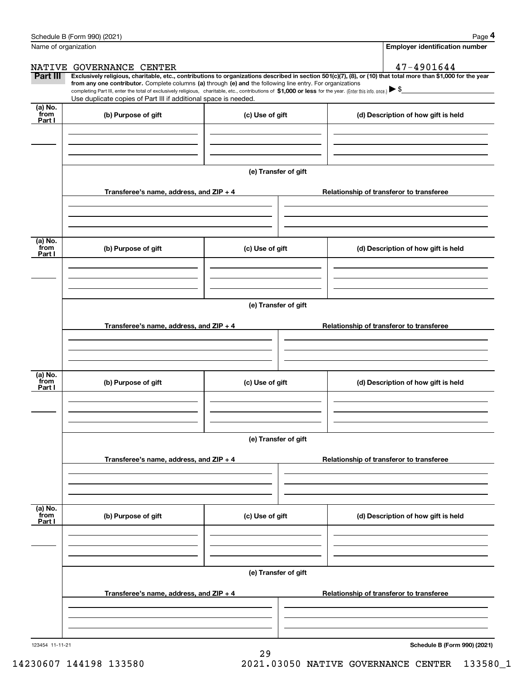|                           | Schedule B (Form 990) (2021)                                                                                                                                                                                                                                               |                      | Page 4                                                                                                                                                         |
|---------------------------|----------------------------------------------------------------------------------------------------------------------------------------------------------------------------------------------------------------------------------------------------------------------------|----------------------|----------------------------------------------------------------------------------------------------------------------------------------------------------------|
|                           | Name of organization                                                                                                                                                                                                                                                       |                      | <b>Employer identification number</b>                                                                                                                          |
| NATIVE                    | <b>GOVERNANCE CENTER</b>                                                                                                                                                                                                                                                   |                      | 47-4901644                                                                                                                                                     |
| Part III                  | from any one contributor. Complete columns (a) through (e) and the following line entry. For organizations<br>completing Part III, enter the total of exclusively religious, charitable, etc., contributions of \$1,000 or less for the year. (Enter this info. once.) \\$ |                      | Exclusively religious, charitable, etc., contributions to organizations described in section 501(c)(7), (8), or (10) that total more than \$1,000 for the year |
|                           | Use duplicate copies of Part III if additional space is needed.                                                                                                                                                                                                            |                      |                                                                                                                                                                |
| (a) No.<br>from<br>Part I | (b) Purpose of gift                                                                                                                                                                                                                                                        | (c) Use of gift      | (d) Description of how gift is held                                                                                                                            |
|                           |                                                                                                                                                                                                                                                                            |                      |                                                                                                                                                                |
|                           |                                                                                                                                                                                                                                                                            |                      |                                                                                                                                                                |
|                           |                                                                                                                                                                                                                                                                            | (e) Transfer of gift |                                                                                                                                                                |
|                           | Transferee's name, address, and ZIP + 4                                                                                                                                                                                                                                    |                      | Relationship of transferor to transferee                                                                                                                       |
| (a) No.                   |                                                                                                                                                                                                                                                                            |                      |                                                                                                                                                                |
| from<br>Part I            | (b) Purpose of gift                                                                                                                                                                                                                                                        | (c) Use of gift      | (d) Description of how gift is held                                                                                                                            |
|                           |                                                                                                                                                                                                                                                                            |                      |                                                                                                                                                                |
|                           |                                                                                                                                                                                                                                                                            | (e) Transfer of gift |                                                                                                                                                                |
|                           | Transferee's name, address, and ZIP + 4                                                                                                                                                                                                                                    |                      | Relationship of transferor to transferee                                                                                                                       |
|                           |                                                                                                                                                                                                                                                                            |                      |                                                                                                                                                                |
| (a) No.<br>from           |                                                                                                                                                                                                                                                                            |                      |                                                                                                                                                                |
| Part I                    | (b) Purpose of gift                                                                                                                                                                                                                                                        | (c) Use of gift      | (d) Description of how gift is held                                                                                                                            |
|                           |                                                                                                                                                                                                                                                                            |                      |                                                                                                                                                                |
|                           |                                                                                                                                                                                                                                                                            | (e) Transfer of gift |                                                                                                                                                                |
|                           | Transferee's name, address, and ZIP + 4                                                                                                                                                                                                                                    |                      | Relationship of transferor to transferee                                                                                                                       |
|                           |                                                                                                                                                                                                                                                                            |                      |                                                                                                                                                                |
| (a) No.<br>from           | (b) Purpose of gift                                                                                                                                                                                                                                                        | (c) Use of gift      | (d) Description of how gift is held                                                                                                                            |
| Part I                    |                                                                                                                                                                                                                                                                            |                      |                                                                                                                                                                |
|                           |                                                                                                                                                                                                                                                                            |                      |                                                                                                                                                                |
|                           |                                                                                                                                                                                                                                                                            | (e) Transfer of gift |                                                                                                                                                                |
|                           | Transferee's name, address, and ZIP + 4                                                                                                                                                                                                                                    |                      | Relationship of transferor to transferee                                                                                                                       |
|                           |                                                                                                                                                                                                                                                                            |                      |                                                                                                                                                                |
|                           |                                                                                                                                                                                                                                                                            |                      |                                                                                                                                                                |

29

**Schedule B (Form 990) (2021)**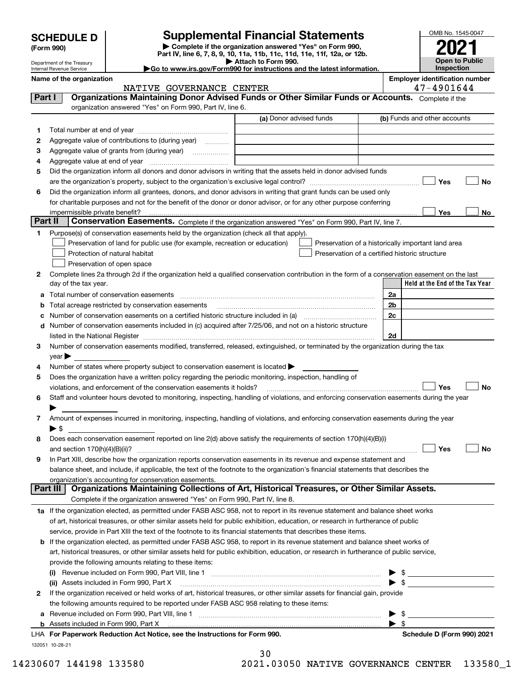| <b>SCHEDULE D</b> |  |
|-------------------|--|
|-------------------|--|

| (Form 990) |  |
|------------|--|
|------------|--|

## **Supplemental Financial Statements**

**| Complete if the organization answered "Yes" on Form 990, Part IV, line 6, 7, 8, 9, 10, 11a, 11b, 11c, 11d, 11e, 11f, 12a, or 12b. | Attach to Form 990.** OMB No. 1545-0047 **Open to Public 2021**

|         | Department of the Treasury<br>Internal Revenue Service |                                                                                                                                                                                                                                | Allach to Form 990.<br>Go to www.irs.gov/Form990 for instructions and the latest information. |                          | <b>OPEN ID FUNIL</b><br>Inspection                 |    |
|---------|--------------------------------------------------------|--------------------------------------------------------------------------------------------------------------------------------------------------------------------------------------------------------------------------------|-----------------------------------------------------------------------------------------------|--------------------------|----------------------------------------------------|----|
|         | Name of the organization                               |                                                                                                                                                                                                                                |                                                                                               |                          | <b>Employer identification number</b>              |    |
|         |                                                        | NATIVE GOVERNANCE CENTER                                                                                                                                                                                                       |                                                                                               |                          | 47-4901644                                         |    |
| Part I  |                                                        | Organizations Maintaining Donor Advised Funds or Other Similar Funds or Accounts. Complete if the                                                                                                                              |                                                                                               |                          |                                                    |    |
|         |                                                        | organization answered "Yes" on Form 990, Part IV, line 6.                                                                                                                                                                      |                                                                                               |                          |                                                    |    |
|         |                                                        |                                                                                                                                                                                                                                | (a) Donor advised funds                                                                       |                          | (b) Funds and other accounts                       |    |
| 1       |                                                        |                                                                                                                                                                                                                                |                                                                                               |                          |                                                    |    |
| 2       |                                                        | Aggregate value of contributions to (during year)                                                                                                                                                                              |                                                                                               |                          |                                                    |    |
| з       |                                                        |                                                                                                                                                                                                                                |                                                                                               |                          |                                                    |    |
| 4       |                                                        |                                                                                                                                                                                                                                |                                                                                               |                          |                                                    |    |
| 5       |                                                        | Did the organization inform all donors and donor advisors in writing that the assets held in donor advised funds                                                                                                               |                                                                                               |                          |                                                    |    |
|         |                                                        |                                                                                                                                                                                                                                |                                                                                               |                          | Yes                                                | No |
| 6       |                                                        | Did the organization inform all grantees, donors, and donor advisors in writing that grant funds can be used only                                                                                                              |                                                                                               |                          |                                                    |    |
|         |                                                        | for charitable purposes and not for the benefit of the donor or donor advisor, or for any other purpose conferring                                                                                                             |                                                                                               |                          |                                                    |    |
| Part II | impermissible private benefit?                         |                                                                                                                                                                                                                                |                                                                                               |                          | Yes                                                | No |
|         |                                                        | Conservation Easements. Complete if the organization answered "Yes" on Form 990, Part IV, line 7.                                                                                                                              |                                                                                               |                          |                                                    |    |
| 1.      |                                                        | Purpose(s) of conservation easements held by the organization (check all that apply).                                                                                                                                          |                                                                                               |                          |                                                    |    |
|         |                                                        | Preservation of land for public use (for example, recreation or education)                                                                                                                                                     |                                                                                               |                          | Preservation of a historically important land area |    |
|         |                                                        | Protection of natural habitat                                                                                                                                                                                                  | Preservation of a certified historic structure                                                |                          |                                                    |    |
|         |                                                        | Preservation of open space                                                                                                                                                                                                     |                                                                                               |                          |                                                    |    |
| 2       | day of the tax year.                                   | Complete lines 2a through 2d if the organization held a qualified conservation contribution in the form of a conservation easement on the last                                                                                 |                                                                                               |                          | Held at the End of the Tax Year                    |    |
|         |                                                        | <b>a</b> Total number of conservation easements                                                                                                                                                                                |                                                                                               | 2a                       |                                                    |    |
|         |                                                        | Total acreage restricted by conservation easements                                                                                                                                                                             |                                                                                               | 2 <sub>b</sub>           |                                                    |    |
| b<br>c  |                                                        | Number of conservation easements on a certified historic structure included in (a) <i>mummumumumum</i>                                                                                                                         |                                                                                               | 2c                       |                                                    |    |
| d       |                                                        | Number of conservation easements included in (c) acquired after 7/25/06, and not on a historic structure                                                                                                                       |                                                                                               |                          |                                                    |    |
|         |                                                        | listed in the National Register [11, 1200] [12] The National Register [11, 1200] [12] The National Register [11, 1200] [12] The National Register [11, 1200] [12] The National Register [11] The National Register [11] The Na |                                                                                               | 2d                       |                                                    |    |
| з       |                                                        | Number of conservation easements modified, transferred, released, extinguished, or terminated by the organization during the tax                                                                                               |                                                                                               |                          |                                                    |    |
|         | $year \blacktriangleright$                             |                                                                                                                                                                                                                                |                                                                                               |                          |                                                    |    |
| 4       |                                                        | Number of states where property subject to conservation easement is located >                                                                                                                                                  |                                                                                               |                          |                                                    |    |
| 5       |                                                        | Does the organization have a written policy regarding the periodic monitoring, inspection, handling of                                                                                                                         |                                                                                               |                          |                                                    |    |
|         |                                                        | violations, and enforcement of the conservation easements it holds?                                                                                                                                                            |                                                                                               |                          | Yes                                                | No |
| 6       |                                                        | Staff and volunteer hours devoted to monitoring, inspecting, handling of violations, and enforcing conservation easements during the year                                                                                      |                                                                                               |                          |                                                    |    |
|         |                                                        |                                                                                                                                                                                                                                |                                                                                               |                          |                                                    |    |
| 7       |                                                        | Amount of expenses incurred in monitoring, inspecting, handling of violations, and enforcing conservation easements during the year                                                                                            |                                                                                               |                          |                                                    |    |
|         |                                                        |                                                                                                                                                                                                                                |                                                                                               |                          |                                                    |    |
|         |                                                        | Does each conservation easement reported on line 2(d) above satisfy the requirements of section 170(h)(4)(B)(i)                                                                                                                |                                                                                               |                          |                                                    |    |
|         | and section $170(h)(4)(B)(ii)?$                        |                                                                                                                                                                                                                                |                                                                                               |                          | — ∣ Yes                                            | No |
| 9       |                                                        | In Part XIII, describe how the organization reports conservation easements in its revenue and expense statement and                                                                                                            |                                                                                               |                          |                                                    |    |
|         |                                                        | balance sheet, and include, if applicable, the text of the footnote to the organization's financial statements that describes the                                                                                              |                                                                                               |                          |                                                    |    |
|         |                                                        | organization's accounting for conservation easements.                                                                                                                                                                          |                                                                                               |                          |                                                    |    |
|         | Part III                                               | Organizations Maintaining Collections of Art, Historical Treasures, or Other Similar Assets.                                                                                                                                   |                                                                                               |                          |                                                    |    |
|         |                                                        | Complete if the organization answered "Yes" on Form 990, Part IV, line 8.                                                                                                                                                      |                                                                                               |                          |                                                    |    |
|         |                                                        | 1a If the organization elected, as permitted under FASB ASC 958, not to report in its revenue statement and balance sheet works                                                                                                |                                                                                               |                          |                                                    |    |
|         |                                                        | of art, historical treasures, or other similar assets held for public exhibition, education, or research in furtherance of public                                                                                              |                                                                                               |                          |                                                    |    |
|         |                                                        | service, provide in Part XIII the text of the footnote to its financial statements that describes these items.                                                                                                                 |                                                                                               |                          |                                                    |    |
|         |                                                        | <b>b</b> If the organization elected, as permitted under FASB ASC 958, to report in its revenue statement and balance sheet works of                                                                                           |                                                                                               |                          |                                                    |    |
|         |                                                        | art, historical treasures, or other similar assets held for public exhibition, education, or research in furtherance of public service,                                                                                        |                                                                                               |                          |                                                    |    |
|         |                                                        | provide the following amounts relating to these items:                                                                                                                                                                         |                                                                                               |                          |                                                    |    |
|         |                                                        |                                                                                                                                                                                                                                |                                                                                               | \$                       |                                                    |    |
|         |                                                        | (ii) Assets included in Form 990, Part X                                                                                                                                                                                       |                                                                                               | $\blacktriangleright$ s  |                                                    |    |
| 2       |                                                        | If the organization received or held works of art, historical treasures, or other similar assets for financial gain, provide                                                                                                   |                                                                                               |                          |                                                    |    |
|         |                                                        | the following amounts required to be reported under FASB ASC 958 relating to these items:                                                                                                                                      |                                                                                               |                          |                                                    |    |
| а       |                                                        |                                                                                                                                                                                                                                |                                                                                               | $\blacktriangleright$ \$ |                                                    |    |
|         |                                                        |                                                                                                                                                                                                                                |                                                                                               | $\blacktriangleright$ s  |                                                    |    |

| <b>b</b> Assets included in Form 990. Part X |                                                                            |
|----------------------------------------------|----------------------------------------------------------------------------|
|                                              | LHA For Paperwork Reduction Act Notice, see the Instructions for Form 990. |

30

132051 10-28-21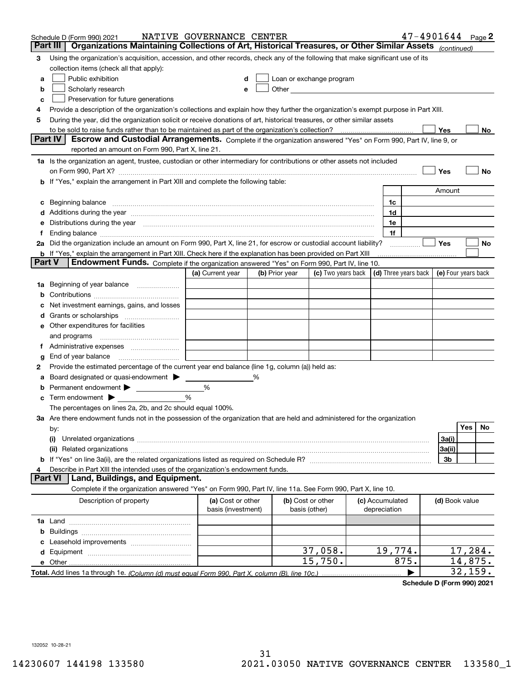|    | Schedule D (Form 990) 2021                                                                                                                                                                                                     | NATIVE GOVERNANCE CENTER                |                |                                                                                                                                                                                                                               |                                 |                      |                | $47 - 4901644$ Page 2 |
|----|--------------------------------------------------------------------------------------------------------------------------------------------------------------------------------------------------------------------------------|-----------------------------------------|----------------|-------------------------------------------------------------------------------------------------------------------------------------------------------------------------------------------------------------------------------|---------------------------------|----------------------|----------------|-----------------------|
|    | Organizations Maintaining Collections of Art, Historical Treasures, or Other Similar Assets (continued)<br>Part III                                                                                                            |                                         |                |                                                                                                                                                                                                                               |                                 |                      |                |                       |
| 3  | Using the organization's acquisition, accession, and other records, check any of the following that make significant use of its                                                                                                |                                         |                |                                                                                                                                                                                                                               |                                 |                      |                |                       |
|    | collection items (check all that apply):                                                                                                                                                                                       |                                         |                |                                                                                                                                                                                                                               |                                 |                      |                |                       |
| a  | Public exhibition                                                                                                                                                                                                              | d                                       |                | Loan or exchange program                                                                                                                                                                                                      |                                 |                      |                |                       |
| b  | Scholarly research                                                                                                                                                                                                             | е                                       |                | Other and the contract of the contract of the contract of the contract of the contract of the contract of the contract of the contract of the contract of the contract of the contract of the contract of the contract of the |                                 |                      |                |                       |
| c  | Preservation for future generations                                                                                                                                                                                            |                                         |                |                                                                                                                                                                                                                               |                                 |                      |                |                       |
| 4  | Provide a description of the organization's collections and explain how they further the organization's exempt purpose in Part XIII.                                                                                           |                                         |                |                                                                                                                                                                                                                               |                                 |                      |                |                       |
| 5  | During the year, did the organization solicit or receive donations of art, historical treasures, or other similar assets                                                                                                       |                                         |                |                                                                                                                                                                                                                               |                                 |                      |                |                       |
|    | to be sold to raise funds rather than to be maintained as part of the organization's collection?                                                                                                                               |                                         |                |                                                                                                                                                                                                                               |                                 |                      | Yes            | No                    |
|    | Part IV<br>Escrow and Custodial Arrangements. Complete if the organization answered "Yes" on Form 990, Part IV, line 9, or                                                                                                     |                                         |                |                                                                                                                                                                                                                               |                                 |                      |                |                       |
|    | reported an amount on Form 990, Part X, line 21.                                                                                                                                                                               |                                         |                |                                                                                                                                                                                                                               |                                 |                      |                |                       |
|    | 1a Is the organization an agent, trustee, custodian or other intermediary for contributions or other assets not included                                                                                                       |                                         |                |                                                                                                                                                                                                                               |                                 |                      |                |                       |
|    | on Form 990, Part X? [11] matter and the contract of the contract of the contract of the contract of the contract of the contract of the contract of the contract of the contract of the contract of the contract of the contr |                                         |                |                                                                                                                                                                                                                               |                                 |                      | Yes            | No                    |
|    | If "Yes," explain the arrangement in Part XIII and complete the following table:                                                                                                                                               |                                         |                |                                                                                                                                                                                                                               |                                 |                      |                |                       |
|    |                                                                                                                                                                                                                                |                                         |                |                                                                                                                                                                                                                               |                                 |                      | Amount         |                       |
| c  | Beginning balance                                                                                                                                                                                                              |                                         |                |                                                                                                                                                                                                                               | 1c                              |                      |                |                       |
| d  | Additions during the year manufactured and an annual contract of the year manufactured and a set of the year manufactured and a set of the year manufactured and a set of the year manufactured and a set of the set of the se |                                         |                |                                                                                                                                                                                                                               | 1d                              |                      |                |                       |
| е  | Distributions during the year measurement contains and all the state of the state of the state of the state of                                                                                                                 |                                         |                |                                                                                                                                                                                                                               | 1e                              |                      |                |                       |
|    | Ending balance manufacture contract contract contract contract contract contract contract contract contract contract contract contract contract contract contract contract contract contract contract contract contract contra |                                         |                |                                                                                                                                                                                                                               | 1f                              |                      |                |                       |
|    | 2a Did the organization include an amount on Form 990, Part X, line 21, for escrow or custodial account liability?                                                                                                             |                                         |                |                                                                                                                                                                                                                               |                                 |                      | Yes            | No                    |
|    | <b>b</b> If "Yes," explain the arrangement in Part XIII. Check here if the explanation has been provided on Part XIII<br>Part V                                                                                                |                                         |                |                                                                                                                                                                                                                               |                                 |                      |                |                       |
|    | <b>Endowment Funds.</b> Complete if the organization answered "Yes" on Form 990, Part IV, line 10.                                                                                                                             | (a) Current year                        | (b) Prior year | (c) Two years back                                                                                                                                                                                                            |                                 | (d) Three years back |                | (e) Four years back   |
|    |                                                                                                                                                                                                                                |                                         |                |                                                                                                                                                                                                                               |                                 |                      |                |                       |
| 1a | Beginning of year balance                                                                                                                                                                                                      |                                         |                |                                                                                                                                                                                                                               |                                 |                      |                |                       |
| b  |                                                                                                                                                                                                                                |                                         |                |                                                                                                                                                                                                                               |                                 |                      |                |                       |
|    | Net investment earnings, gains, and losses                                                                                                                                                                                     |                                         |                |                                                                                                                                                                                                                               |                                 |                      |                |                       |
| a  |                                                                                                                                                                                                                                |                                         |                |                                                                                                                                                                                                                               |                                 |                      |                |                       |
| е  | Other expenditures for facilities                                                                                                                                                                                              |                                         |                |                                                                                                                                                                                                                               |                                 |                      |                |                       |
|    | and programs                                                                                                                                                                                                                   |                                         |                |                                                                                                                                                                                                                               |                                 |                      |                |                       |
| 1. | End of year balance                                                                                                                                                                                                            |                                         |                |                                                                                                                                                                                                                               |                                 |                      |                |                       |
| g  | Provide the estimated percentage of the current year end balance (line 1g, column (a)) held as:                                                                                                                                |                                         |                |                                                                                                                                                                                                                               |                                 |                      |                |                       |
| 2  | Board designated or quasi-endowment > ____                                                                                                                                                                                     |                                         | %              |                                                                                                                                                                                                                               |                                 |                      |                |                       |
| b  |                                                                                                                                                                                                                                | %                                       |                |                                                                                                                                                                                                                               |                                 |                      |                |                       |
| c  | Term endowment $\blacktriangleright$                                                                                                                                                                                           | %                                       |                |                                                                                                                                                                                                                               |                                 |                      |                |                       |
|    | The percentages on lines 2a, 2b, and 2c should equal 100%.                                                                                                                                                                     |                                         |                |                                                                                                                                                                                                                               |                                 |                      |                |                       |
|    | 3a Are there endowment funds not in the possession of the organization that are held and administered for the organization                                                                                                     |                                         |                |                                                                                                                                                                                                                               |                                 |                      |                |                       |
|    | by:                                                                                                                                                                                                                            |                                         |                |                                                                                                                                                                                                                               |                                 |                      |                | <b>Yes</b><br>No.     |
|    | (i)                                                                                                                                                                                                                            |                                         |                |                                                                                                                                                                                                                               |                                 |                      | 3a(i)          |                       |
|    |                                                                                                                                                                                                                                |                                         |                |                                                                                                                                                                                                                               |                                 |                      | 3a(ii)         |                       |
|    |                                                                                                                                                                                                                                |                                         |                |                                                                                                                                                                                                                               |                                 |                      | 3b             |                       |
|    | Describe in Part XIII the intended uses of the organization's endowment funds.                                                                                                                                                 |                                         |                |                                                                                                                                                                                                                               |                                 |                      |                |                       |
|    | <b>Part VI</b><br>Land, Buildings, and Equipment.                                                                                                                                                                              |                                         |                |                                                                                                                                                                                                                               |                                 |                      |                |                       |
|    | Complete if the organization answered "Yes" on Form 990, Part IV, line 11a. See Form 990, Part X, line 10.                                                                                                                     |                                         |                |                                                                                                                                                                                                                               |                                 |                      |                |                       |
|    | Description of property                                                                                                                                                                                                        | (a) Cost or other<br>basis (investment) |                | (b) Cost or other<br>basis (other)                                                                                                                                                                                            | (c) Accumulated<br>depreciation |                      | (d) Book value |                       |
|    |                                                                                                                                                                                                                                |                                         |                |                                                                                                                                                                                                                               |                                 |                      |                |                       |
| b  |                                                                                                                                                                                                                                |                                         |                |                                                                                                                                                                                                                               |                                 |                      |                |                       |
|    |                                                                                                                                                                                                                                |                                         |                |                                                                                                                                                                                                                               |                                 |                      |                |                       |
| d  |                                                                                                                                                                                                                                |                                         |                | 37,058.                                                                                                                                                                                                                       | 19,774.                         |                      |                | 17,284.               |
|    | e Other                                                                                                                                                                                                                        |                                         |                | 15,750.                                                                                                                                                                                                                       |                                 | 875.                 |                | 14,875.               |
|    |                                                                                                                                                                                                                                |                                         |                |                                                                                                                                                                                                                               |                                 |                      |                | 32, 159.              |

**Schedule D (Form 990) 2021**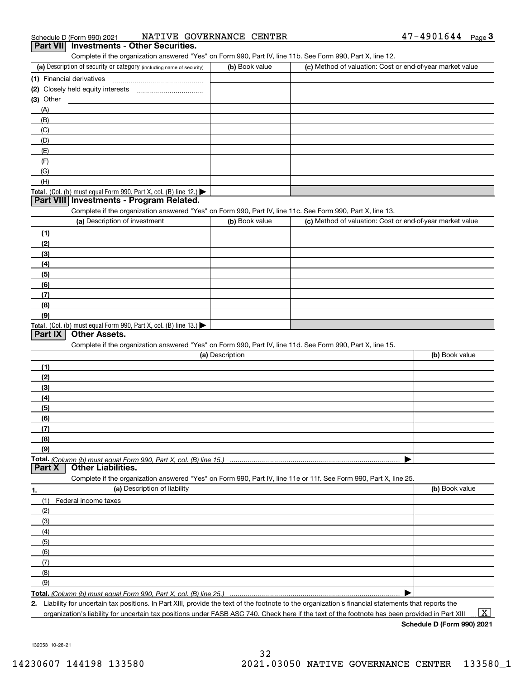| Schedule D (Form 990) 2021 |  | NATIVE GOVERNANCE CENTER |  |
|----------------------------|--|--------------------------|--|
|----------------------------|--|--------------------------|--|

| Schedule D (Form 990) 2021                                                                                        | NATIVE GOVERNANCE CENTER |                                                           | $47 - 4901644$ Page 3 |
|-------------------------------------------------------------------------------------------------------------------|--------------------------|-----------------------------------------------------------|-----------------------|
| <b>Investments - Other Securities.</b><br><b>Part VII</b>                                                         |                          |                                                           |                       |
| Complete if the organization answered "Yes" on Form 990, Part IV, line 11b. See Form 990, Part X, line 12.        |                          |                                                           |                       |
| (a) Description of security or category (including name of security)                                              | (b) Book value           | (c) Method of valuation: Cost or end-of-year market value |                       |
| (1) Financial derivatives                                                                                         |                          |                                                           |                       |
|                                                                                                                   |                          |                                                           |                       |
| $(3)$ Other                                                                                                       |                          |                                                           |                       |
| (A)                                                                                                               |                          |                                                           |                       |
| (B)                                                                                                               |                          |                                                           |                       |
| (C)                                                                                                               |                          |                                                           |                       |
| (D)                                                                                                               |                          |                                                           |                       |
| (E)                                                                                                               |                          |                                                           |                       |
| (F)                                                                                                               |                          |                                                           |                       |
| (G)                                                                                                               |                          |                                                           |                       |
| (H)                                                                                                               |                          |                                                           |                       |
| Total. (Col. (b) must equal Form 990, Part X, col. (B) line 12.)                                                  |                          |                                                           |                       |
| Part VIII Investments - Program Related.                                                                          |                          |                                                           |                       |
| Complete if the organization answered "Yes" on Form 990, Part IV, line 11c. See Form 990, Part X, line 13.        |                          |                                                           |                       |
| (a) Description of investment                                                                                     | (b) Book value           | (c) Method of valuation: Cost or end-of-year market value |                       |
| (1)                                                                                                               |                          |                                                           |                       |
|                                                                                                                   |                          |                                                           |                       |
| (2)                                                                                                               |                          |                                                           |                       |
| (3)                                                                                                               |                          |                                                           |                       |
| (4)                                                                                                               |                          |                                                           |                       |
| (5)                                                                                                               |                          |                                                           |                       |
| (6)                                                                                                               |                          |                                                           |                       |
| (7)                                                                                                               |                          |                                                           |                       |
| (8)                                                                                                               |                          |                                                           |                       |
| (9)                                                                                                               |                          |                                                           |                       |
| Total. (Col. (b) must equal Form 990, Part X, col. (B) line 13.)<br><b>Other Assets.</b><br>Part IX               |                          |                                                           |                       |
| Complete if the organization answered "Yes" on Form 990, Part IV, line 11d. See Form 990, Part X, line 15.        |                          |                                                           |                       |
|                                                                                                                   | (a) Description          |                                                           | (b) Book value        |
|                                                                                                                   |                          |                                                           |                       |
| (1)                                                                                                               |                          |                                                           |                       |
| (2)                                                                                                               |                          |                                                           |                       |
| (3)                                                                                                               |                          |                                                           |                       |
| (4)                                                                                                               |                          |                                                           |                       |
| (5)                                                                                                               |                          |                                                           |                       |
| (6)                                                                                                               |                          |                                                           |                       |
| (7)                                                                                                               |                          |                                                           |                       |
| (8)                                                                                                               |                          |                                                           |                       |
| (9)                                                                                                               |                          |                                                           |                       |
| <b>Other Liabilities.</b><br>Part X                                                                               |                          |                                                           |                       |
| Complete if the organization answered "Yes" on Form 990, Part IV, line 11e or 11f. See Form 990, Part X, line 25. |                          |                                                           |                       |
| (a) Description of liability                                                                                      |                          |                                                           | (b) Book value        |
| 1.                                                                                                                |                          |                                                           |                       |
| (1)<br>Federal income taxes                                                                                       |                          |                                                           |                       |
| (2)                                                                                                               |                          |                                                           |                       |
| (3)                                                                                                               |                          |                                                           |                       |
| (4)                                                                                                               |                          |                                                           |                       |
| (5)                                                                                                               |                          |                                                           |                       |
| (6)                                                                                                               |                          |                                                           |                       |
| (7)                                                                                                               |                          |                                                           |                       |
| (8)                                                                                                               |                          |                                                           |                       |
| (9)                                                                                                               |                          |                                                           |                       |
| <b>Total.</b> (Column (b) must equal Form 990. Part X, col. (B) line 25.)                                         |                          |                                                           |                       |

**Total.**  *(Column (b) must equal Form 990, Part X, col. (B) line 25.)* 

**2.** Liability for uncertain tax positions. In Part XIII, provide the text of the footnote to the organization's financial statements that reports the organization's liability for uncertain tax positions under FASB ASC 740. Check here if the text of the footnote has been provided in Part XIII  $\boxed{\text{X}}$ 

**Schedule D (Form 990) 2021**

132053 10-28-21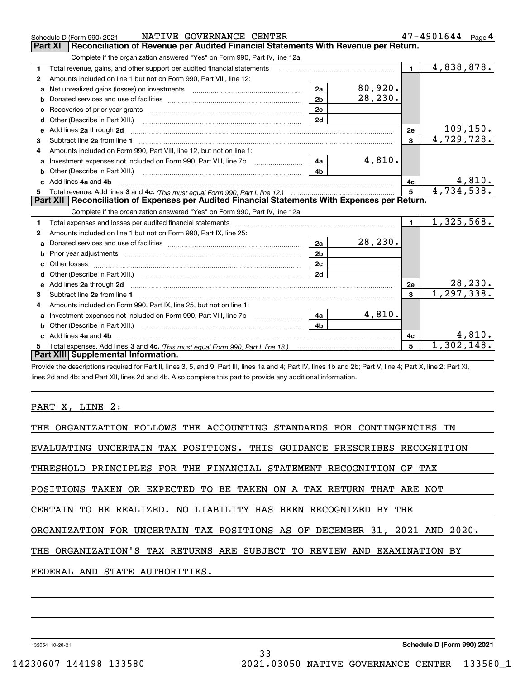|              | NATIVE GOVERNANCE CENTER<br>Schedule D (Form 990) 2021                                                                                                                                                                              |                |          |                | $47 - 4901644$ Page 4   |
|--------------|-------------------------------------------------------------------------------------------------------------------------------------------------------------------------------------------------------------------------------------|----------------|----------|----------------|-------------------------|
|              | Reconciliation of Revenue per Audited Financial Statements With Revenue per Return.<br><b>Part XI</b>                                                                                                                               |                |          |                |                         |
|              | Complete if the organization answered "Yes" on Form 990, Part IV, line 12a.                                                                                                                                                         |                |          |                |                         |
| 1            | Total revenue, gains, and other support per audited financial statements                                                                                                                                                            |                |          | $\blacksquare$ | 4,838,878.              |
| $\mathbf{2}$ | Amounts included on line 1 but not on Form 990, Part VIII, line 12:                                                                                                                                                                 |                |          |                |                         |
|              |                                                                                                                                                                                                                                     | 2a             | 80,920.  |                |                         |
| b            |                                                                                                                                                                                                                                     | 2 <sub>b</sub> | 28, 230. |                |                         |
| c            |                                                                                                                                                                                                                                     | 2c             |          |                |                         |
| d            | Other (Describe in Part XIII.)                                                                                                                                                                                                      | 2d             |          |                |                         |
| е            | Add lines 2a through 2d                                                                                                                                                                                                             |                |          | 2e             | 109, 150.               |
| 3            |                                                                                                                                                                                                                                     |                |          | $\overline{3}$ | 4,729,728.              |
| 4            | Amounts included on Form 990, Part VIII, line 12, but not on line 1:                                                                                                                                                                |                |          |                |                         |
| a            | Investment expenses not included on Form 990, Part VIII, line 7b                                                                                                                                                                    | 4a             | 4,810.   |                |                         |
|              |                                                                                                                                                                                                                                     | 4 <sub>b</sub> |          |                |                         |
|              | Add lines 4a and 4b                                                                                                                                                                                                                 |                |          | 4c             | 4,810.                  |
| 5            |                                                                                                                                                                                                                                     |                |          | $5\phantom{a}$ | 4,734,538.              |
|              | Part XII   Reconciliation of Expenses per Audited Financial Statements With Expenses per Return.                                                                                                                                    |                |          |                |                         |
|              | Complete if the organization answered "Yes" on Form 990, Part IV, line 12a.                                                                                                                                                         |                |          |                |                         |
| 1            |                                                                                                                                                                                                                                     |                |          | $\mathbf{1}$   | 1,325,568.              |
| 2            | Amounts included on line 1 but not on Form 990, Part IX, line 25:                                                                                                                                                                   |                |          |                |                         |
| a            |                                                                                                                                                                                                                                     | 2a             | 28, 230. |                |                         |
|              |                                                                                                                                                                                                                                     | 2 <sub>b</sub> |          |                |                         |
| c.           |                                                                                                                                                                                                                                     | 2c             |          |                |                         |
|              |                                                                                                                                                                                                                                     | 2d             |          |                |                         |
|              | Add lines 2a through 2d <b>contained a contained a contained a contained a</b> contained a contact the state of the state of the state of the state of the state of the state of the state of the state of the state of the state o |                |          | 2e             | 28, 230.                |
| з            |                                                                                                                                                                                                                                     |                |          | $\mathbf{a}$   | $\overline{1,297},338.$ |
| 4            | Amounts included on Form 990, Part IX, line 25, but not on line 1:                                                                                                                                                                  |                |          |                |                         |
|              |                                                                                                                                                                                                                                     | 4a             | 4,810.   |                |                         |
|              |                                                                                                                                                                                                                                     | 4b             |          |                |                         |
|              | c Add lines 4a and 4b                                                                                                                                                                                                               |                |          | 4c             | 4,810.                  |
|              |                                                                                                                                                                                                                                     |                |          | 5              | 1,302,148.              |
|              | Part XIII Supplemental Information.                                                                                                                                                                                                 |                |          |                |                         |

Provide the descriptions required for Part II, lines 3, 5, and 9; Part III, lines 1a and 4; Part IV, lines 1b and 2b; Part V, line 4; Part X, line 2; Part XI, lines 2d and 4b; and Part XII, lines 2d and 4b. Also complete this part to provide any additional information.

#### PART X, LINE 2:

| THE ORGANIZATION FOLLOWS THE ACCOUNTING STANDARDS FOR CONTINGENCIES IN     |
|----------------------------------------------------------------------------|
| EVALUATING UNCERTAIN TAX POSITIONS. THIS GUIDANCE PRESCRIBES RECOGNITION   |
| THRESHOLD PRINCIPLES FOR THE FINANCIAL STATEMENT RECOGNITION OF TAX        |
| POSITIONS TAKEN OR EXPECTED TO BE TAKEN ON A TAX RETURN THAT ARE NOT       |
| CERTAIN TO BE REALIZED. NO LIABILITY HAS BEEN RECOGNIZED BY THE            |
| ORGANIZATION FOR UNCERTAIN TAX POSITIONS AS OF DECEMBER 31, 2021 AND 2020. |
| THE ORGANIZATION'S TAX RETURNS ARE SUBJECT TO REVIEW AND EXAMINATION BY    |
| STATE AUTHORITIES.<br>FEDERAL AND                                          |

132054 10-28-21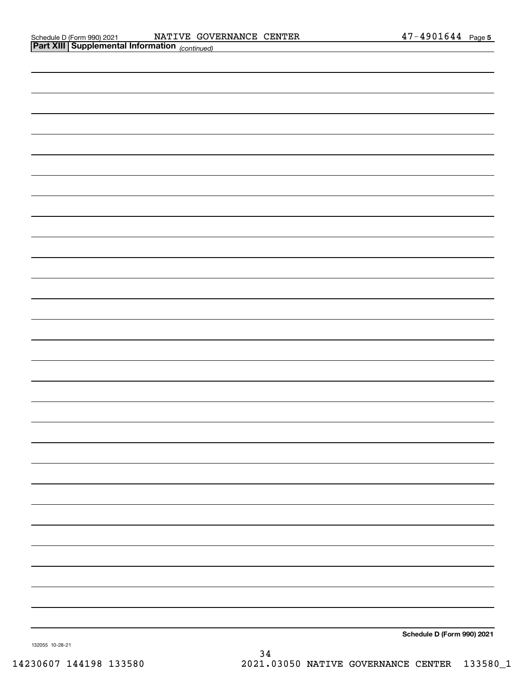| <b>Part XIII Supplemental Information</b> (continued) |                            |
|-------------------------------------------------------|----------------------------|
|                                                       |                            |
|                                                       |                            |
|                                                       |                            |
|                                                       |                            |
|                                                       |                            |
|                                                       |                            |
|                                                       |                            |
|                                                       |                            |
|                                                       |                            |
|                                                       |                            |
|                                                       |                            |
|                                                       |                            |
|                                                       |                            |
|                                                       |                            |
|                                                       |                            |
|                                                       |                            |
|                                                       |                            |
|                                                       |                            |
|                                                       |                            |
|                                                       |                            |
|                                                       |                            |
|                                                       |                            |
|                                                       |                            |
|                                                       |                            |
|                                                       |                            |
|                                                       |                            |
|                                                       |                            |
|                                                       |                            |
|                                                       |                            |
|                                                       | Schedule D (Form 990) 2021 |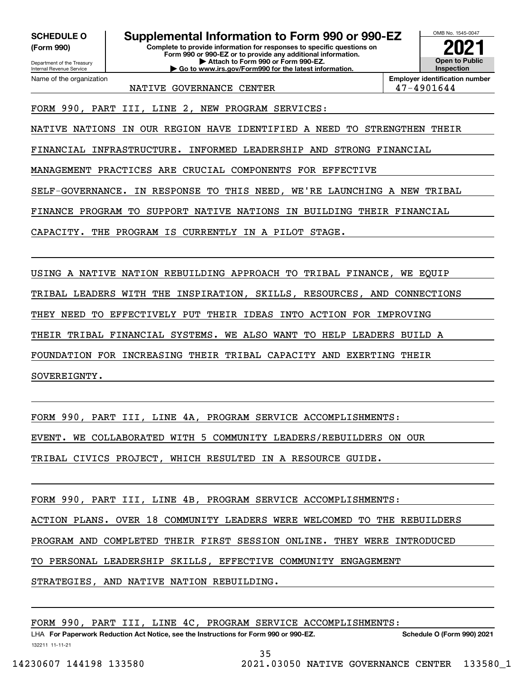**(Form 990)**

Name of the organization

# **SCHEDULE O Supplemental Information to Form 990 or 990-EZ**

**Complete to provide information for responses to specific questions on Form 990 or 990-EZ or to provide any additional information. | Attach to Form 990 or Form 990-EZ. | Go to www.irs.gov/Form990 for the latest information.**



**Employer identification number**

NATIVE GOVERNANCE CENTER  $\vert$  47-4901644

#### FORM 990, PART III, LINE 2, NEW PROGRAM SERVICES:

NATIVE NATIONS IN OUR REGION HAVE IDENTIFIED A NEED TO STRENGTHEN THEIR

FINANCIAL INFRASTRUCTURE. INFORMED LEADERSHIP AND STRONG FINANCIAL

MANAGEMENT PRACTICES ARE CRUCIAL COMPONENTS FOR EFFECTIVE

SELF-GOVERNANCE. IN RESPONSE TO THIS NEED, WE'RE LAUNCHING A NEW TRIBAL

FINANCE PROGRAM TO SUPPORT NATIVE NATIONS IN BUILDING THEIR FINANCIAL

CAPACITY. THE PROGRAM IS CURRENTLY IN A PILOT STAGE.

USING A NATIVE NATION REBUILDING APPROACH TO TRIBAL FINANCE, WE EQUIP TRIBAL LEADERS WITH THE INSPIRATION, SKILLS, RESOURCES, AND CONNECTIONS THEY NEED TO EFFECTIVELY PUT THEIR IDEAS INTO ACTION FOR IMPROVING THEIR TRIBAL FINANCIAL SYSTEMS. WE ALSO WANT TO HELP LEADERS BUILD A FOUNDATION FOR INCREASING THEIR TRIBAL CAPACITY AND EXERTING THEIR SOVEREIGNTY.

FORM 990, PART III, LINE 4A, PROGRAM SERVICE ACCOMPLISHMENTS:

EVENT. WE COLLABORATED WITH 5 COMMUNITY LEADERS/REBUILDERS ON OUR

TRIBAL CIVICS PROJECT, WHICH RESULTED IN A RESOURCE GUIDE.

FORM 990, PART III, LINE 4B, PROGRAM SERVICE ACCOMPLISHMENTS:

ACTION PLANS. OVER 18 COMMUNITY LEADERS WERE WELCOMED TO THE REBUILDERS

PROGRAM AND COMPLETED THEIR FIRST SESSION ONLINE. THEY WERE INTRODUCED

TO PERSONAL LEADERSHIP SKILLS, EFFECTIVE COMMUNITY ENGAGEMENT

STRATEGIES, AND NATIVE NATION REBUILDING.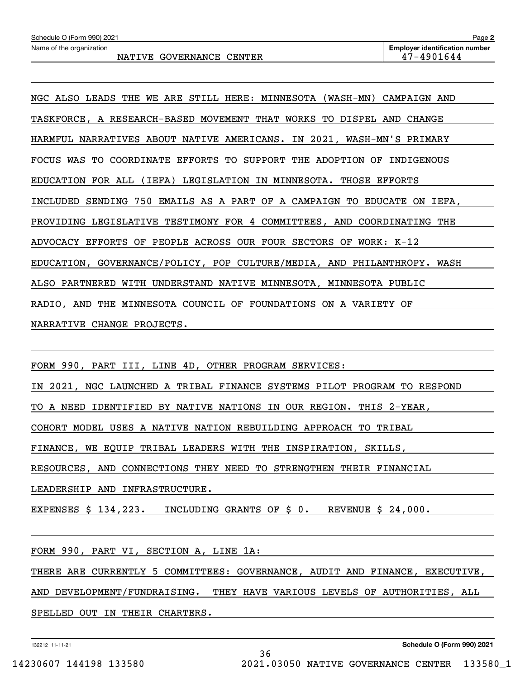NGC ALSO LEADS THE WE ARE STILL HERE: MINNESOTA (WASH-MN) CAMPAIGN AND TASKFORCE, A RESEARCH-BASED MOVEMENT THAT WORKS TO DISPEL AND CHANGE HARMFUL NARRATIVES ABOUT NATIVE AMERICANS. IN 2021, WASH-MN'S PRIMARY FOCUS WAS TO COORDINATE EFFORTS TO SUPPORT THE ADOPTION OF INDIGENOUS EDUCATION FOR ALL (IEFA) LEGISLATION IN MINNESOTA. THOSE EFFORTS INCLUDED SENDING 750 EMAILS AS A PART OF A CAMPAIGN TO EDUCATE ON IEFA, PROVIDING LEGISLATIVE TESTIMONY FOR 4 COMMITTEES, AND COORDINATING THE ADVOCACY EFFORTS OF PEOPLE ACROSS OUR FOUR SECTORS OF WORK: K-12 EDUCATION, GOVERNANCE/POLICY, POP CULTURE/MEDIA, AND PHILANTHROPY. WASH ALSO PARTNERED WITH UNDERSTAND NATIVE MINNESOTA, MINNESOTA PUBLIC RADIO, AND THE MINNESOTA COUNCIL OF FOUNDATIONS ON A VARIETY OF NARRATIVE CHANGE PROJECTS.

FORM 990, PART III, LINE 4D, OTHER PROGRAM SERVICES:

IN 2021, NGC LAUNCHED A TRIBAL FINANCE SYSTEMS PILOT PROGRAM TO RESPOND

TO A NEED IDENTIFIED BY NATIVE NATIONS IN OUR REGION. THIS 2-YEAR,

COHORT MODEL USES A NATIVE NATION REBUILDING APPROACH TO TRIBAL

FINANCE, WE EQUIP TRIBAL LEADERS WITH THE INSPIRATION, SKILLS,

RESOURCES, AND CONNECTIONS THEY NEED TO STRENGTHEN THEIR FINANCIAL

LEADERSHIP AND INFRASTRUCTURE.

EXPENSES \$ 134,223. INCLUDING GRANTS OF \$ 0. REVENUE \$ 24,000.

FORM 990, PART VI, SECTION A, LINE 1A:

THERE ARE CURRENTLY 5 COMMITTEES: GOVERNANCE, AUDIT AND FINANCE, EXECUTIVE,

AND DEVELOPMENT/FUNDRAISING. THEY HAVE VARIOUS LEVELS OF AUTHORITIES, ALL

SPELLED OUT IN THEIR CHARTERS.

132212 11-11-21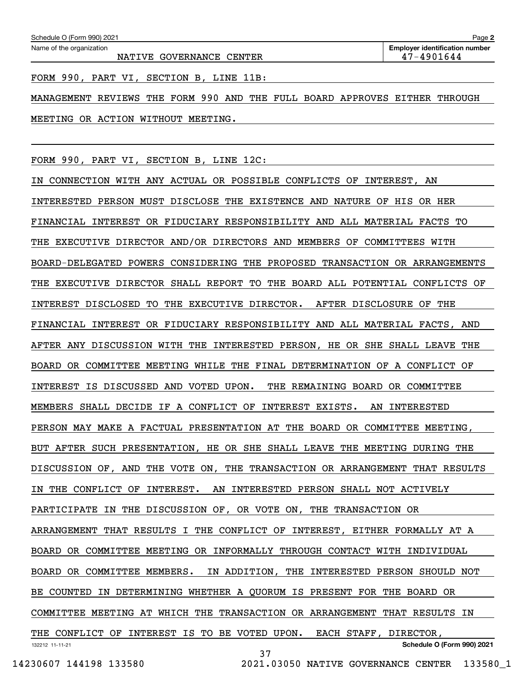FORM 990, PART VI, SECTION B, LINE 11B:

MANAGEMENT REVIEWS THE FORM 990 AND THE FULL BOARD APPROVES EITHER THROUGH MEETING OR ACTION WITHOUT MEETING.

FORM 990, PART VI, SECTION B, LINE 12C:

132212 11-11-21 **Schedule O (Form 990) 2021** IN CONNECTION WITH ANY ACTUAL OR POSSIBLE CONFLICTS OF INTEREST, AN INTERESTED PERSON MUST DISCLOSE THE EXISTENCE AND NATURE OF HIS OR HER FINANCIAL INTEREST OR FIDUCIARY RESPONSIBILITY AND ALL MATERIAL FACTS TO THE EXECUTIVE DIRECTOR AND/OR DIRECTORS AND MEMBERS OF COMMITTEES WITH BOARD-DELEGATED POWERS CONSIDERING THE PROPOSED TRANSACTION OR ARRANGEMENTS THE EXECUTIVE DIRECTOR SHALL REPORT TO THE BOARD ALL POTENTIAL CONFLICTS OF INTEREST DISCLOSED TO THE EXECUTIVE DIRECTOR. AFTER DISCLOSURE OF THE FINANCIAL INTEREST OR FIDUCIARY RESPONSIBILITY AND ALL MATERIAL FACTS, AND AFTER ANY DISCUSSION WITH THE INTERESTED PERSON, HE OR SHE SHALL LEAVE THE BOARD OR COMMITTEE MEETING WHILE THE FINAL DETERMINATION OF A CONFLICT OF INTEREST IS DISCUSSED AND VOTED UPON. THE REMAINING BOARD OR COMMITTEE MEMBERS SHALL DECIDE IF A CONFLICT OF INTEREST EXISTS. AN INTERESTED PERSON MAY MAKE A FACTUAL PRESENTATION AT THE BOARD OR COMMITTEE MEETING, BUT AFTER SUCH PRESENTATION, HE OR SHE SHALL LEAVE THE MEETING DURING THE DISCUSSION OF, AND THE VOTE ON, THE TRANSACTION OR ARRANGEMENT THAT RESULTS IN THE CONFLICT OF INTEREST. AN INTERESTED PERSON SHALL NOT ACTIVELY PARTICIPATE IN THE DISCUSSION OF, OR VOTE ON, THE TRANSACTION OR ARRANGEMENT THAT RESULTS I THE CONFLICT OF INTEREST, EITHER FORMALLY AT A BOARD OR COMMITTEE MEETING OR INFORMALLY THROUGH CONTACT WITH INDIVIDUAL BOARD OR COMMITTEE MEMBERS. IN ADDITION, THE INTERESTED PERSON SHOULD NOT BE COUNTED IN DETERMINING WHETHER A QUORUM IS PRESENT FOR THE BOARD OR COMMITTEE MEETING AT WHICH THE TRANSACTION OR ARRANGEMENT THAT RESULTS IN THE CONFLICT OF INTEREST IS TO BE VOTED UPON. EACH STAFF, DIRECTOR, 37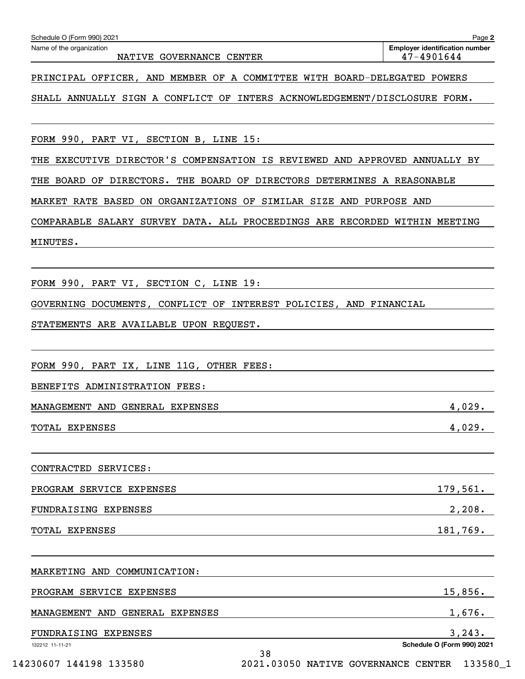| Schedule O (Form 990) 2021                                                 | Page 2                                              |
|----------------------------------------------------------------------------|-----------------------------------------------------|
| Name of the organization<br>NATIVE GOVERNANCE CENTER                       | <b>Employer identification number</b><br>47-4901644 |
| PRINCIPAL OFFICER, AND MEMBER OF A COMMITTEE WITH BOARD-DELEGATED POWERS   |                                                     |
| SHALL ANNUALLY SIGN A CONFLICT OF INTERS ACKNOWLEDGEMENT/DISCLOSURE FORM.  |                                                     |
|                                                                            |                                                     |
| FORM 990, PART VI, SECTION B, LINE 15:                                     |                                                     |
| THE EXECUTIVE DIRECTOR'S COMPENSATION IS REVIEWED AND APPROVED ANNUALLY BY |                                                     |
| THE BOARD OF DIRECTORS. THE BOARD OF DIRECTORS DETERMINES A REASONABLE     |                                                     |
| MARKET RATE BASED ON ORGANIZATIONS OF SIMILAR SIZE AND PURPOSE AND         |                                                     |
| COMPARABLE SALARY SURVEY DATA. ALL PROCEEDINGS ARE RECORDED WITHIN MEETING |                                                     |
| MINUTES.                                                                   |                                                     |
|                                                                            |                                                     |
| FORM 990, PART VI, SECTION C, LINE 19:                                     |                                                     |
| GOVERNING DOCUMENTS, CONFLICT OF INTEREST POLICIES, AND FINANCIAL          |                                                     |
| STATEMENTS ARE AVAILABLE UPON REQUEST.                                     |                                                     |
|                                                                            |                                                     |
| FORM 990, PART IX, LINE 11G, OTHER FEES:                                   |                                                     |
| BENEFITS ADMINISTRATION FEES:                                              |                                                     |
| MANAGEMENT AND GENERAL EXPENSES                                            | 4,029.                                              |
| TOTAL EXPENSES                                                             | 4,029.                                              |
|                                                                            |                                                     |
| CONTRACTED SERVICES:                                                       |                                                     |
| PROGRAM SERVICE EXPENSES                                                   | 179,561.                                            |
| FUNDRAISING EXPENSES                                                       | 2,208.                                              |
| TOTAL EXPENSES                                                             | 181,769.                                            |
|                                                                            |                                                     |
| MARKETING AND COMMUNICATION:                                               |                                                     |
| PROGRAM SERVICE EXPENSES                                                   | 15,856.                                             |
| MANAGEMENT AND GENERAL EXPENSES                                            | 1,676.                                              |
| FUNDRAISING EXPENSES                                                       | 3, 243.                                             |
| 132212 11-11-21<br>38                                                      | Schedule O (Form 990) 2021                          |